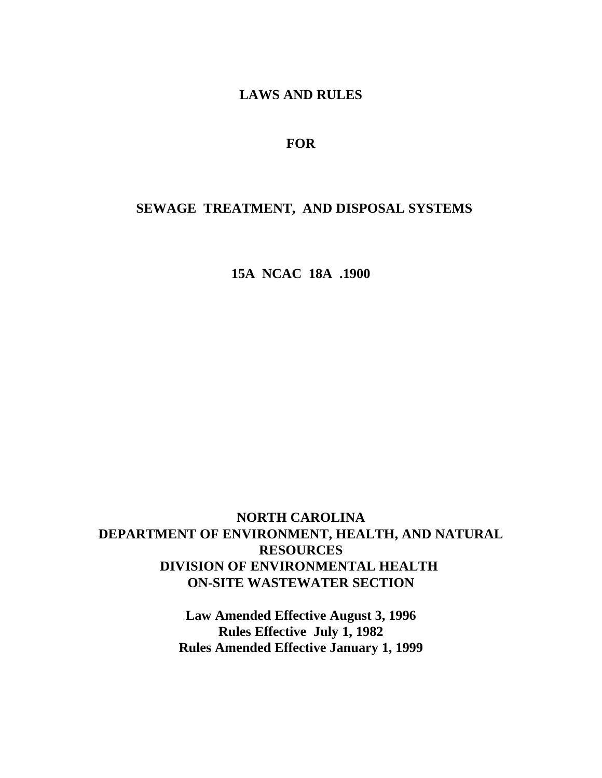**LAWS AND RULES**

# **FOR**

# **SEWAGE TREATMENT, AND DISPOSAL SYSTEMS**

**15A NCAC 18A .1900**

# **NORTH CAROLINA DEPARTMENT OF ENVIRONMENT, HEALTH, AND NATURAL RESOURCES DIVISION OF ENVIRONMENTAL HEALTH ON-SITE WASTEWATER SECTION**

**Law Amended Effective August 3, 1996 Rules Effective July 1, 1982 Rules Amended Effective January 1, 1999**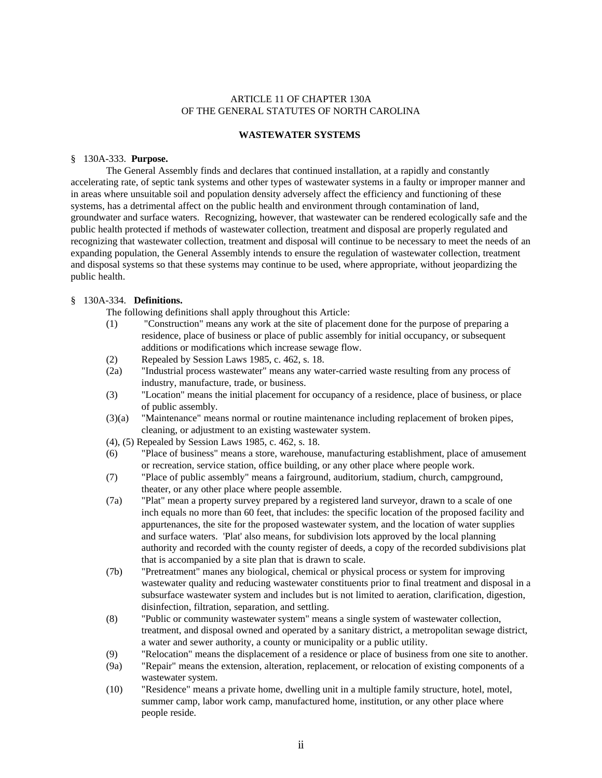# ARTICLE 11 OF CHAPTER 130A OF THE GENERAL STATUTES OF NORTH CAROLINA

### **WASTEWATER SYSTEMS**

### § 130A-333. **Purpose.**

The General Assembly finds and declares that continued installation, at a rapidly and constantly accelerating rate, of septic tank systems and other types of wastewater systems in a faulty or improper manner and in areas where unsuitable soil and population density adversely affect the efficiency and functioning of these systems, has a detrimental affect on the public health and environment through contamination of land, groundwater and surface waters. Recognizing, however, that wastewater can be rendered ecologically safe and the public health protected if methods of wastewater collection, treatment and disposal are properly regulated and recognizing that wastewater collection, treatment and disposal will continue to be necessary to meet the needs of an expanding population, the General Assembly intends to ensure the regulation of wastewater collection, treatment and disposal systems so that these systems may continue to be used, where appropriate, without jeopardizing the public health.

# § 130A-334. **Definitions.**

The following definitions shall apply throughout this Article:

- (1) "Construction" means any work at the site of placement done for the purpose of preparing a residence, place of business or place of public assembly for initial occupancy, or subsequent additions or modifications which increase sewage flow.
- (2) Repealed by Session Laws 1985, c. 462, s. 18.
- (2a) "Industrial process wastewater" means any water-carried waste resulting from any process of industry, manufacture, trade, or business.
- (3) "Location" means the initial placement for occupancy of a residence, place of business, or place of public assembly.
- (3)(a) "Maintenance" means normal or routine maintenance including replacement of broken pipes, cleaning, or adjustment to an existing wastewater system.
- (4), (5) Repealed by Session Laws 1985, c. 462, s. 18.
- (6) "Place of business" means a store, warehouse, manufacturing establishment, place of amusement or recreation, service station, office building, or any other place where people work.
- (7) "Place of public assembly" means a fairground, auditorium, stadium, church, campground, theater, or any other place where people assemble.
- (7a) "Plat" mean a property survey prepared by a registered land surveyor, drawn to a scale of one inch equals no more than 60 feet, that includes: the specific location of the proposed facility and appurtenances, the site for the proposed wastewater system, and the location of water supplies and surface waters. 'Plat' also means, for subdivision lots approved by the local planning authority and recorded with the county register of deeds, a copy of the recorded subdivisions plat that is accompanied by a site plan that is drawn to scale.
- (7b) "Pretreatment" manes any biological, chemical or physical process or system for improving wastewater quality and reducing wastewater constituents prior to final treatment and disposal in a subsurface wastewater system and includes but is not limited to aeration, clarification, digestion, disinfection, filtration, separation, and settling.
- (8) "Public or community wastewater system" means a single system of wastewater collection, treatment, and disposal owned and operated by a sanitary district, a metropolitan sewage district, a water and sewer authority, a county or municipality or a public utility.
- (9) "Relocation" means the displacement of a residence or place of business from one site to another.
- (9a) "Repair" means the extension, alteration, replacement, or relocation of existing components of a wastewater system.
- (10) "Residence" means a private home, dwelling unit in a multiple family structure, hotel, motel, summer camp, labor work camp, manufactured home, institution, or any other place where people reside.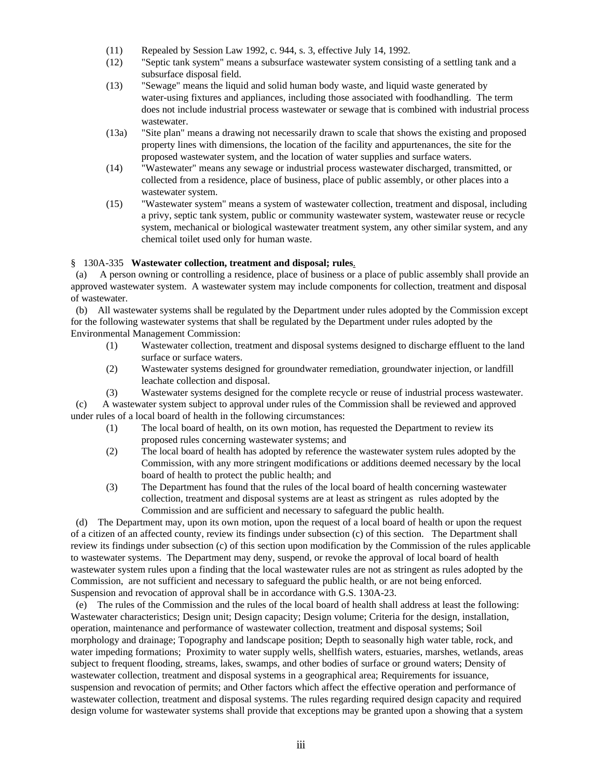- (11) Repealed by Session Law 1992, c. 944, s. 3, effective July 14, 1992.
- (12) "Septic tank system" means a subsurface wastewater system consisting of a settling tank and a subsurface disposal field.
- (13) "Sewage" means the liquid and solid human body waste, and liquid waste generated by water-using fixtures and appliances, including those associated with foodhandling. The term does not include industrial process wastewater or sewage that is combined with industrial process wastewater.
- (13a) "Site plan" means a drawing not necessarily drawn to scale that shows the existing and proposed property lines with dimensions, the location of the facility and appurtenances, the site for the proposed wastewater system, and the location of water supplies and surface waters.
- (14) "Wastewater" means any sewage or industrial process wastewater discharged, transmitted, or collected from a residence, place of business, place of public assembly, or other places into a wastewater system.
- (15) "Wastewater system" means a system of wastewater collection, treatment and disposal, including a privy, septic tank system, public or community wastewater system, wastewater reuse or recycle system, mechanical or biological wastewater treatment system, any other similar system, and any chemical toilet used only for human waste.

# § 130A-335 **Wastewater collection, treatment and disposal; rules**.

 (a) A person owning or controlling a residence, place of business or a place of public assembly shall provide an approved wastewater system. A wastewater system may include components for collection, treatment and disposal of wastewater.

 (b) All wastewater systems shall be regulated by the Department under rules adopted by the Commission except for the following wastewater systems that shall be regulated by the Department under rules adopted by the Environmental Management Commission:

- (1) Wastewater collection, treatment and disposal systems designed to discharge effluent to the land surface or surface waters.
- (2) Wastewater systems designed for groundwater remediation, groundwater injection, or landfill leachate collection and disposal.
- (3) Wastewater systems designed for the complete recycle or reuse of industrial process wastewater.

 (c) A wastewater system subject to approval under rules of the Commission shall be reviewed and approved under rules of a local board of health in the following circumstances:

- (1) The local board of health, on its own motion, has requested the Department to review its proposed rules concerning wastewater systems; and
- (2) The local board of health has adopted by reference the wastewater system rules adopted by the Commission, with any more stringent modifications or additions deemed necessary by the local board of health to protect the public health; and
- (3) The Department has found that the rules of the local board of health concerning wastewater collection, treatment and disposal systems are at least as stringent as rules adopted by the Commission and are sufficient and necessary to safeguard the public health.

 (d) The Department may, upon its own motion, upon the request of a local board of health or upon the request of a citizen of an affected county, review its findings under subsection (c) of this section. The Department shall review its findings under subsection (c) of this section upon modification by the Commission of the rules applicable to wastewater systems. The Department may deny, suspend, or revoke the approval of local board of health wastewater system rules upon a finding that the local wastewater rules are not as stringent as rules adopted by the Commission, are not sufficient and necessary to safeguard the public health, or are not being enforced. Suspension and revocation of approval shall be in accordance with G.S. 130A-23.

 (e) The rules of the Commission and the rules of the local board of health shall address at least the following: Wastewater characteristics; Design unit; Design capacity; Design volume; Criteria for the design, installation, operation, maintenance and performance of wastewater collection, treatment and disposal systems; Soil morphology and drainage; Topography and landscape position; Depth to seasonally high water table, rock, and water impeding formations; Proximity to water supply wells, shellfish waters, estuaries, marshes, wetlands, areas subject to frequent flooding, streams, lakes, swamps, and other bodies of surface or ground waters; Density of wastewater collection, treatment and disposal systems in a geographical area; Requirements for issuance, suspension and revocation of permits; and Other factors which affect the effective operation and performance of wastewater collection, treatment and disposal systems. The rules regarding required design capacity and required design volume for wastewater systems shall provide that exceptions may be granted upon a showing that a system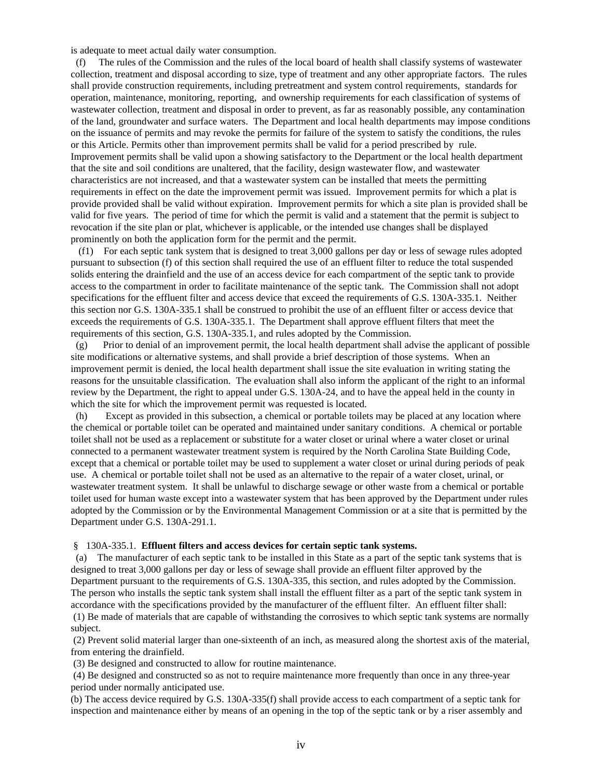is adequate to meet actual daily water consumption.

 (f) The rules of the Commission and the rules of the local board of health shall classify systems of wastewater collection, treatment and disposal according to size, type of treatment and any other appropriate factors. The rules shall provide construction requirements, including pretreatment and system control requirements, standards for operation, maintenance, monitoring, reporting, and ownership requirements for each classification of systems of wastewater collection, treatment and disposal in order to prevent, as far as reasonably possible, any contamination of the land, groundwater and surface waters. The Department and local health departments may impose conditions on the issuance of permits and may revoke the permits for failure of the system to satisfy the conditions, the rules or this Article. Permits other than improvement permits shall be valid for a period prescribed by rule. Improvement permits shall be valid upon a showing satisfactory to the Department or the local health department that the site and soil conditions are unaltered, that the facility, design wastewater flow, and wastewater characteristics are not increased, and that a wastewater system can be installed that meets the permitting requirements in effect on the date the improvement permit was issued. Improvement permits for which a plat is provide provided shall be valid without expiration. Improvement permits for which a site plan is provided shall be valid for five years. The period of time for which the permit is valid and a statement that the permit is subject to revocation if the site plan or plat, whichever is applicable, or the intended use changes shall be displayed prominently on both the application form for the permit and the permit.

 (f1) For each septic tank system that is designed to treat 3,000 gallons per day or less of sewage rules adopted pursuant to subsection (f) of this section shall required the use of an effluent filter to reduce the total suspended solids entering the drainfield and the use of an access device for each compartment of the septic tank to provide access to the compartment in order to facilitate maintenance of the septic tank. The Commission shall not adopt specifications for the effluent filter and access device that exceed the requirements of G.S. 130A-335.1. Neither this section nor G.S. 130A-335.1 shall be construed to prohibit the use of an effluent filter or access device that exceeds the requirements of G.S. 130A-335.1. The Department shall approve effluent filters that meet the requirements of this section, G.S. 130A-335.1, and rules adopted by the Commission.

 (g) Prior to denial of an improvement permit, the local health department shall advise the applicant of possible site modifications or alternative systems, and shall provide a brief description of those systems. When an improvement permit is denied, the local health department shall issue the site evaluation in writing stating the reasons for the unsuitable classification. The evaluation shall also inform the applicant of the right to an informal review by the Department, the right to appeal under G.S. 130A-24, and to have the appeal held in the county in which the site for which the improvement permit was requested is located.

 (h) Except as provided in this subsection, a chemical or portable toilets may be placed at any location where the chemical or portable toilet can be operated and maintained under sanitary conditions. A chemical or portable toilet shall not be used as a replacement or substitute for a water closet or urinal where a water closet or urinal connected to a permanent wastewater treatment system is required by the North Carolina State Building Code, except that a chemical or portable toilet may be used to supplement a water closet or urinal during periods of peak use. A chemical or portable toilet shall not be used as an alternative to the repair of a water closet, urinal, or wastewater treatment system. It shall be unlawful to discharge sewage or other waste from a chemical or portable toilet used for human waste except into a wastewater system that has been approved by the Department under rules adopted by the Commission or by the Environmental Management Commission or at a site that is permitted by the Department under G.S. 130A-291.1.

### § 130A-335.1. **Effluent filters and access devices for certain septic tank systems.**

 (a) The manufacturer of each septic tank to be installed in this State as a part of the septic tank systems that is designed to treat 3,000 gallons per day or less of sewage shall provide an effluent filter approved by the Department pursuant to the requirements of G.S. 130A-335, this section, and rules adopted by the Commission. The person who installs the septic tank system shall install the effluent filter as a part of the septic tank system in accordance with the specifications provided by the manufacturer of the effluent filter. An effluent filter shall: (1) Be made of materials that are capable of withstanding the corrosives to which septic tank systems are normally

subject.

 (2) Prevent solid material larger than one-sixteenth of an inch, as measured along the shortest axis of the material, from entering the drainfield.

(3) Be designed and constructed to allow for routine maintenance.

 (4) Be designed and constructed so as not to require maintenance more frequently than once in any three-year period under normally anticipated use.

(b) The access device required by G.S. 130A-335(f) shall provide access to each compartment of a septic tank for inspection and maintenance either by means of an opening in the top of the septic tank or by a riser assembly and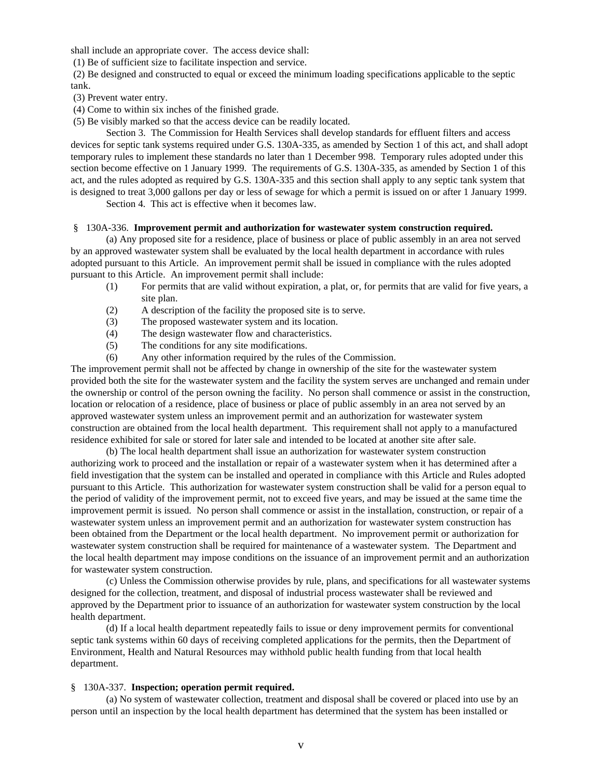shall include an appropriate cover. The access device shall:

(1) Be of sufficient size to facilitate inspection and service.

 (2) Be designed and constructed to equal or exceed the minimum loading specifications applicable to the septic tank.

(3) Prevent water entry.

(4) Come to within six inches of the finished grade.

(5) Be visibly marked so that the access device can be readily located.

Section 3. The Commission for Health Services shall develop standards for effluent filters and access devices for septic tank systems required under G.S. 130A-335, as amended by Section 1 of this act, and shall adopt temporary rules to implement these standards no later than 1 December 998. Temporary rules adopted under this section become effective on 1 January 1999. The requirements of G.S. 130A-335, as amended by Section 1 of this act, and the rules adopted as required by G.S. 130A-335 and this section shall apply to any septic tank system that is designed to treat 3,000 gallons per day or less of sewage for which a permit is issued on or after 1 January 1999.

Section 4. This act is effective when it becomes law.

#### § 130A-336. **Improvement permit and authorization for wastewater system construction required.**

(a) Any proposed site for a residence, place of business or place of public assembly in an area not served by an approved wastewater system shall be evaluated by the local health department in accordance with rules adopted pursuant to this Article. An improvement permit shall be issued in compliance with the rules adopted pursuant to this Article. An improvement permit shall include:

- (1) For permits that are valid without expiration, a plat, or, for permits that are valid for five years, a site plan.
- (2) A description of the facility the proposed site is to serve.
- (3) The proposed wastewater system and its location.
- (4) The design wastewater flow and characteristics.
- (5) The conditions for any site modifications.
- (6) Any other information required by the rules of the Commission.

The improvement permit shall not be affected by change in ownership of the site for the wastewater system provided both the site for the wastewater system and the facility the system serves are unchanged and remain under the ownership or control of the person owning the facility. No person shall commence or assist in the construction, location or relocation of a residence, place of business or place of public assembly in an area not served by an approved wastewater system unless an improvement permit and an authorization for wastewater system construction are obtained from the local health department. This requirement shall not apply to a manufactured residence exhibited for sale or stored for later sale and intended to be located at another site after sale.

(b) The local health department shall issue an authorization for wastewater system construction authorizing work to proceed and the installation or repair of a wastewater system when it has determined after a field investigation that the system can be installed and operated in compliance with this Article and Rules adopted pursuant to this Article. This authorization for wastewater system construction shall be valid for a person equal to the period of validity of the improvement permit, not to exceed five years, and may be issued at the same time the improvement permit is issued. No person shall commence or assist in the installation, construction, or repair of a wastewater system unless an improvement permit and an authorization for wastewater system construction has been obtained from the Department or the local health department. No improvement permit or authorization for wastewater system construction shall be required for maintenance of a wastewater system. The Department and the local health department may impose conditions on the issuance of an improvement permit and an authorization for wastewater system construction.

(c) Unless the Commission otherwise provides by rule, plans, and specifications for all wastewater systems designed for the collection, treatment, and disposal of industrial process wastewater shall be reviewed and approved by the Department prior to issuance of an authorization for wastewater system construction by the local health department.

(d) If a local health department repeatedly fails to issue or deny improvement permits for conventional septic tank systems within 60 days of receiving completed applications for the permits, then the Department of Environment, Health and Natural Resources may withhold public health funding from that local health department.

### § 130A-337. **Inspection; operation permit required.**

(a) No system of wastewater collection, treatment and disposal shall be covered or placed into use by an person until an inspection by the local health department has determined that the system has been installed or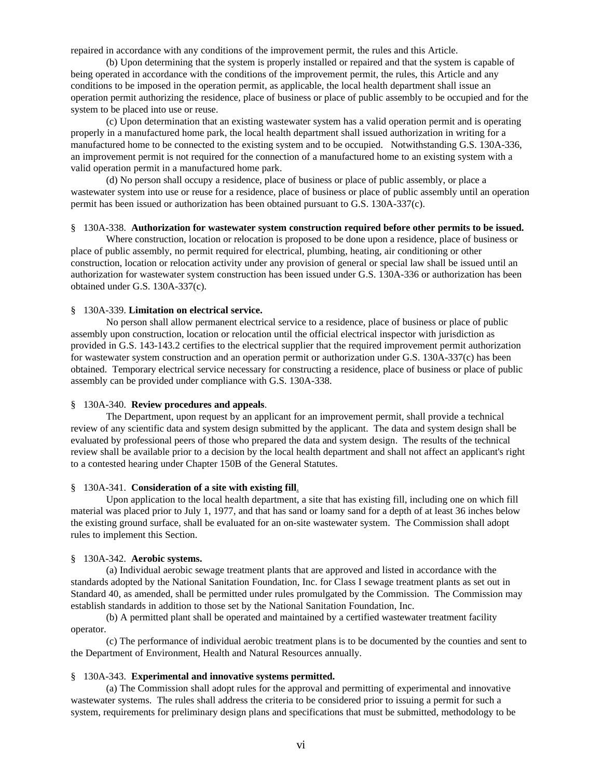repaired in accordance with any conditions of the improvement permit, the rules and this Article.

(b) Upon determining that the system is properly installed or repaired and that the system is capable of being operated in accordance with the conditions of the improvement permit, the rules, this Article and any conditions to be imposed in the operation permit, as applicable, the local health department shall issue an operation permit authorizing the residence, place of business or place of public assembly to be occupied and for the system to be placed into use or reuse.

(c) Upon determination that an existing wastewater system has a valid operation permit and is operating properly in a manufactured home park, the local health department shall issued authorization in writing for a manufactured home to be connected to the existing system and to be occupied. Notwithstanding G.S. 130A-336, an improvement permit is not required for the connection of a manufactured home to an existing system with a valid operation permit in a manufactured home park.

(d) No person shall occupy a residence, place of business or place of public assembly, or place a wastewater system into use or reuse for a residence, place of business or place of public assembly until an operation permit has been issued or authorization has been obtained pursuant to G.S. 130A-337(c).

#### § 130A-338. **Authorization for wastewater system construction required before other permits to be issued.**

Where construction, location or relocation is proposed to be done upon a residence, place of business or place of public assembly, no permit required for electrical, plumbing, heating, air conditioning or other construction, location or relocation activity under any provision of general or special law shall be issued until an authorization for wastewater system construction has been issued under G.S. 130A-336 or authorization has been obtained under G.S. 130A-337(c).

#### § 130A-339. **Limitation on electrical service.**

No person shall allow permanent electrical service to a residence, place of business or place of public assembly upon construction, location or relocation until the official electrical inspector with jurisdiction as provided in G.S. 143-143.2 certifies to the electrical supplier that the required improvement permit authorization for wastewater system construction and an operation permit or authorization under G.S. 130A-337(c) has been obtained. Temporary electrical service necessary for constructing a residence, place of business or place of public assembly can be provided under compliance with G.S. 130A-338.

### § 130A-340. **Review procedures and appeals**.

The Department, upon request by an applicant for an improvement permit, shall provide a technical review of any scientific data and system design submitted by the applicant. The data and system design shall be evaluated by professional peers of those who prepared the data and system design. The results of the technical review shall be available prior to a decision by the local health department and shall not affect an applicant's right to a contested hearing under Chapter 150B of the General Statutes.

### § 130A-341. **Consideration of a site with existing fill**.

Upon application to the local health department, a site that has existing fill, including one on which fill material was placed prior to July 1, 1977, and that has sand or loamy sand for a depth of at least 36 inches below the existing ground surface, shall be evaluated for an on-site wastewater system. The Commission shall adopt rules to implement this Section.

#### § 130A-342. **Aerobic systems.**

(a) Individual aerobic sewage treatment plants that are approved and listed in accordance with the standards adopted by the National Sanitation Foundation, Inc. for Class I sewage treatment plants as set out in Standard 40, as amended, shall be permitted under rules promulgated by the Commission. The Commission may establish standards in addition to those set by the National Sanitation Foundation, Inc.

(b) A permitted plant shall be operated and maintained by a certified wastewater treatment facility operator.

(c) The performance of individual aerobic treatment plans is to be documented by the counties and sent to the Department of Environment, Health and Natural Resources annually.

#### § 130A-343. **Experimental and innovative systems permitted.**

(a) The Commission shall adopt rules for the approval and permitting of experimental and innovative wastewater systems. The rules shall address the criteria to be considered prior to issuing a permit for such a system, requirements for preliminary design plans and specifications that must be submitted, methodology to be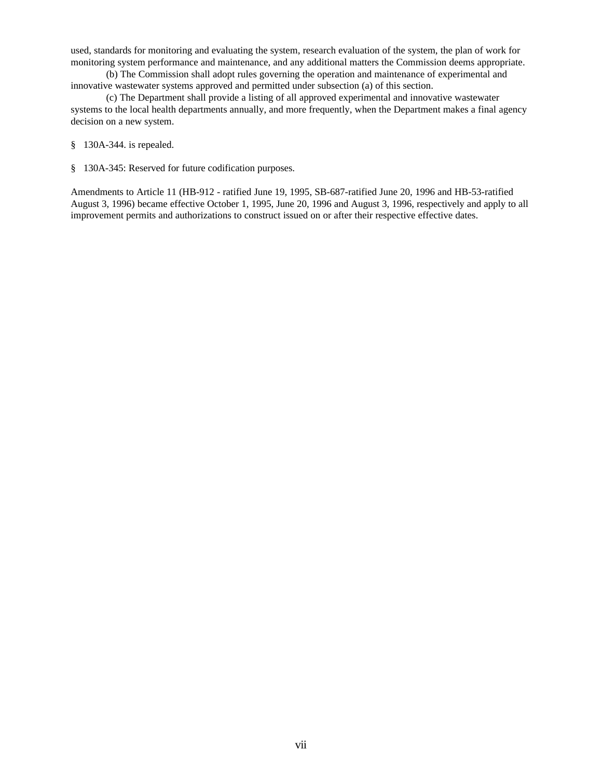used, standards for monitoring and evaluating the system, research evaluation of the system, the plan of work for monitoring system performance and maintenance, and any additional matters the Commission deems appropriate.

(b) The Commission shall adopt rules governing the operation and maintenance of experimental and innovative wastewater systems approved and permitted under subsection (a) of this section.

(c) The Department shall provide a listing of all approved experimental and innovative wastewater systems to the local health departments annually, and more frequently, when the Department makes a final agency decision on a new system.

§ 130A-344. is repealed.

§ 130A-345: Reserved for future codification purposes.

Amendments to Article 11 (HB-912 - ratified June 19, 1995, SB-687-ratified June 20, 1996 and HB-53-ratified August 3, 1996) became effective October 1, 1995, June 20, 1996 and August 3, 1996, respectively and apply to all improvement permits and authorizations to construct issued on or after their respective effective dates.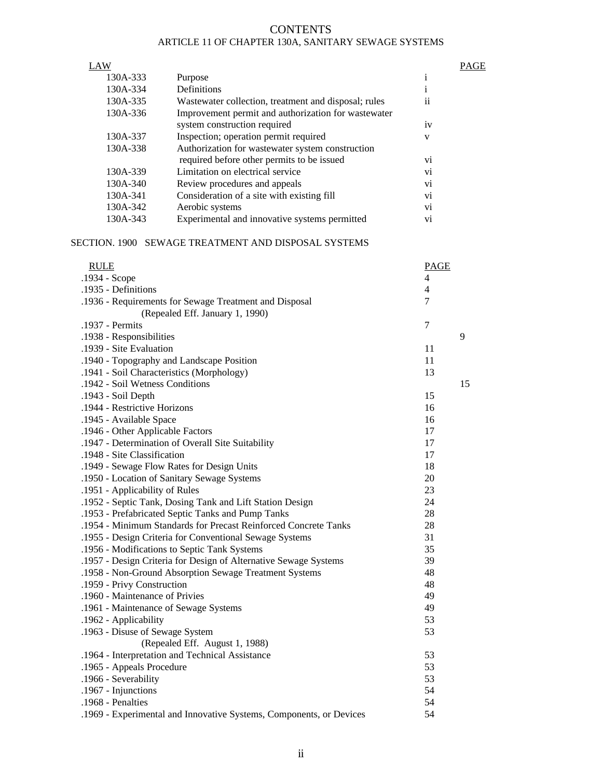# **CONTENTS** ARTICLE 11 OF CHAPTER 130A, SANITARY SEWAGE SYSTEMS

#### LAW PAGE

| 130A-333 | Purpose                                              |    |
|----------|------------------------------------------------------|----|
| 130A-334 | Definitions                                          |    |
| 130A-335 | Wastewater collection, treatment and disposal; rules | ii |
| 130A-336 | Improvement permit and authorization for wastewater  |    |
|          | system construction required                         | iv |
| 130A-337 | Inspection; operation permit required                | V  |
| 130A-338 | Authorization for wastewater system construction     |    |
|          | required before other permits to be issued           | vi |
| 130A-339 | Limitation on electrical service                     | vi |
| 130A-340 | Review procedures and appeals                        | vi |
| 130A-341 | Consideration of a site with existing fill           | vi |
| 130A-342 | Aerobic systems                                      | vi |
| 130A-343 | Experimental and innovative systems permitted        | vi |

# SECTION. 1900 SEWAGE TREATMENT AND DISPOSAL SYSTEMS

| <b>RULE</b>                                                         | <b>PAGE</b>    |    |
|---------------------------------------------------------------------|----------------|----|
| .1934 - Scope                                                       | 4              |    |
| .1935 - Definitions                                                 | $\overline{4}$ |    |
| .1936 - Requirements for Sewage Treatment and Disposal              | 7              |    |
| (Repealed Eff. January 1, 1990)                                     |                |    |
| .1937 - Permits                                                     | $\tau$         |    |
| .1938 - Responsibilities                                            |                | 9  |
| .1939 - Site Evaluation                                             | 11             |    |
| .1940 - Topography and Landscape Position                           | 11             |    |
| .1941 - Soil Characteristics (Morphology)                           | 13             |    |
| .1942 - Soil Wetness Conditions                                     |                | 15 |
| .1943 - Soil Depth                                                  | 15             |    |
| .1944 - Restrictive Horizons                                        | 16             |    |
| .1945 - Available Space                                             | 16             |    |
| .1946 - Other Applicable Factors                                    | 17             |    |
| .1947 - Determination of Overall Site Suitability                   | 17             |    |
| .1948 - Site Classification                                         | 17             |    |
| .1949 - Sewage Flow Rates for Design Units                          | 18             |    |
| .1950 - Location of Sanitary Sewage Systems                         | 20             |    |
| .1951 - Applicability of Rules                                      | 23             |    |
| .1952 - Septic Tank, Dosing Tank and Lift Station Design            | 24             |    |
| .1953 - Prefabricated Septic Tanks and Pump Tanks                   | 28             |    |
| .1954 - Minimum Standards for Precast Reinforced Concrete Tanks     | 28             |    |
| .1955 - Design Criteria for Conventional Sewage Systems             | 31             |    |
| .1956 - Modifications to Septic Tank Systems                        | 35             |    |
| .1957 - Design Criteria for Design of Alternative Sewage Systems    | 39             |    |
| .1958 - Non-Ground Absorption Sewage Treatment Systems              | 48             |    |
| .1959 - Privy Construction                                          | 48             |    |
| .1960 - Maintenance of Privies                                      | 49             |    |
| .1961 - Maintenance of Sewage Systems                               | 49             |    |
| .1962 - Applicability                                               | 53             |    |
| .1963 - Disuse of Sewage System                                     | 53             |    |
| (Repealed Eff. August 1, 1988)                                      |                |    |
| .1964 - Interpretation and Technical Assistance                     | 53             |    |
| .1965 - Appeals Procedure                                           | 53             |    |
| .1966 - Severability                                                | 53             |    |
| .1967 - Injunctions                                                 | 54             |    |
| .1968 - Penalties                                                   | 54             |    |
| .1969 - Experimental and Innovative Systems, Components, or Devices | 54             |    |
|                                                                     |                |    |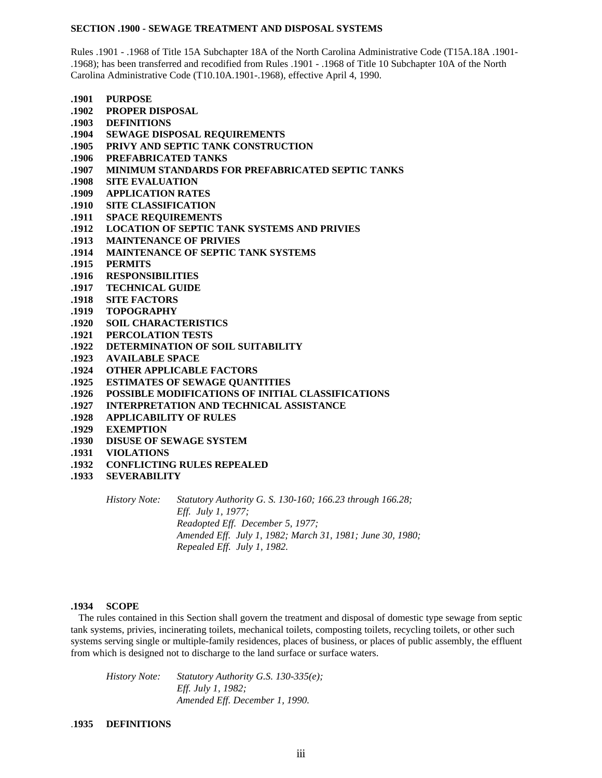#### **SECTION .1900 - SEWAGE TREATMENT AND DISPOSAL SYSTEMS**

Rules .1901 - .1968 of Title 15A Subchapter 18A of the North Carolina Administrative Code (T15A.18A .1901- .1968); has been transferred and recodified from Rules .1901 - .1968 of Title 10 Subchapter 10A of the North Carolina Administrative Code (T10.10A.1901-.1968), effective April 4, 1990.

**.1901 PURPOSE .1902 PROPER DISPOSAL .1903 DEFINITIONS .1904 SEWAGE DISPOSAL REQUIREMENTS .1905 PRIVY AND SEPTIC TANK CONSTRUCTION .1906 PREFABRICATED TANKS .1907 MINIMUM STANDARDS FOR PREFABRICATED SEPTIC TANKS .1908 SITE EVALUATION .1909 APPLICATION RATES .1910 SITE CLASSIFICATION .1911 SPACE REQUIREMENTS .1912 LOCATION OF SEPTIC TANK SYSTEMS AND PRIVIES .1913 MAINTENANCE OF PRIVIES .1914 MAINTENANCE OF SEPTIC TANK SYSTEMS .1915 PERMITS .1916 RESPONSIBILITIES .1917 TECHNICAL GUIDE .1918 SITE FACTORS .1919 TOPOGRAPHY .1920 SOIL CHARACTERISTICS .1921 PERCOLATION TESTS .1922 DETERMINATION OF SOIL SUITABILITY .1923 AVAILABLE SPACE .1924 OTHER APPLICABLE FACTORS .1925 ESTIMATES OF SEWAGE QUANTITIES .1926 POSSIBLE MODIFICATIONS OF INITIAL CLASSIFICATIONS .1927 INTERPRETATION AND TECHNICAL ASSISTANCE .1928 APPLICABILITY OF RULES .1929 EXEMPTION .1930 DISUSE OF SEWAGE SYSTEM .1931 VIOLATIONS**

- **.1932 CONFLICTING RULES REPEALED**
- **.1933 SEVERABILITY**

*History Note: Statutory Authority G. S. 130-160; 166.23 through 166.28; Eff. July 1, 1977; Readopted Eff. December 5, 1977; Amended Eff. July 1, 1982; March 31, 1981; June 30, 1980; Repealed Eff. July 1, 1982.*

## **.1934 SCOPE**

 The rules contained in this Section shall govern the treatment and disposal of domestic type sewage from septic tank systems, privies, incinerating toilets, mechanical toilets, composting toilets, recycling toilets, or other such systems serving single or multiple-family residences, places of business, or places of public assembly, the effluent from which is designed not to discharge to the land surface or surface waters.

*History Note: Statutory Authority G.S. 130-335(e); Eff. July 1, 1982; Amended Eff. December 1, 1990.*

.**1935 DEFINITIONS**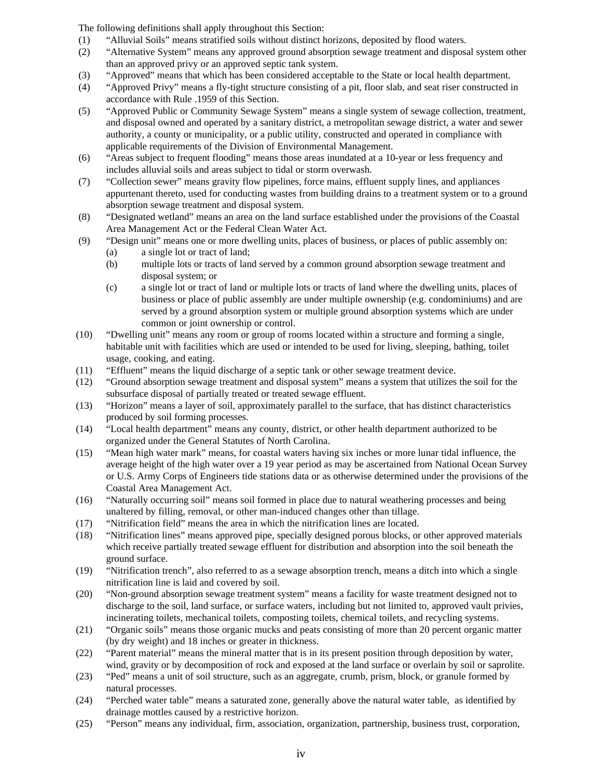The following definitions shall apply throughout this Section:

- (1) "Alluvial Soils" means stratified soils without distinct horizons, deposited by flood waters.
- (2) "Alternative System" means any approved ground absorption sewage treatment and disposal system other than an approved privy or an approved septic tank system.
- (3) "Approved" means that which has been considered acceptable to the State or local health department.
- (4) "Approved Privy" means a fly-tight structure consisting of a pit, floor slab, and seat riser constructed in accordance with Rule .1959 of this Section.
- (5) "Approved Public or Community Sewage System" means a single system of sewage collection, treatment, and disposal owned and operated by a sanitary district, a metropolitan sewage district, a water and sewer authority, a county or municipality, or a public utility, constructed and operated in compliance with applicable requirements of the Division of Environmental Management.
- (6) "Areas subject to frequent flooding" means those areas inundated at a 10-year or less frequency and includes alluvial soils and areas subject to tidal or storm overwash.
- (7) "Collection sewer" means gravity flow pipelines, force mains, effluent supply lines, and appliances appurtenant thereto, used for conducting wastes from building drains to a treatment system or to a ground absorption sewage treatment and disposal system.
- (8) "Designated wetland" means an area on the land surface established under the provisions of the Coastal Area Management Act or the Federal Clean Water Act.
- (9) "Design unit" means one or more dwelling units, places of business, or places of public assembly on:
	- (a) a single lot or tract of land;
	- (b) multiple lots or tracts of land served by a common ground absorption sewage treatment and disposal system; or
	- (c) a single lot or tract of land or multiple lots or tracts of land where the dwelling units, places of business or place of public assembly are under multiple ownership (e.g. condominiums) and are served by a ground absorption system or multiple ground absorption systems which are under common or joint ownership or control.
- (10) "Dwelling unit" means any room or group of rooms located within a structure and forming a single, habitable unit with facilities which are used or intended to be used for living, sleeping, bathing, toilet usage, cooking, and eating.
- (11) "Effluent" means the liquid discharge of a septic tank or other sewage treatment device.
- (12) "Ground absorption sewage treatment and disposal system" means a system that utilizes the soil for the subsurface disposal of partially treated or treated sewage effluent.
- (13) "Horizon" means a layer of soil, approximately parallel to the surface, that has distinct characteristics produced by soil forming processes.
- (14) "Local health department" means any county, district, or other health department authorized to be organized under the General Statutes of North Carolina.
- (15) "Mean high water mark" means, for coastal waters having six inches or more lunar tidal influence, the average height of the high water over a 19 year period as may be ascertained from National Ocean Survey or U.S. Army Corps of Engineers tide stations data or as otherwise determined under the provisions of the Coastal Area Management Act.
- (16) "Naturally occurring soil" means soil formed in place due to natural weathering processes and being unaltered by filling, removal, or other man-induced changes other than tillage.
- (17) "Nitrification field" means the area in which the nitrification lines are located.
- (18) "Nitrification lines" means approved pipe, specially designed porous blocks, or other approved materials which receive partially treated sewage effluent for distribution and absorption into the soil beneath the ground surface.
- (19) "Nitrification trench", also referred to as a sewage absorption trench, means a ditch into which a single nitrification line is laid and covered by soil.
- (20) "Non-ground absorption sewage treatment system" means a facility for waste treatment designed not to discharge to the soil, land surface, or surface waters, including but not limited to, approved vault privies, incinerating toilets, mechanical toilets, composting toilets, chemical toilets, and recycling systems.
- (21) "Organic soils" means those organic mucks and peats consisting of more than 20 percent organic matter (by dry weight) and 18 inches or greater in thickness.
- (22) "Parent material" means the mineral matter that is in its present position through deposition by water, wind, gravity or by decomposition of rock and exposed at the land surface or overlain by soil or saprolite.
- (23) "Ped" means a unit of soil structure, such as an aggregate, crumb, prism, block, or granule formed by natural processes.
- (24) "Perched water table" means a saturated zone, generally above the natural water table, as identified by drainage mottles caused by a restrictive horizon.
- (25) "Person" means any individual, firm, association, organization, partnership, business trust, corporation,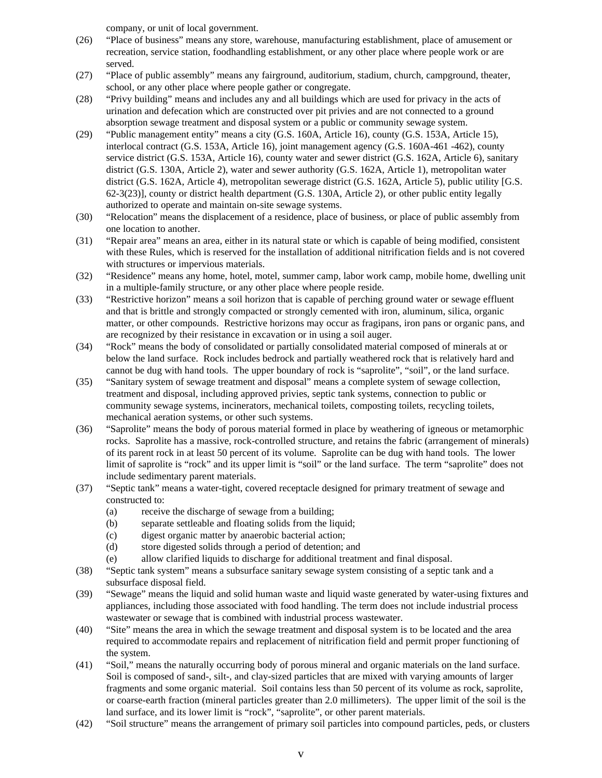company, or unit of local government.

- (26) "Place of business" means any store, warehouse, manufacturing establishment, place of amusement or recreation, service station, foodhandling establishment, or any other place where people work or are served.
- (27) "Place of public assembly" means any fairground, auditorium, stadium, church, campground, theater, school, or any other place where people gather or congregate.
- (28) "Privy building" means and includes any and all buildings which are used for privacy in the acts of urination and defecation which are constructed over pit privies and are not connected to a ground absorption sewage treatment and disposal system or a public or community sewage system.
- (29) "Public management entity" means a city (G.S. 160A, Article 16), county (G.S. 153A, Article 15), interlocal contract (G.S. 153A, Article 16), joint management agency (G.S. 160A-461 -462), county service district (G.S. 153A, Article 16), county water and sewer district (G.S. 162A, Article 6), sanitary district (G.S. 130A, Article 2), water and sewer authority (G.S. 162A, Article 1), metropolitan water district (G.S. 162A, Article 4), metropolitan sewerage district (G.S. 162A, Article 5), public utility [G.S. 62-3(23)], county or district health department (G.S. 130A, Article 2), or other public entity legally authorized to operate and maintain on-site sewage systems.
- (30) "Relocation" means the displacement of a residence, place of business, or place of public assembly from one location to another.
- (31) "Repair area" means an area, either in its natural state or which is capable of being modified, consistent with these Rules, which is reserved for the installation of additional nitrification fields and is not covered with structures or impervious materials.
- (32) "Residence" means any home, hotel, motel, summer camp, labor work camp, mobile home, dwelling unit in a multiple-family structure, or any other place where people reside.
- (33) "Restrictive horizon" means a soil horizon that is capable of perching ground water or sewage effluent and that is brittle and strongly compacted or strongly cemented with iron, aluminum, silica, organic matter, or other compounds. Restrictive horizons may occur as fragipans, iron pans or organic pans, and are recognized by their resistance in excavation or in using a soil auger.
- (34) "Rock" means the body of consolidated or partially consolidated material composed of minerals at or below the land surface. Rock includes bedrock and partially weathered rock that is relatively hard and cannot be dug with hand tools. The upper boundary of rock is "saprolite", "soil", or the land surface.
- (35) "Sanitary system of sewage treatment and disposal" means a complete system of sewage collection, treatment and disposal, including approved privies, septic tank systems, connection to public or community sewage systems, incinerators, mechanical toilets, composting toilets, recycling toilets, mechanical aeration systems, or other such systems.
- (36) "Saprolite" means the body of porous material formed in place by weathering of igneous or metamorphic rocks. Saprolite has a massive, rock-controlled structure, and retains the fabric (arrangement of minerals) of its parent rock in at least 50 percent of its volume. Saprolite can be dug with hand tools. The lower limit of saprolite is "rock" and its upper limit is "soil" or the land surface. The term "saprolite" does not include sedimentary parent materials.
- (37) "Septic tank" means a water-tight, covered receptacle designed for primary treatment of sewage and constructed to:
	- (a) receive the discharge of sewage from a building;
	- (b) separate settleable and floating solids from the liquid;
	- (c) digest organic matter by anaerobic bacterial action;
	- (d) store digested solids through a period of detention; and
	- (e) allow clarified liquids to discharge for additional treatment and final disposal.
- (38) "Septic tank system" means a subsurface sanitary sewage system consisting of a septic tank and a subsurface disposal field.
- (39) "Sewage" means the liquid and solid human waste and liquid waste generated by water-using fixtures and appliances, including those associated with food handling. The term does not include industrial process wastewater or sewage that is combined with industrial process wastewater.
- (40) "Site" means the area in which the sewage treatment and disposal system is to be located and the area required to accommodate repairs and replacement of nitrification field and permit proper functioning of the system.
- (41) "Soil," means the naturally occurring body of porous mineral and organic materials on the land surface. Soil is composed of sand-, silt-, and clay-sized particles that are mixed with varying amounts of larger fragments and some organic material. Soil contains less than 50 percent of its volume as rock, saprolite, or coarse-earth fraction (mineral particles greater than 2.0 millimeters). The upper limit of the soil is the land surface, and its lower limit is "rock", "saprolite", or other parent materials.
- (42) "Soil structure" means the arrangement of primary soil particles into compound particles, peds, or clusters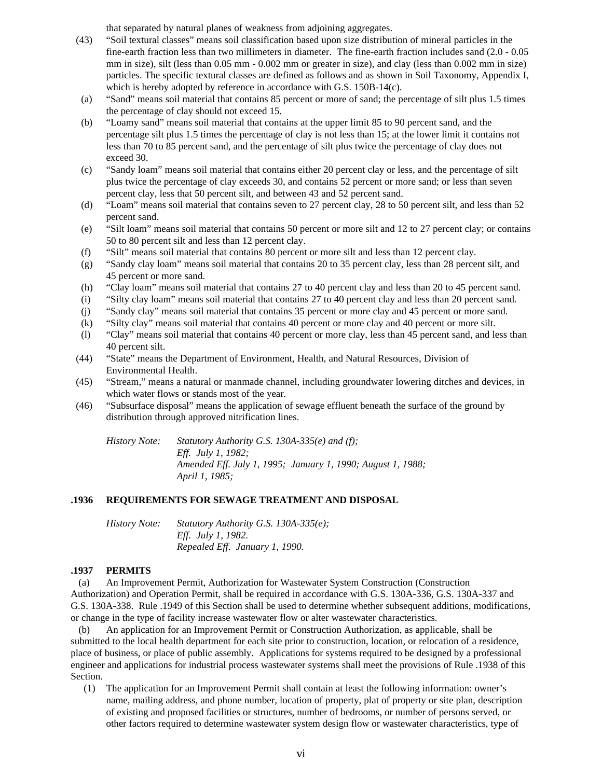that separated by natural planes of weakness from adjoining aggregates.

- (43) "Soil textural classes" means soil classification based upon size distribution of mineral particles in the fine-earth fraction less than two millimeters in diameter. The fine-earth fraction includes sand (2.0 - 0.05 mm in size), silt (less than 0.05 mm - 0.002 mm or greater in size), and clay (less than 0.002 mm in size) particles. The specific textural classes are defined as follows and as shown in Soil Taxonomy, Appendix I, which is hereby adopted by reference in accordance with G.S. 150B-14(c).
- (a) "Sand" means soil material that contains 85 percent or more of sand; the percentage of silt plus 1.5 times the percentage of clay should not exceed 15.
- (b) "Loamy sand" means soil material that contains at the upper limit 85 to 90 percent sand, and the percentage silt plus 1.5 times the percentage of clay is not less than 15; at the lower limit it contains not less than 70 to 85 percent sand, and the percentage of silt plus twice the percentage of clay does not exceed 30.
- (c) "Sandy loam" means soil material that contains either 20 percent clay or less, and the percentage of silt plus twice the percentage of clay exceeds 30, and contains 52 percent or more sand; or less than seven percent clay, less that 50 percent silt, and between 43 and 52 percent sand.
- (d) "Loam" means soil material that contains seven to 27 percent clay, 28 to 50 percent silt, and less than 52 percent sand.
- (e) "Silt loam" means soil material that contains 50 percent or more silt and 12 to 27 percent clay; or contains 50 to 80 percent silt and less than 12 percent clay.
- (f) "Silt" means soil material that contains 80 percent or more silt and less than 12 percent clay.
- (g) "Sandy clay loam" means soil material that contains 20 to 35 percent clay, less than 28 percent silt, and 45 percent or more sand.
- (h) "Clay loam" means soil material that contains 27 to 40 percent clay and less than 20 to 45 percent sand.
- (i) "Silty clay loam" means soil material that contains 27 to 40 percent clay and less than 20 percent sand.
- (j) "Sandy clay" means soil material that contains 35 percent or more clay and 45 percent or more sand.
- (k) "Silty clay" means soil material that contains 40 percent or more clay and 40 percent or more silt.
- (l) "Clay" means soil material that contains 40 percent or more clay, less than 45 percent sand, and less than 40 percent silt.
- (44) "State" means the Department of Environment, Health, and Natural Resources, Division of Environmental Health.
- (45) "Stream," means a natural or manmade channel, including groundwater lowering ditches and devices, in which water flows or stands most of the year.
- (46) "Subsurface disposal" means the application of sewage effluent beneath the surface of the ground by distribution through approved nitrification lines.

*History Note: Statutory Authority G.S. 130A-335(e) and (f); Eff. July 1, 1982; Amended Eff. July 1, 1995; January 1, 1990; August 1, 1988; April 1, 1985;*

# **.1936 REQUIREMENTS FOR SEWAGE TREATMENT AND DISPOSAL**

| History Note: | Statutory Authority G.S. 130A-335(e); |
|---------------|---------------------------------------|
|               | <i>Eff. July 1, 1982.</i>             |
|               | Repealed Eff. January 1, 1990.        |

### **.1937 PERMITS**

 (a) An Improvement Permit, Authorization for Wastewater System Construction (Construction Authorization) and Operation Permit, shall be required in accordance with G.S. 130A-336, G.S. 130A-337 and G.S. 130A-338. Rule .1949 of this Section shall be used to determine whether subsequent additions, modifications, or change in the type of facility increase wastewater flow or alter wastewater characteristics.

 (b) An application for an Improvement Permit or Construction Authorization, as applicable, shall be submitted to the local health department for each site prior to construction, location, or relocation of a residence, place of business, or place of public assembly. Applications for systems required to be designed by a professional engineer and applications for industrial process wastewater systems shall meet the provisions of Rule .1938 of this Section.

 (1) The application for an Improvement Permit shall contain at least the following information: owner's name, mailing address, and phone number, location of property, plat of property or site plan, description of existing and proposed facilities or structures, number of bedrooms, or number of persons served, or other factors required to determine wastewater system design flow or wastewater characteristics, type of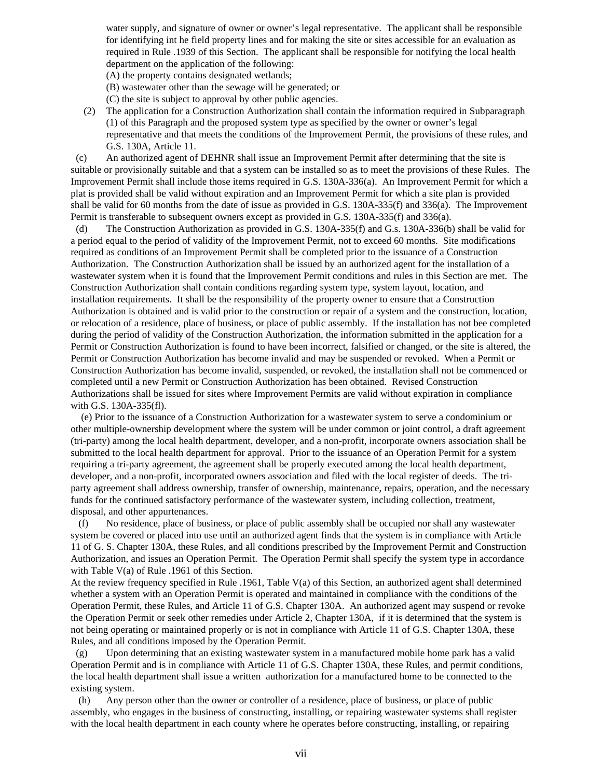water supply, and signature of owner or owner's legal representative. The applicant shall be responsible for identifying int he field property lines and for making the site or sites accessible for an evaluation as required in Rule .1939 of this Section. The applicant shall be responsible for notifying the local health department on the application of the following:

(A) the property contains designated wetlands;

(B) wastewater other than the sewage will be generated; or

(C) the site is subject to approval by other public agencies.

 (2) The application for a Construction Authorization shall contain the information required in Subparagraph (1) of this Paragraph and the proposed system type as specified by the owner or owner's legal representative and that meets the conditions of the Improvement Permit, the provisions of these rules, and G.S. 130A, Article 11.

 (c) An authorized agent of DEHNR shall issue an Improvement Permit after determining that the site is suitable or provisionally suitable and that a system can be installed so as to meet the provisions of these Rules. The Improvement Permit shall include those items required in G.S. 130A-336(a). An Improvement Permit for which a plat is provided shall be valid without expiration and an Improvement Permit for which a site plan is provided shall be valid for 60 months from the date of issue as provided in G.S. 130A-335(f) and 336(a). The Improvement Permit is transferable to subsequent owners except as provided in G.S. 130A-335(f) and 336(a).

 (d) The Construction Authorization as provided in G.S. 130A-335(f) and G.s. 130A-336(b) shall be valid for a period equal to the period of validity of the Improvement Permit, not to exceed 60 months. Site modifications required as conditions of an Improvement Permit shall be completed prior to the issuance of a Construction Authorization. The Construction Authorization shall be issued by an authorized agent for the installation of a wastewater system when it is found that the Improvement Permit conditions and rules in this Section are met. The Construction Authorization shall contain conditions regarding system type, system layout, location, and installation requirements. It shall be the responsibility of the property owner to ensure that a Construction Authorization is obtained and is valid prior to the construction or repair of a system and the construction, location, or relocation of a residence, place of business, or place of public assembly. If the installation has not bee completed during the period of validity of the Construction Authorization, the information submitted in the application for a Permit or Construction Authorization is found to have been incorrect, falsified or changed, or the site is altered, the Permit or Construction Authorization has become invalid and may be suspended or revoked. When a Permit or Construction Authorization has become invalid, suspended, or revoked, the installation shall not be commenced or completed until a new Permit or Construction Authorization has been obtained. Revised Construction Authorizations shall be issued for sites where Improvement Permits are valid without expiration in compliance with G.S. 130A-335(fl).

 (e) Prior to the issuance of a Construction Authorization for a wastewater system to serve a condominium or other multiple-ownership development where the system will be under common or joint control, a draft agreement (tri-party) among the local health department, developer, and a non-profit, incorporate owners association shall be submitted to the local health department for approval. Prior to the issuance of an Operation Permit for a system requiring a tri-party agreement, the agreement shall be properly executed among the local health department, developer, and a non-profit, incorporated owners association and filed with the local register of deeds. The triparty agreement shall address ownership, transfer of ownership, maintenance, repairs, operation, and the necessary funds for the continued satisfactory performance of the wastewater system, including collection, treatment, disposal, and other appurtenances.

 (f) No residence, place of business, or place of public assembly shall be occupied nor shall any wastewater system be covered or placed into use until an authorized agent finds that the system is in compliance with Article 11 of G. S. Chapter 130A, these Rules, and all conditions prescribed by the Improvement Permit and Construction Authorization, and issues an Operation Permit. The Operation Permit shall specify the system type in accordance with Table V(a) of Rule .1961 of this Section.

At the review frequency specified in Rule .1961, Table V(a) of this Section, an authorized agent shall determined whether a system with an Operation Permit is operated and maintained in compliance with the conditions of the Operation Permit, these Rules, and Article 11 of G.S. Chapter 130A. An authorized agent may suspend or revoke the Operation Permit or seek other remedies under Article 2, Chapter 130A, if it is determined that the system is not being operating or maintained properly or is not in compliance with Article 11 of G.S. Chapter 130A, these Rules, and all conditions imposed by the Operation Permit.

 (g) Upon determining that an existing wastewater system in a manufactured mobile home park has a valid Operation Permit and is in compliance with Article 11 of G.S. Chapter 130A, these Rules, and permit conditions, the local health department shall issue a written authorization for a manufactured home to be connected to the existing system.

 (h) Any person other than the owner or controller of a residence, place of business, or place of public assembly, who engages in the business of constructing, installing, or repairing wastewater systems shall register with the local health department in each county where he operates before constructing, installing, or repairing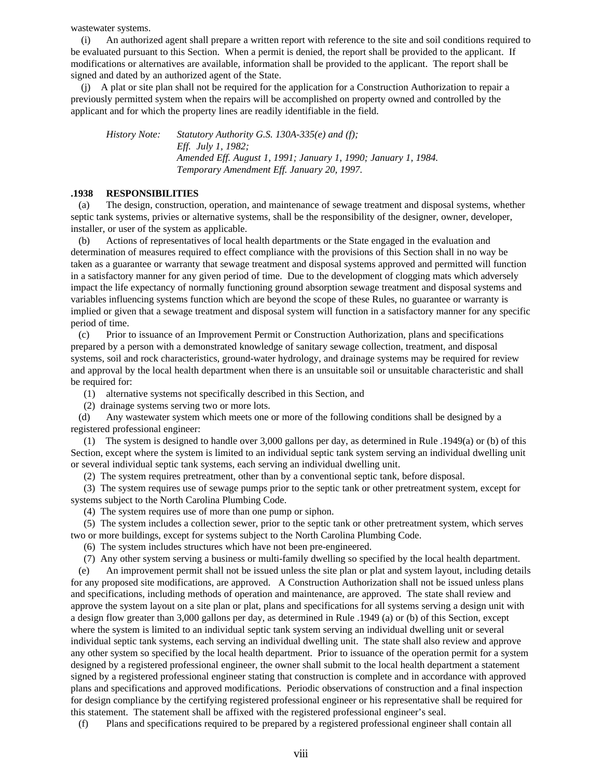wastewater systems.

 (i) An authorized agent shall prepare a written report with reference to the site and soil conditions required to be evaluated pursuant to this Section. When a permit is denied, the report shall be provided to the applicant. If modifications or alternatives are available, information shall be provided to the applicant. The report shall be signed and dated by an authorized agent of the State.

 (j) A plat or site plan shall not be required for the application for a Construction Authorization to repair a previously permitted system when the repairs will be accomplished on property owned and controlled by the applicant and for which the property lines are readily identifiable in the field.

*History Note: Statutory Authority G.S. 130A-335(e) and (f); Eff. July 1, 1982; Amended Eff. August 1, 1991; January 1, 1990; January 1, 1984. Temporary Amendment Eff. January 20, 1997.*

### **.1938 RESPONSIBILITIES**

 (a) The design, construction, operation, and maintenance of sewage treatment and disposal systems, whether septic tank systems, privies or alternative systems, shall be the responsibility of the designer, owner, developer, installer, or user of the system as applicable.

 (b) Actions of representatives of local health departments or the State engaged in the evaluation and determination of measures required to effect compliance with the provisions of this Section shall in no way be taken as a guarantee or warranty that sewage treatment and disposal systems approved and permitted will function in a satisfactory manner for any given period of time. Due to the development of clogging mats which adversely impact the life expectancy of normally functioning ground absorption sewage treatment and disposal systems and variables influencing systems function which are beyond the scope of these Rules, no guarantee or warranty is implied or given that a sewage treatment and disposal system will function in a satisfactory manner for any specific period of time.

 (c) Prior to issuance of an Improvement Permit or Construction Authorization, plans and specifications prepared by a person with a demonstrated knowledge of sanitary sewage collection, treatment, and disposal systems, soil and rock characteristics, ground-water hydrology, and drainage systems may be required for review and approval by the local health department when there is an unsuitable soil or unsuitable characteristic and shall be required for:

(1) alternative systems not specifically described in this Section, and

(2) drainage systems serving two or more lots.

 (d) Any wastewater system which meets one or more of the following conditions shall be designed by a registered professional engineer:

 (1) The system is designed to handle over 3,000 gallons per day, as determined in Rule .1949(a) or (b) of this Section, except where the system is limited to an individual septic tank system serving an individual dwelling unit or several individual septic tank systems, each serving an individual dwelling unit.

(2) The system requires pretreatment, other than by a conventional septic tank, before disposal.

 (3) The system requires use of sewage pumps prior to the septic tank or other pretreatment system, except for systems subject to the North Carolina Plumbing Code.

(4) The system requires use of more than one pump or siphon.

 (5) The system includes a collection sewer, prior to the septic tank or other pretreatment system, which serves two or more buildings, except for systems subject to the North Carolina Plumbing Code.

(6) The system includes structures which have not been pre-engineered.

(7) Any other system serving a business or multi-family dwelling so specified by the local health department.

 (e) An improvement permit shall not be issued unless the site plan or plat and system layout, including details for any proposed site modifications, are approved. A Construction Authorization shall not be issued unless plans and specifications, including methods of operation and maintenance, are approved. The state shall review and approve the system layout on a site plan or plat, plans and specifications for all systems serving a design unit with a design flow greater than 3,000 gallons per day, as determined in Rule .1949 (a) or (b) of this Section, except where the system is limited to an individual septic tank system serving an individual dwelling unit or several individual septic tank systems, each serving an individual dwelling unit. The state shall also review and approve any other system so specified by the local health department. Prior to issuance of the operation permit for a system designed by a registered professional engineer, the owner shall submit to the local health department a statement signed by a registered professional engineer stating that construction is complete and in accordance with approved plans and specifications and approved modifications. Periodic observations of construction and a final inspection for design compliance by the certifying registered professional engineer or his representative shall be required for this statement. The statement shall be affixed with the registered professional engineer's seal.

(f) Plans and specifications required to be prepared by a registered professional engineer shall contain all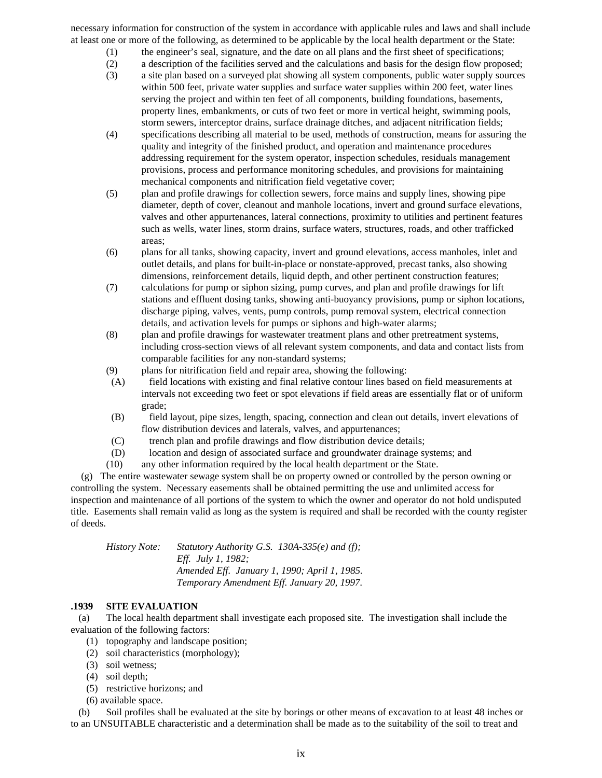necessary information for construction of the system in accordance with applicable rules and laws and shall include at least one or more of the following, as determined to be applicable by the local health department or the State:

- (1) the engineer's seal, signature, and the date on all plans and the first sheet of specifications;
- (2) a description of the facilities served and the calculations and basis for the design flow proposed;
- (3) a site plan based on a surveyed plat showing all system components, public water supply sources within 500 feet, private water supplies and surface water supplies within 200 feet, water lines serving the project and within ten feet of all components, building foundations, basements, property lines, embankments, or cuts of two feet or more in vertical height, swimming pools, storm sewers, interceptor drains, surface drainage ditches, and adjacent nitrification fields;
- (4) specifications describing all material to be used, methods of construction, means for assuring the quality and integrity of the finished product, and operation and maintenance procedures addressing requirement for the system operator, inspection schedules, residuals management provisions, process and performance monitoring schedules, and provisions for maintaining mechanical components and nitrification field vegetative cover;
- (5) plan and profile drawings for collection sewers, force mains and supply lines, showing pipe diameter, depth of cover, cleanout and manhole locations, invert and ground surface elevations, valves and other appurtenances, lateral connections, proximity to utilities and pertinent features such as wells, water lines, storm drains, surface waters, structures, roads, and other trafficked areas;
- (6) plans for all tanks, showing capacity, invert and ground elevations, access manholes, inlet and outlet details, and plans for built-in-place or nonstate-approved, precast tanks, also showing dimensions, reinforcement details, liquid depth, and other pertinent construction features;
- (7) calculations for pump or siphon sizing, pump curves, and plan and profile drawings for lift stations and effluent dosing tanks, showing anti-buoyancy provisions, pump or siphon locations, discharge piping, valves, vents, pump controls, pump removal system, electrical connection details, and activation levels for pumps or siphons and high-water alarms;
- (8) plan and profile drawings for wastewater treatment plans and other pretreatment systems, including cross-section views of all relevant system components, and data and contact lists from comparable facilities for any non-standard systems;
- (9) plans for nitrification field and repair area, showing the following:
- (A) field locations with existing and final relative contour lines based on field measurements at intervals not exceeding two feet or spot elevations if field areas are essentially flat or of uniform grade;
- (B) field layout, pipe sizes, length, spacing, connection and clean out details, invert elevations of flow distribution devices and laterals, valves, and appurtenances;
- (C) trench plan and profile drawings and flow distribution device details;
- (D) location and design of associated surface and groundwater drainage systems; and
- (10) any other information required by the local health department or the State.

 (g) The entire wastewater sewage system shall be on property owned or controlled by the person owning or controlling the system. Necessary easements shall be obtained permitting the use and unlimited access for inspection and maintenance of all portions of the system to which the owner and operator do not hold undisputed title. Easements shall remain valid as long as the system is required and shall be recorded with the county register of deeds.

*History Note: Statutory Authority G.S. 130A-335(e) and (f); Eff. July 1, 1982; Amended Eff. January 1, 1990; April 1, 1985. Temporary Amendment Eff. January 20, 1997.*

# **.1939 SITE EVALUATION**

 (a) The local health department shall investigate each proposed site. The investigation shall include the evaluation of the following factors:

- (1) topography and landscape position;
- (2) soil characteristics (morphology);
- (3) soil wetness;
- (4) soil depth;
- (5) restrictive horizons; and
- (6) available space.

 (b) Soil profiles shall be evaluated at the site by borings or other means of excavation to at least 48 inches or to an UNSUITABLE characteristic and a determination shall be made as to the suitability of the soil to treat and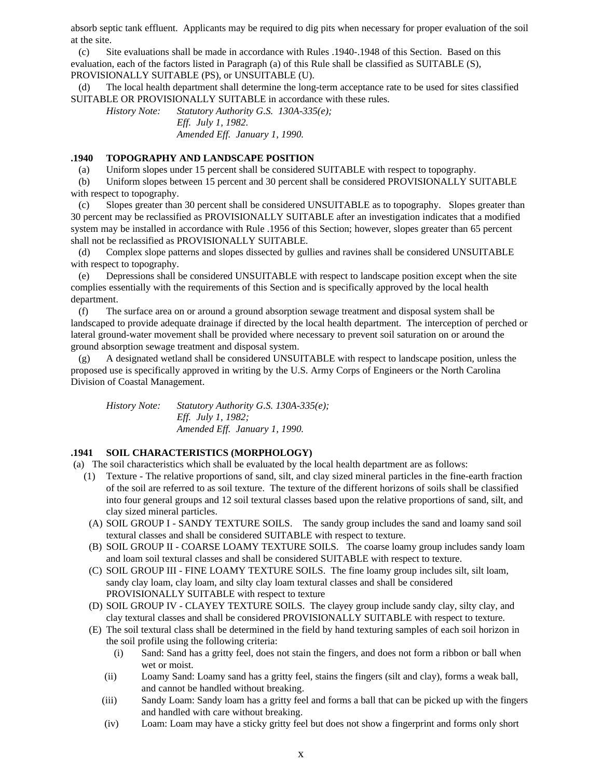absorb septic tank effluent. Applicants may be required to dig pits when necessary for proper evaluation of the soil at the site.

 (c) Site evaluations shall be made in accordance with Rules .1940-.1948 of this Section. Based on this evaluation, each of the factors listed in Paragraph (a) of this Rule shall be classified as SUITABLE (S), PROVISIONALLY SUITABLE (PS), or UNSUITABLE (U).

 (d) The local health department shall determine the long-term acceptance rate to be used for sites classified SUITABLE OR PROVISIONALLY SUITABLE in accordance with these rules.

*History Note: Statutory Authority G.S. 130A-335(e); Eff. July 1, 1982. Amended Eff. January 1, 1990.*

### **.1940 TOPOGRAPHY AND LANDSCAPE POSITION**

(a) Uniform slopes under 15 percent shall be considered SUITABLE with respect to topography.

 (b) Uniform slopes between 15 percent and 30 percent shall be considered PROVISIONALLY SUITABLE with respect to topography.

 (c) Slopes greater than 30 percent shall be considered UNSUITABLE as to topography. Slopes greater than 30 percent may be reclassified as PROVISIONALLY SUITABLE after an investigation indicates that a modified system may be installed in accordance with Rule .1956 of this Section; however, slopes greater than 65 percent shall not be reclassified as PROVISIONALLY SUITABLE.

 (d) Complex slope patterns and slopes dissected by gullies and ravines shall be considered UNSUITABLE with respect to topography.

 (e) Depressions shall be considered UNSUITABLE with respect to landscape position except when the site complies essentially with the requirements of this Section and is specifically approved by the local health department.

 (f) The surface area on or around a ground absorption sewage treatment and disposal system shall be landscaped to provide adequate drainage if directed by the local health department. The interception of perched or lateral ground-water movement shall be provided where necessary to prevent soil saturation on or around the ground absorption sewage treatment and disposal system.

 (g) A designated wetland shall be considered UNSUITABLE with respect to landscape position, unless the proposed use is specifically approved in writing by the U.S. Army Corps of Engineers or the North Carolina Division of Coastal Management.

*History Note: Statutory Authority G.S. 130A-335(e); Eff. July 1, 1982; Amended Eff. January 1, 1990.*

# **.1941 SOIL CHARACTERISTICS (MORPHOLOGY)**

(a) The soil characteristics which shall be evaluated by the local health department are as follows:

- (1) Texture The relative proportions of sand, silt, and clay sized mineral particles in the fine-earth fraction of the soil are referred to as soil texture. The texture of the different horizons of soils shall be classified into four general groups and 12 soil textural classes based upon the relative proportions of sand, silt, and clay sized mineral particles.
- (A) SOIL GROUP I SANDY TEXTURE SOILS. The sandy group includes the sand and loamy sand soil textural classes and shall be considered SUITABLE with respect to texture.
- (B) SOIL GROUP II COARSE LOAMY TEXTURE SOILS. The coarse loamy group includes sandy loam and loam soil textural classes and shall be considered SUITABLE with respect to texture.
- (C) SOIL GROUP III FINE LOAMY TEXTURE SOILS. The fine loamy group includes silt, silt loam, sandy clay loam, clay loam, and silty clay loam textural classes and shall be considered PROVISIONALLY SUITABLE with respect to texture
- (D) SOIL GROUP IV CLAYEY TEXTURE SOILS. The clayey group include sandy clay, silty clay, and clay textural classes and shall be considered PROVISIONALLY SUITABLE with respect to texture.
- (E) The soil textural class shall be determined in the field by hand texturing samples of each soil horizon in the soil profile using the following criteria:
	- (i) Sand: Sand has a gritty feel, does not stain the fingers, and does not form a ribbon or ball when wet or moist.
	- (ii) Loamy Sand: Loamy sand has a gritty feel, stains the fingers (silt and clay), forms a weak ball, and cannot be handled without breaking.
	- (iii) Sandy Loam: Sandy loam has a gritty feel and forms a ball that can be picked up with the fingers and handled with care without breaking.
	- (iv) Loam: Loam may have a sticky gritty feel but does not show a fingerprint and forms only short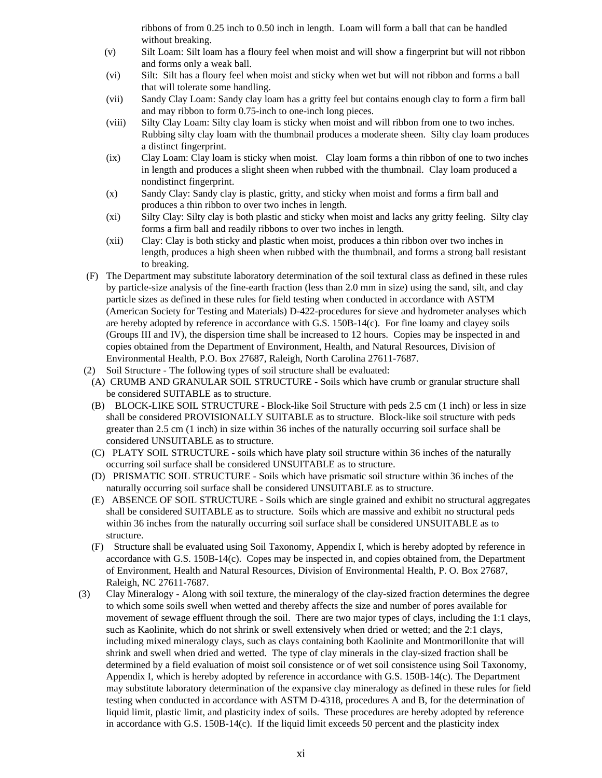ribbons of from 0.25 inch to 0.50 inch in length. Loam will form a ball that can be handled without breaking.

- (v) Silt Loam: Silt loam has a floury feel when moist and will show a fingerprint but will not ribbon and forms only a weak ball.
- (vi) Silt: Silt has a floury feel when moist and sticky when wet but will not ribbon and forms a ball that will tolerate some handling.
- (vii) Sandy Clay Loam: Sandy clay loam has a gritty feel but contains enough clay to form a firm ball and may ribbon to form 0.75-inch to one-inch long pieces.
- (viii) Silty Clay Loam: Silty clay loam is sticky when moist and will ribbon from one to two inches. Rubbing silty clay loam with the thumbnail produces a moderate sheen. Silty clay loam produces a distinct fingerprint.
- (ix) Clay Loam: Clay loam is sticky when moist. Clay loam forms a thin ribbon of one to two inches in length and produces a slight sheen when rubbed with the thumbnail. Clay loam produced a nondistinct fingerprint.
- (x) Sandy Clay: Sandy clay is plastic, gritty, and sticky when moist and forms a firm ball and produces a thin ribbon to over two inches in length.
- (xi) Silty Clay: Silty clay is both plastic and sticky when moist and lacks any gritty feeling. Silty clay forms a firm ball and readily ribbons to over two inches in length.
- (xii) Clay: Clay is both sticky and plastic when moist, produces a thin ribbon over two inches in length, produces a high sheen when rubbed with the thumbnail, and forms a strong ball resistant to breaking.
- (F) The Department may substitute laboratory determination of the soil textural class as defined in these rules by particle-size analysis of the fine-earth fraction (less than 2.0 mm in size) using the sand, silt, and clay particle sizes as defined in these rules for field testing when conducted in accordance with ASTM (American Society for Testing and Materials) D-422-procedures for sieve and hydrometer analyses which are hereby adopted by reference in accordance with G.S. 150B-14(c). For fine loamy and clayey soils (Groups III and IV), the dispersion time shall be increased to 12 hours. Copies may be inspected in and copies obtained from the Department of Environment, Health, and Natural Resources, Division of Environmental Health, P.O. Box 27687, Raleigh, North Carolina 27611-7687.
- (2) Soil Structure The following types of soil structure shall be evaluated:
- (A) CRUMB AND GRANULAR SOIL STRUCTURE Soils which have crumb or granular structure shall be considered SUITABLE as to structure.
- (B) BLOCK-LIKE SOIL STRUCTURE Block-like Soil Structure with peds 2.5 cm (1 inch) or less in size shall be considered PROVISIONALLY SUITABLE as to structure. Block-like soil structure with peds greater than 2.5 cm (1 inch) in size within 36 inches of the naturally occurring soil surface shall be considered UNSUITABLE as to structure.
- (C) PLATY SOIL STRUCTURE soils which have platy soil structure within 36 inches of the naturally occurring soil surface shall be considered UNSUITABLE as to structure.
- (D) PRISMATIC SOIL STRUCTURE Soils which have prismatic soil structure within 36 inches of the naturally occurring soil surface shall be considered UNSUITABLE as to structure.
- (E) ABSENCE OF SOIL STRUCTURE Soils which are single grained and exhibit no structural aggregates shall be considered SUITABLE as to structure. Soils which are massive and exhibit no structural peds within 36 inches from the naturally occurring soil surface shall be considered UNSUITABLE as to structure.
- (F) Structure shall be evaluated using Soil Taxonomy, Appendix I, which is hereby adopted by reference in accordance with G.S. 150B-14(c). Copes may be inspected in, and copies obtained from, the Department of Environment, Health and Natural Resources, Division of Environmental Health, P. O. Box 27687, Raleigh, NC 27611-7687.
- (3) Clay Mineralogy Along with soil texture, the mineralogy of the clay-sized fraction determines the degree to which some soils swell when wetted and thereby affects the size and number of pores available for movement of sewage effluent through the soil. There are two major types of clays, including the 1:1 clays, such as Kaolinite, which do not shrink or swell extensively when dried or wetted; and the 2:1 clays, including mixed mineralogy clays, such as clays containing both Kaolinite and Montmorillonite that will shrink and swell when dried and wetted. The type of clay minerals in the clay-sized fraction shall be determined by a field evaluation of moist soil consistence or of wet soil consistence using Soil Taxonomy, Appendix I, which is hereby adopted by reference in accordance with G.S. 150B-14(c). The Department may substitute laboratory determination of the expansive clay mineralogy as defined in these rules for field testing when conducted in accordance with ASTM D-4318, procedures A and B, for the determination of liquid limit, plastic limit, and plasticity index of soils. These procedures are hereby adopted by reference in accordance with G.S.  $150B-14(c)$ . If the liquid limit exceeds 50 percent and the plasticity index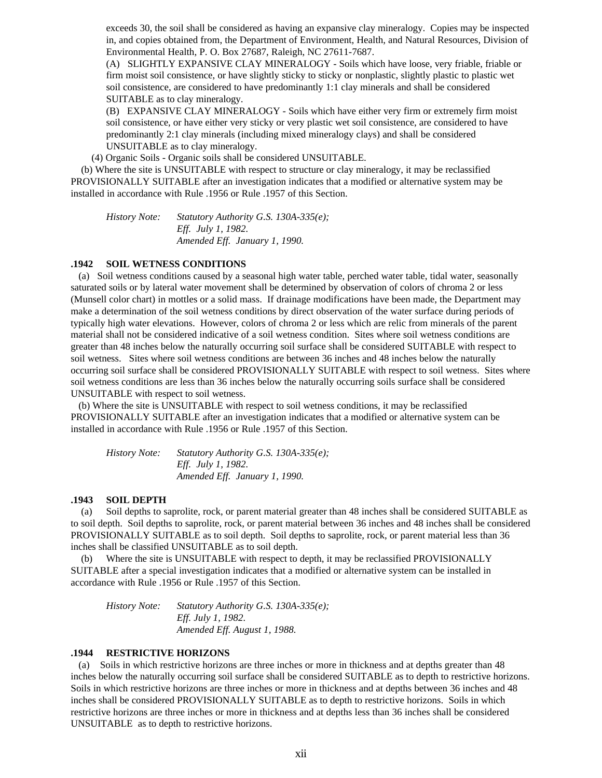exceeds 30, the soil shall be considered as having an expansive clay mineralogy. Copies may be inspected in, and copies obtained from, the Department of Environment, Health, and Natural Resources, Division of Environmental Health, P. O. Box 27687, Raleigh, NC 27611-7687.

(A) SLIGHTLY EXPANSIVE CLAY MINERALOGY - Soils which have loose, very friable, friable or firm moist soil consistence, or have slightly sticky to sticky or nonplastic, slightly plastic to plastic wet soil consistence, are considered to have predominantly 1:1 clay minerals and shall be considered SUITABLE as to clay mineralogy.

(B) EXPANSIVE CLAY MINERALOGY - Soils which have either very firm or extremely firm moist soil consistence, or have either very sticky or very plastic wet soil consistence, are considered to have predominantly 2:1 clay minerals (including mixed mineralogy clays) and shall be considered UNSUITABLE as to clay mineralogy.

(4) Organic Soils - Organic soils shall be considered UNSUITABLE.

 (b) Where the site is UNSUITABLE with respect to structure or clay mineralogy, it may be reclassified PROVISIONALLY SUITABLE after an investigation indicates that a modified or alternative system may be installed in accordance with Rule .1956 or Rule .1957 of this Section.

*History Note: Statutory Authority G.S. 130A-335(e); Eff. July 1, 1982. Amended Eff. January 1, 1990.*

### **.1942 SOIL WETNESS CONDITIONS**

 (a) Soil wetness conditions caused by a seasonal high water table, perched water table, tidal water, seasonally saturated soils or by lateral water movement shall be determined by observation of colors of chroma 2 or less (Munsell color chart) in mottles or a solid mass. If drainage modifications have been made, the Department may make a determination of the soil wetness conditions by direct observation of the water surface during periods of typically high water elevations. However, colors of chroma 2 or less which are relic from minerals of the parent material shall not be considered indicative of a soil wetness condition. Sites where soil wetness conditions are greater than 48 inches below the naturally occurring soil surface shall be considered SUITABLE with respect to soil wetness. Sites where soil wetness conditions are between 36 inches and 48 inches below the naturally occurring soil surface shall be considered PROVISIONALLY SUITABLE with respect to soil wetness. Sites where soil wetness conditions are less than 36 inches below the naturally occurring soils surface shall be considered UNSUITABLE with respect to soil wetness.

 (b) Where the site is UNSUITABLE with respect to soil wetness conditions, it may be reclassified PROVISIONALLY SUITABLE after an investigation indicates that a modified or alternative system can be installed in accordance with Rule .1956 or Rule .1957 of this Section.

| History Note: | Statutory Authority G.S. 130A-335(e); |
|---------------|---------------------------------------|
|               | <i>Eff. July 1, 1982.</i>             |
|               | Amended Eff. January 1, 1990.         |

#### **.1943 SOIL DEPTH**

 (a) Soil depths to saprolite, rock, or parent material greater than 48 inches shall be considered SUITABLE as to soil depth. Soil depths to saprolite, rock, or parent material between 36 inches and 48 inches shall be considered PROVISIONALLY SUITABLE as to soil depth. Soil depths to saprolite, rock, or parent material less than 36 inches shall be classified UNSUITABLE as to soil depth.

 (b) Where the site is UNSUITABLE with respect to depth, it may be reclassified PROVISIONALLY SUITABLE after a special investigation indicates that a modified or alternative system can be installed in accordance with Rule .1956 or Rule .1957 of this Section.

*History Note: Statutory Authority G.S. 130A-335(e); Eff. July 1, 1982. Amended Eff. August 1, 1988.*

### **.1944 RESTRICTIVE HORIZONS**

 (a) Soils in which restrictive horizons are three inches or more in thickness and at depths greater than 48 inches below the naturally occurring soil surface shall be considered SUITABLE as to depth to restrictive horizons. Soils in which restrictive horizons are three inches or more in thickness and at depths between 36 inches and 48 inches shall be considered PROVISIONALLY SUITABLE as to depth to restrictive horizons. Soils in which restrictive horizons are three inches or more in thickness and at depths less than 36 inches shall be considered UNSUITABLE as to depth to restrictive horizons.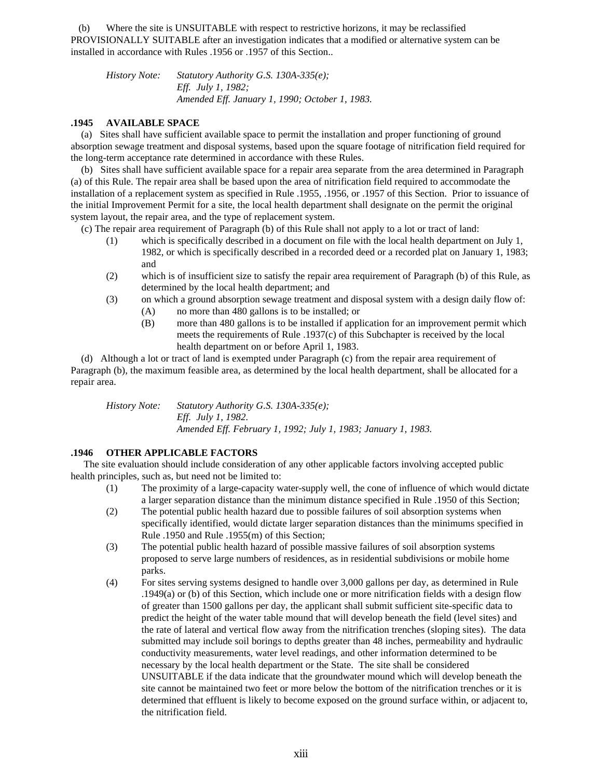(b) Where the site is UNSUITABLE with respect to restrictive horizons, it may be reclassified PROVISIONALLY SUITABLE after an investigation indicates that a modified or alternative system can be installed in accordance with Rules .1956 or .1957 of this Section..

*History Note: Statutory Authority G.S. 130A-335(e); Eff. July 1, 1982; Amended Eff. January 1, 1990; October 1, 1983.*

### **.1945 AVAILABLE SPACE**

 (a) Sites shall have sufficient available space to permit the installation and proper functioning of ground absorption sewage treatment and disposal systems, based upon the square footage of nitrification field required for the long-term acceptance rate determined in accordance with these Rules.

 (b) Sites shall have sufficient available space for a repair area separate from the area determined in Paragraph (a) of this Rule. The repair area shall be based upon the area of nitrification field required to accommodate the installation of a replacement system as specified in Rule .1955, .1956, or .1957 of this Section. Prior to issuance of the initial Improvement Permit for a site, the local health department shall designate on the permit the original system layout, the repair area, and the type of replacement system.

(c) The repair area requirement of Paragraph (b) of this Rule shall not apply to a lot or tract of land:

- (1) which is specifically described in a document on file with the local health department on July 1, 1982, or which is specifically described in a recorded deed or a recorded plat on January 1, 1983; and
- (2) which is of insufficient size to satisfy the repair area requirement of Paragraph (b) of this Rule, as determined by the local health department; and
- (3) on which a ground absorption sewage treatment and disposal system with a design daily flow of:
	- (A) no more than 480 gallons is to be installed; or
	- (B) more than 480 gallons is to be installed if application for an improvement permit which meets the requirements of Rule .1937(c) of this Subchapter is received by the local health department on or before April 1, 1983.

 (d) Although a lot or tract of land is exempted under Paragraph (c) from the repair area requirement of Paragraph (b), the maximum feasible area, as determined by the local health department, shall be allocated for a repair area.

*History Note: Statutory Authority G.S. 130A-335(e); Eff. July 1, 1982. Amended Eff. February 1, 1992; July 1, 1983; January 1, 1983.*

# **.1946 OTHER APPLICABLE FACTORS**

 The site evaluation should include consideration of any other applicable factors involving accepted public health principles, such as, but need not be limited to:

- (1) The proximity of a large-capacity water-supply well, the cone of influence of which would dictate a larger separation distance than the minimum distance specified in Rule .1950 of this Section;
- (2) The potential public health hazard due to possible failures of soil absorption systems when specifically identified, would dictate larger separation distances than the minimums specified in Rule .1950 and Rule .1955(m) of this Section;
- (3) The potential public health hazard of possible massive failures of soil absorption systems proposed to serve large numbers of residences, as in residential subdivisions or mobile home parks.
- (4) For sites serving systems designed to handle over 3,000 gallons per day, as determined in Rule .1949(a) or (b) of this Section, which include one or more nitrification fields with a design flow of greater than 1500 gallons per day, the applicant shall submit sufficient site-specific data to predict the height of the water table mound that will develop beneath the field (level sites) and the rate of lateral and vertical flow away from the nitrification trenches (sloping sites). The data submitted may include soil borings to depths greater than 48 inches, permeability and hydraulic conductivity measurements, water level readings, and other information determined to be necessary by the local health department or the State. The site shall be considered UNSUITABLE if the data indicate that the groundwater mound which will develop beneath the site cannot be maintained two feet or more below the bottom of the nitrification trenches or it is determined that effluent is likely to become exposed on the ground surface within, or adjacent to, the nitrification field.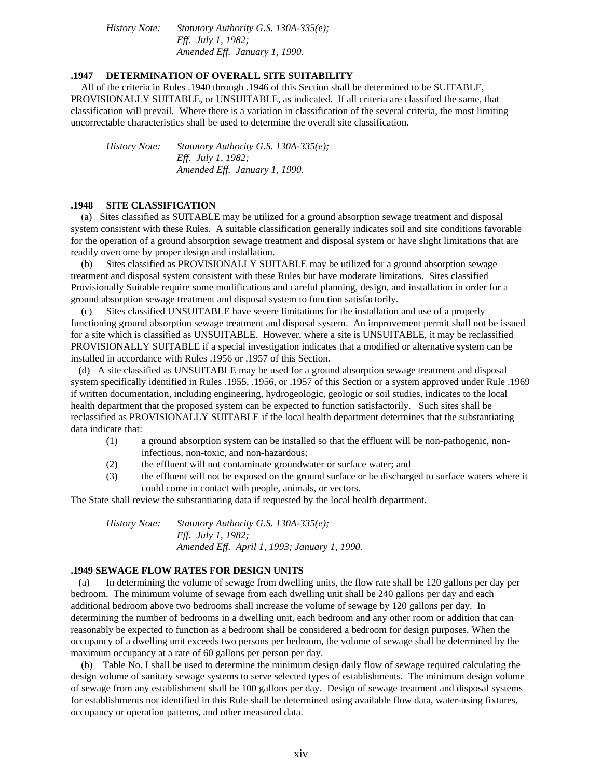*History Note: Statutory Authority G.S. 130A-335(e); Eff. July 1, 1982; Amended Eff. January 1, 1990.*

### **.1947 DETERMINATION OF OVERALL SITE SUITABILITY**

 All of the criteria in Rules .1940 through .1946 of this Section shall be determined to be SUITABLE, PROVISIONALLY SUITABLE, or UNSUITABLE, as indicated. If all criteria are classified the same, that classification will prevail. Where there is a variation in classification of the several criteria, the most limiting uncorrectable characteristics shall be used to determine the overall site classification.

*History Note: Statutory Authority G.S. 130A-335(e); Eff. July 1, 1982; Amended Eff. January 1, 1990.*

## **.1948 SITE CLASSIFICATION**

 (a) Sites classified as SUITABLE may be utilized for a ground absorption sewage treatment and disposal system consistent with these Rules. A suitable classification generally indicates soil and site conditions favorable for the operation of a ground absorption sewage treatment and disposal system or have slight limitations that are readily overcome by proper design and installation.

 (b) Sites classified as PROVISIONALLY SUITABLE may be utilized for a ground absorption sewage treatment and disposal system consistent with these Rules but have moderate limitations. Sites classified Provisionally Suitable require some modifications and careful planning, design, and installation in order for a ground absorption sewage treatment and disposal system to function satisfactorily.

 (c) Sites classified UNSUITABLE have severe limitations for the installation and use of a properly functioning ground absorption sewage treatment and disposal system. An improvement permit shall not be issued for a site which is classified as UNSUITABLE. However, where a site is UNSUITABLE, it may be reclassified PROVISIONALLY SUITABLE if a special investigation indicates that a modified or alternative system can be installed in accordance with Rules .1956 or .1957 of this Section.

 (d) A site classified as UNSUITABLE may be used for a ground absorption sewage treatment and disposal system specifically identified in Rules .1955, .1956, or .1957 of this Section or a system approved under Rule .1969 if written documentation, including engineering, hydrogeologic, geologic or soil studies, indicates to the local health department that the proposed system can be expected to function satisfactorily. Such sites shall be reclassified as PROVISIONALLY SUITABLE if the local health department determines that the substantiating data indicate that:

- (1) a ground absorption system can be installed so that the effluent will be non-pathogenic, noninfectious, non-toxic, and non-hazardous;
- (2) the effluent will not contaminate groundwater or surface water; and
- (3) the effluent will not be exposed on the ground surface or be discharged to surface waters where it could come in contact with people, animals, or vectors.

The State shall review the substantiating data if requested by the local health department.

*History Note: Statutory Authority G.S. 130A-335(e); Eff. July 1, 1982; Amended Eff. April 1, 1993; January 1, 1990.*

#### **.1949 SEWAGE FLOW RATES FOR DESIGN UNITS**

 (a) In determining the volume of sewage from dwelling units, the flow rate shall be 120 gallons per day per bedroom. The minimum volume of sewage from each dwelling unit shall be 240 gallons per day and each additional bedroom above two bedrooms shall increase the volume of sewage by 120 gallons per day. In determining the number of bedrooms in a dwelling unit, each bedroom and any other room or addition that can reasonably be expected to function as a bedroom shall be considered a bedroom for design purposes. When the occupancy of a dwelling unit exceeds two persons per bedroom, the volume of sewage shall be determined by the maximum occupancy at a rate of 60 gallons per person per day.

 (b) Table No. I shall be used to determine the minimum design daily flow of sewage required calculating the design volume of sanitary sewage systems to serve selected types of establishments. The minimum design volume of sewage from any establishment shall be 100 gallons per day. Design of sewage treatment and disposal systems for establishments not identified in this Rule shall be determined using available flow data, water-using fixtures, occupancy or operation patterns, and other measured data.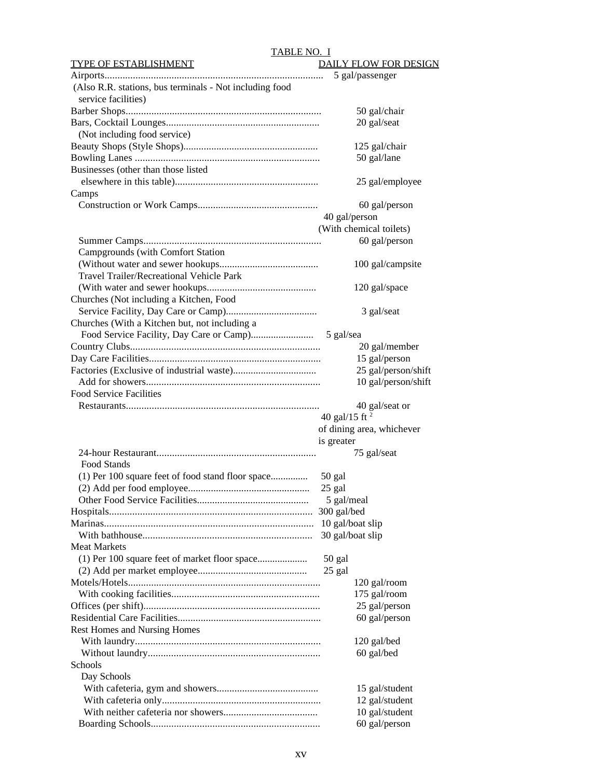### TABLE NO. I

| <b>TYPE OF ESTABLISHMENT</b>                            | <b>DAILY FLOW FOR DESIGN</b> |
|---------------------------------------------------------|------------------------------|
|                                                         | 5 gal/passenger              |
| (Also R.R. stations, bus terminals - Not including food |                              |
| service facilities)                                     |                              |
|                                                         | 50 gal/chair                 |
|                                                         | 20 gal/seat                  |
| (Not including food service)                            |                              |
|                                                         |                              |
|                                                         | 125 gal/chair                |
|                                                         | 50 gal/lane                  |
| Businesses (other than those listed                     |                              |
|                                                         | 25 gal/employee              |
| Camps                                                   |                              |
|                                                         | 60 gal/person                |
|                                                         | 40 gal/person                |
|                                                         | (With chemical toilets)      |
|                                                         | 60 gal/person                |
| Campgrounds (with Comfort Station                       |                              |
|                                                         | 100 gal/campsite             |
| Travel Trailer/Recreational Vehicle Park                |                              |
|                                                         | 120 gal/space                |
|                                                         |                              |
| Churches (Not including a Kitchen, Food                 |                              |
|                                                         | 3 gal/seat                   |
| Churches (With a Kitchen but, not including a           |                              |
|                                                         | 5 gal/sea                    |
|                                                         | 20 gal/member                |
|                                                         | 15 gal/person                |
|                                                         | 25 gal/person/shift          |
|                                                         | 10 gal/person/shift          |
| <b>Food Service Facilities</b>                          |                              |
|                                                         | 40 gal/seat or               |
|                                                         | 40 gal/15 ft $^2$            |
|                                                         | of dining area, whichever    |
|                                                         | is greater                   |
|                                                         | 75 gal/seat                  |
| <b>Food Stands</b>                                      |                              |
|                                                         |                              |
|                                                         |                              |
|                                                         | 50 gal                       |
|                                                         | 25 gal                       |
|                                                         | 5 gal/meal                   |
|                                                         | 300 gal/bed                  |
|                                                         | 10 gal/boat slip             |
|                                                         | 30 gal/boat slip             |
| <b>Meat Markets</b>                                     |                              |
|                                                         | 50 gal                       |
|                                                         |                              |
|                                                         | 25 gal                       |
|                                                         | 120 gal/room                 |
|                                                         | 175 gal/room                 |
|                                                         | 25 gal/person                |
|                                                         | 60 gal/person                |
| Rest Homes and Nursing Homes                            |                              |
|                                                         | 120 gal/bed                  |
|                                                         | 60 gal/bed                   |
| Schools                                                 |                              |
| Day Schools                                             |                              |
|                                                         | 15 gal/student               |
|                                                         | 12 gal/student               |
|                                                         | 10 gal/student               |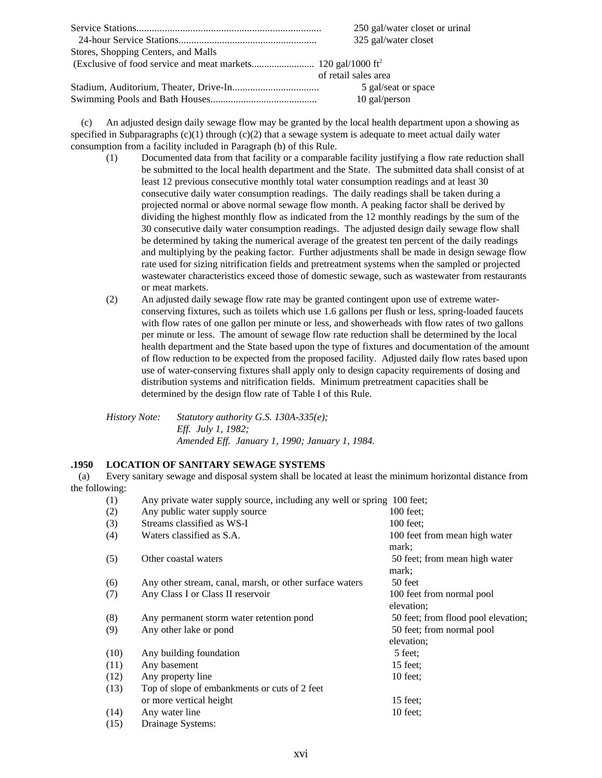|                                     | 250 gal/water closet or urinal |
|-------------------------------------|--------------------------------|
|                                     | 325 gal/water closet           |
| Stores, Shopping Centers, and Malls |                                |
|                                     |                                |
|                                     | of retail sales area           |
|                                     | 5 gal/seat or space            |
|                                     | $10$ gal/person                |

 (c) An adjusted design daily sewage flow may be granted by the local health department upon a showing as specified in Subparagraphs  $(c)(1)$  through  $(c)(2)$  that a sewage system is adequate to meet actual daily water consumption from a facility included in Paragraph (b) of this Rule.

- (1) Documented data from that facility or a comparable facility justifying a flow rate reduction shall be submitted to the local health department and the State. The submitted data shall consist of at least 12 previous consecutive monthly total water consumption readings and at least 30 consecutive daily water consumption readings. The daily readings shall be taken during a projected normal or above normal sewage flow month. A peaking factor shall be derived by dividing the highest monthly flow as indicated from the 12 monthly readings by the sum of the 30 consecutive daily water consumption readings. The adjusted design daily sewage flow shall be determined by taking the numerical average of the greatest ten percent of the daily readings and multiplying by the peaking factor. Further adjustments shall be made in design sewage flow rate used for sizing nitrification fields and pretreatment systems when the sampled or projected wastewater characteristics exceed those of domestic sewage, such as wastewater from restaurants or meat markets.
- (2) An adjusted daily sewage flow rate may be granted contingent upon use of extreme waterconserving fixtures, such as toilets which use 1.6 gallons per flush or less, spring-loaded faucets with flow rates of one gallon per minute or less, and showerheads with flow rates of two gallons per minute or less. The amount of sewage flow rate reduction shall be determined by the local health department and the State based upon the type of fixtures and documentation of the amount of flow reduction to be expected from the proposed facility. Adjusted daily flow rates based upon use of water-conserving fixtures shall apply only to design capacity requirements of dosing and distribution systems and nitrification fields. Minimum pretreatment capacities shall be determined by the design flow rate of Table I of this Rule.

*History Note: Statutory authority G.S. 130A-335(e); Eff. July 1, 1982; Amended Eff. January 1, 1990; January 1, 1984.*

### **.1950 LOCATION OF SANITARY SEWAGE SYSTEMS**

 (a) Every sanitary sewage and disposal system shall be located at least the minimum horizontal distance from the following:

| (1)  | Any private water supply source, including any well or spring 100 feet; |                                     |
|------|-------------------------------------------------------------------------|-------------------------------------|
| (2)  | Any public water supply source                                          | $100$ feet:                         |
| (3)  | Streams classified as WS-I                                              | $100$ feet:                         |
| (4)  | Waters classified as S.A.                                               | 100 feet from mean high water       |
|      |                                                                         | mark;                               |
| (5)  | Other coastal waters                                                    | 50 feet; from mean high water       |
|      |                                                                         | mark;                               |
| (6)  | Any other stream, canal, marsh, or other surface waters                 | 50 feet                             |
| (7)  | Any Class I or Class II reservoir                                       | 100 feet from normal pool           |
|      |                                                                         | elevation;                          |
| (8)  | Any permanent storm water retention pond                                | 50 feet; from flood pool elevation; |
| (9)  | Any other lake or pond                                                  | 50 feet; from normal pool           |
|      |                                                                         | elevation;                          |
| (10) | Any building foundation                                                 | 5 feet:                             |
| (11) | Any basement                                                            | $15$ feet:                          |
| (12) | Any property line                                                       | $10$ feet:                          |
| (13) | Top of slope of embankments or cuts of 2 feet                           |                                     |
|      | or more vertical height                                                 | $15$ feet:                          |
| (14) | Any water line                                                          | $10$ feet;                          |
| (15) | Drainage Systems:                                                       |                                     |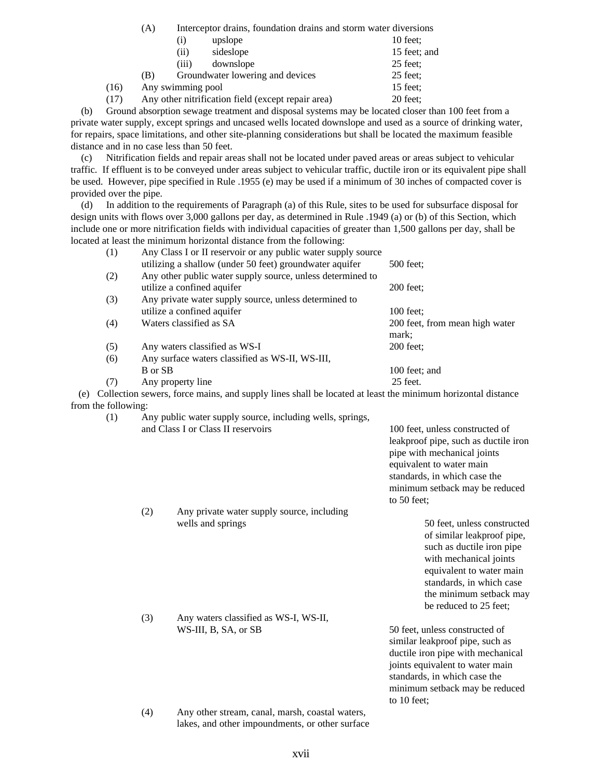(A) Interceptor drains, foundation drains and storm water diversions

|      |     | (i)               | upslope                                            | $10$ feet:   |
|------|-----|-------------------|----------------------------------------------------|--------------|
|      |     | (ii)              | sideslope                                          | 15 feet; and |
|      |     | (iii)             | downslope                                          | $25$ feet:   |
|      | (B) |                   | Groundwater lowering and devices                   | $25$ feet;   |
| (16) |     | Any swimming pool |                                                    | 15 feet;     |
| (17) |     |                   | Any other nitrification field (except repair area) | 20 feet;     |

 (b) Ground absorption sewage treatment and disposal systems may be located closer than 100 feet from a private water supply, except springs and uncased wells located downslope and used as a source of drinking water, for repairs, space limitations, and other site-planning considerations but shall be located the maximum feasible distance and in no case less than 50 feet.

 (c) Nitrification fields and repair areas shall not be located under paved areas or areas subject to vehicular traffic. If effluent is to be conveyed under areas subject to vehicular traffic, ductile iron or its equivalent pipe shall be used. However, pipe specified in Rule .1955 (e) may be used if a minimum of 30 inches of compacted cover is provided over the pipe.

 (d) In addition to the requirements of Paragraph (a) of this Rule, sites to be used for subsurface disposal for design units with flows over 3,000 gallons per day, as determined in Rule .1949 (a) or (b) of this Section, which include one or more nitrification fields with individual capacities of greater than 1,500 gallons per day, shall be located at least the minimum horizontal distance from the following:

|     | (1)                 | Any Class I or II reservoir or any public water supply source                                              |                                |
|-----|---------------------|------------------------------------------------------------------------------------------------------------|--------------------------------|
|     |                     | utilizing a shallow (under 50 feet) groundwater aquifer                                                    | 500 feet:                      |
|     | (2)                 | Any other public water supply source, unless determined to                                                 |                                |
|     |                     | utilize a confined aquifer                                                                                 | 200 feet:                      |
|     | (3)                 | Any private water supply source, unless determined to                                                      |                                |
|     |                     | utilize a confined aquifer                                                                                 | $100$ feet:                    |
|     | (4)                 | Waters classified as SA                                                                                    | 200 feet, from mean high water |
|     |                     |                                                                                                            | mark;                          |
|     | (5)                 | Any waters classified as WS-I                                                                              | $200$ feet:                    |
|     | (6)                 | Any surface waters classified as WS-II, WS-III,                                                            |                                |
|     |                     | B or SB                                                                                                    | 100 feet; and                  |
|     | (7)                 | Any property line                                                                                          | $25$ feet.                     |
| (e) |                     | Collection sewers, force mains, and supply lines shall be located at least the minimum horizontal distance |                                |
|     | from the following: |                                                                                                            |                                |

(1) Any public water supply source, including wells, springs, and Class I or Class II reservoirs 100 feet, unless constructed of

(2) Any private water supply source, including

(3) Any waters classified as WS-I, WS-II,

leakproof pipe, such as ductile iron pipe with mechanical joints equivalent to water main standards, in which case the minimum setback may be reduced to 50 feet;

wells and springs 50 feet, unless constructed of similar leakproof pipe, such as ductile iron pipe with mechanical joints equivalent to water main standards, in which case the minimum setback may be reduced to 25 feet;

WS-III, B, SA, or SB 50 feet, unless constructed of similar leakproof pipe, such as ductile iron pipe with mechanical joints equivalent to water main standards, in which case the minimum setback may be reduced to 10 feet;

(4) Any other stream, canal, marsh, coastal waters, lakes, and other impoundments, or other surface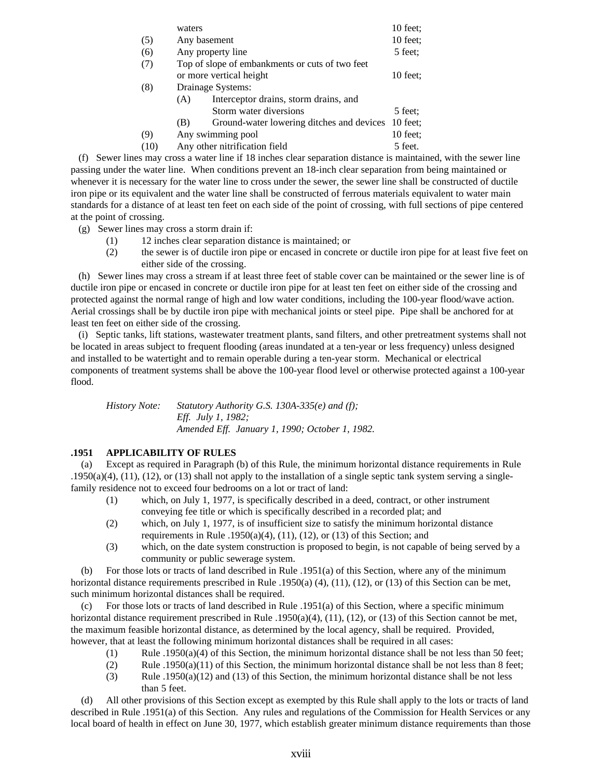|      | waters |                                                 | $10$ feet: |
|------|--------|-------------------------------------------------|------------|
| (5)  |        | Any basement                                    | 10 feet;   |
| (6)  |        | Any property line                               | 5 feet:    |
| (7)  |        | Top of slope of embankments or cuts of two feet |            |
|      |        | or more vertical height                         | $10$ feet: |
| (8)  |        | Drainage Systems:                               |            |
|      | (A)    | Interceptor drains, storm drains, and           |            |
|      |        | Storm water diversions                          | 5 feet:    |
|      | (B)    | Ground-water lowering ditches and devices       | $10$ feet: |
| (9)  |        | Any swimming pool                               | $10$ feet: |
| (10) |        | Any other nitrification field                   | 5 feet.    |

 (f) Sewer lines may cross a water line if 18 inches clear separation distance is maintained, with the sewer line passing under the water line. When conditions prevent an 18-inch clear separation from being maintained or whenever it is necessary for the water line to cross under the sewer, the sewer line shall be constructed of ductile iron pipe or its equivalent and the water line shall be constructed of ferrous materials equivalent to water main standards for a distance of at least ten feet on each side of the point of crossing, with full sections of pipe centered at the point of crossing.

- (g) Sewer lines may cross a storm drain if:
	- (1) 12 inches clear separation distance is maintained; or
	- (2) the sewer is of ductile iron pipe or encased in concrete or ductile iron pipe for at least five feet on either side of the crossing.

 (h) Sewer lines may cross a stream if at least three feet of stable cover can be maintained or the sewer line is of ductile iron pipe or encased in concrete or ductile iron pipe for at least ten feet on either side of the crossing and protected against the normal range of high and low water conditions, including the 100-year flood/wave action. Aerial crossings shall be by ductile iron pipe with mechanical joints or steel pipe. Pipe shall be anchored for at least ten feet on either side of the crossing.

 (i) Septic tanks, lift stations, wastewater treatment plants, sand filters, and other pretreatment systems shall not be located in areas subject to frequent flooding (areas inundated at a ten-year or less frequency) unless designed and installed to be watertight and to remain operable during a ten-year storm. Mechanical or electrical components of treatment systems shall be above the 100-year flood level or otherwise protected against a 100-year flood.

*History Note: Statutory Authority G.S. 130A-335(e) and (f); Eff. July 1, 1982; Amended Eff. January 1, 1990; October 1, 1982.*

# **.1951 APPLICABILITY OF RULES**

 (a) Except as required in Paragraph (b) of this Rule, the minimum horizontal distance requirements in Rule  $.1950(a)(4)$ , (11), (12), or (13) shall not apply to the installation of a single septic tank system serving a singlefamily residence not to exceed four bedrooms on a lot or tract of land:

- (1) which, on July 1, 1977, is specifically described in a deed, contract, or other instrument conveying fee title or which is specifically described in a recorded plat; and
- (2) which, on July 1, 1977, is of insufficient size to satisfy the minimum horizontal distance requirements in Rule .1950(a)(4), (11), (12), or (13) of this Section; and
- (3) which, on the date system construction is proposed to begin, is not capable of being served by a community or public sewerage system.

 (b) For those lots or tracts of land described in Rule .1951(a) of this Section, where any of the minimum horizontal distance requirements prescribed in Rule .1950(a) (4), (11), (12), or (13) of this Section can be met, such minimum horizontal distances shall be required.

 (c) For those lots or tracts of land described in Rule .1951(a) of this Section, where a specific minimum horizontal distance requirement prescribed in Rule .1950(a)(4), (11), (12), or (13) of this Section cannot be met, the maximum feasible horizontal distance, as determined by the local agency, shall be required. Provided, however, that at least the following minimum horizontal distances shall be required in all cases:

- (1) Rule .1950(a)(4) of this Section, the minimum horizontal distance shall be not less than 50 feet;
- (2) Rule .1950(a)(11) of this Section, the minimum horizontal distance shall be not less than 8 feet;
- (3) Rule .1950(a)(12) and (13) of this Section, the minimum horizontal distance shall be not less than 5 feet.

 (d) All other provisions of this Section except as exempted by this Rule shall apply to the lots or tracts of land described in Rule .1951(a) of this Section. Any rules and regulations of the Commission for Health Services or any local board of health in effect on June 30, 1977, which establish greater minimum distance requirements than those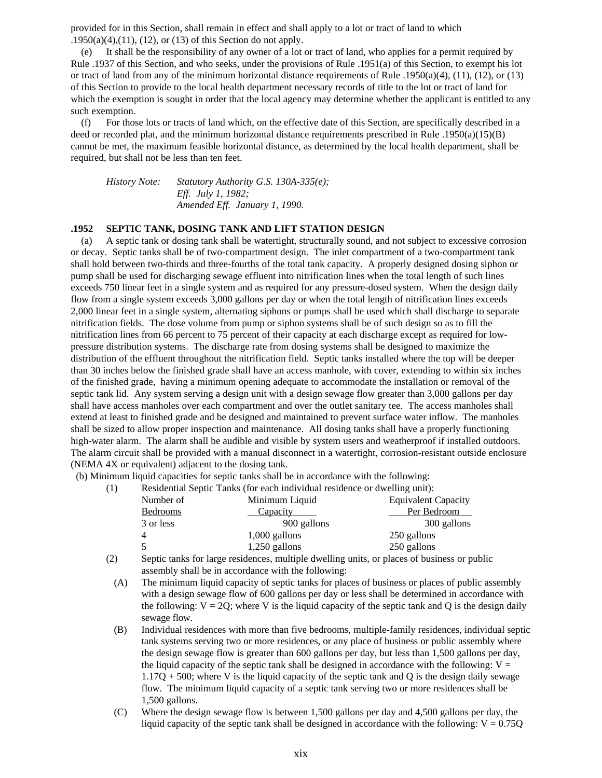provided for in this Section, shall remain in effect and shall apply to a lot or tract of land to which .1950(a)(4),(11), (12), or (13) of this Section do not apply.

 (e) It shall be the responsibility of any owner of a lot or tract of land, who applies for a permit required by Rule .1937 of this Section, and who seeks, under the provisions of Rule .1951(a) of this Section, to exempt his lot or tract of land from any of the minimum horizontal distance requirements of Rule .1950(a)(4), (11), (12), or (13) of this Section to provide to the local health department necessary records of title to the lot or tract of land for which the exemption is sought in order that the local agency may determine whether the applicant is entitled to any such exemption.

 (f) For those lots or tracts of land which, on the effective date of this Section, are specifically described in a deed or recorded plat, and the minimum horizontal distance requirements prescribed in Rule .1950(a)(15)(B) cannot be met, the maximum feasible horizontal distance, as determined by the local health department, shall be required, but shall not be less than ten feet.

*History Note: Statutory Authority G.S. 130A-335(e); Eff. July 1, 1982; Amended Eff. January 1, 1990.*

#### **.1952 SEPTIC TANK, DOSING TANK AND LIFT STATION DESIGN**

 (a) A septic tank or dosing tank shall be watertight, structurally sound, and not subject to excessive corrosion or decay. Septic tanks shall be of two-compartment design. The inlet compartment of a two-compartment tank shall hold between two-thirds and three-fourths of the total tank capacity. A properly designed dosing siphon or pump shall be used for discharging sewage effluent into nitrification lines when the total length of such lines exceeds 750 linear feet in a single system and as required for any pressure-dosed system. When the design daily flow from a single system exceeds 3,000 gallons per day or when the total length of nitrification lines exceeds 2,000 linear feet in a single system, alternating siphons or pumps shall be used which shall discharge to separate nitrification fields. The dose volume from pump or siphon systems shall be of such design so as to fill the nitrification lines from 66 percent to 75 percent of their capacity at each discharge except as required for lowpressure distribution systems. The discharge rate from dosing systems shall be designed to maximize the distribution of the effluent throughout the nitrification field. Septic tanks installed where the top will be deeper than 30 inches below the finished grade shall have an access manhole, with cover, extending to within six inches of the finished grade, having a minimum opening adequate to accommodate the installation or removal of the septic tank lid. Any system serving a design unit with a design sewage flow greater than 3,000 gallons per day shall have access manholes over each compartment and over the outlet sanitary tee. The access manholes shall extend at least to finished grade and be designed and maintained to prevent surface water inflow. The manholes shall be sized to allow proper inspection and maintenance. All dosing tanks shall have a properly functioning high-water alarm. The alarm shall be audible and visible by system users and weatherproof if installed outdoors. The alarm circuit shall be provided with a manual disconnect in a watertight, corrosion-resistant outside enclosure (NEMA 4X or equivalent) adjacent to the dosing tank.

(b) Minimum liquid capacities for septic tanks shall be in accordance with the following:

(1) Residential Septic Tanks (for each individual residence or dwelling unit):

| Number of | Minimum Liquid  | <b>Equivalent Capacity</b> |
|-----------|-----------------|----------------------------|
| Bedrooms  | Capacity        | Per Bedroom                |
| 3 or less | 900 gallons     | 300 gallons                |
| 4         | $1,000$ gallons | 250 gallons                |
| $\sim$    | $1,250$ gallons | 250 gallons                |
|           |                 |                            |

- (2) Septic tanks for large residences, multiple dwelling units, or places of business or public assembly shall be in accordance with the following:
	- (A) The minimum liquid capacity of septic tanks for places of business or places of public assembly with a design sewage flow of 600 gallons per day or less shall be determined in accordance with the following:  $V = 2Q$ ; where V is the liquid capacity of the septic tank and Q is the design daily sewage flow.
	- (B) Individual residences with more than five bedrooms, multiple-family residences, individual septic tank systems serving two or more residences, or any place of business or public assembly where the design sewage flow is greater than 600 gallons per day, but less than 1,500 gallons per day, the liquid capacity of the septic tank shall be designed in accordance with the following:  $V =$  $1.17Q + 500$ ; where V is the liquid capacity of the septic tank and Q is the design daily sewage flow. The minimum liquid capacity of a septic tank serving two or more residences shall be 1,500 gallons.
	- (C) Where the design sewage flow is between 1,500 gallons per day and 4,500 gallons per day, the liquid capacity of the septic tank shall be designed in accordance with the following:  $V = 0.75Q$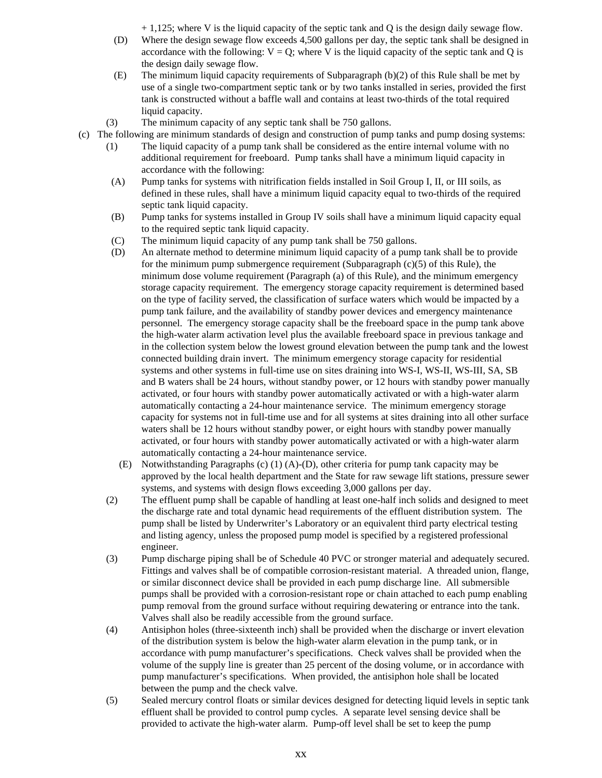$+ 1,125$ ; where V is the liquid capacity of the septic tank and Q is the design daily sewage flow.

- (D) Where the design sewage flow exceeds 4,500 gallons per day, the septic tank shall be designed in accordance with the following:  $V = Q$ ; where V is the liquid capacity of the septic tank and Q is the design daily sewage flow.
- (E) The minimum liquid capacity requirements of Subparagraph (b)(2) of this Rule shall be met by use of a single two-compartment septic tank or by two tanks installed in series, provided the first tank is constructed without a baffle wall and contains at least two-thirds of the total required liquid capacity.
- (3) The minimum capacity of any septic tank shall be 750 gallons.
- (c) The following are minimum standards of design and construction of pump tanks and pump dosing systems:
	- (1) The liquid capacity of a pump tank shall be considered as the entire internal volume with no additional requirement for freeboard. Pump tanks shall have a minimum liquid capacity in accordance with the following:
	- (A) Pump tanks for systems with nitrification fields installed in Soil Group I, II, or III soils, as defined in these rules, shall have a minimum liquid capacity equal to two-thirds of the required septic tank liquid capacity.
	- (B) Pump tanks for systems installed in Group IV soils shall have a minimum liquid capacity equal to the required septic tank liquid capacity.
	- (C) The minimum liquid capacity of any pump tank shall be 750 gallons.
	- (D) An alternate method to determine minimum liquid capacity of a pump tank shall be to provide for the minimum pump submergence requirement (Subparagraph  $(c)(5)$  of this Rule), the minimum dose volume requirement (Paragraph (a) of this Rule), and the minimum emergency storage capacity requirement. The emergency storage capacity requirement is determined based on the type of facility served, the classification of surface waters which would be impacted by a pump tank failure, and the availability of standby power devices and emergency maintenance personnel. The emergency storage capacity shall be the freeboard space in the pump tank above the high-water alarm activation level plus the available freeboard space in previous tankage and in the collection system below the lowest ground elevation between the pump tank and the lowest connected building drain invert. The minimum emergency storage capacity for residential systems and other systems in full-time use on sites draining into WS-I, WS-II, WS-III, SA, SB and B waters shall be 24 hours, without standby power, or 12 hours with standby power manually activated, or four hours with standby power automatically activated or with a high-water alarm automatically contacting a 24-hour maintenance service. The minimum emergency storage capacity for systems not in full-time use and for all systems at sites draining into all other surface waters shall be 12 hours without standby power, or eight hours with standby power manually activated, or four hours with standby power automatically activated or with a high-water alarm automatically contacting a 24-hour maintenance service.
		- (E) Notwithstanding Paragraphs (c) (1) (A)-(D), other criteria for pump tank capacity may be approved by the local health department and the State for raw sewage lift stations, pressure sewer systems, and systems with design flows exceeding 3,000 gallons per day.
	- (2) The effluent pump shall be capable of handling at least one-half inch solids and designed to meet the discharge rate and total dynamic head requirements of the effluent distribution system. The pump shall be listed by Underwriter's Laboratory or an equivalent third party electrical testing and listing agency, unless the proposed pump model is specified by a registered professional engineer.
	- (3) Pump discharge piping shall be of Schedule 40 PVC or stronger material and adequately secured. Fittings and valves shall be of compatible corrosion-resistant material. A threaded union, flange, or similar disconnect device shall be provided in each pump discharge line. All submersible pumps shall be provided with a corrosion-resistant rope or chain attached to each pump enabling pump removal from the ground surface without requiring dewatering or entrance into the tank. Valves shall also be readily accessible from the ground surface.
	- (4) Antisiphon holes (three-sixteenth inch) shall be provided when the discharge or invert elevation of the distribution system is below the high-water alarm elevation in the pump tank, or in accordance with pump manufacturer's specifications. Check valves shall be provided when the volume of the supply line is greater than 25 percent of the dosing volume, or in accordance with pump manufacturer's specifications. When provided, the antisiphon hole shall be located between the pump and the check valve.
	- (5) Sealed mercury control floats or similar devices designed for detecting liquid levels in septic tank effluent shall be provided to control pump cycles. A separate level sensing device shall be provided to activate the high-water alarm. Pump-off level shall be set to keep the pump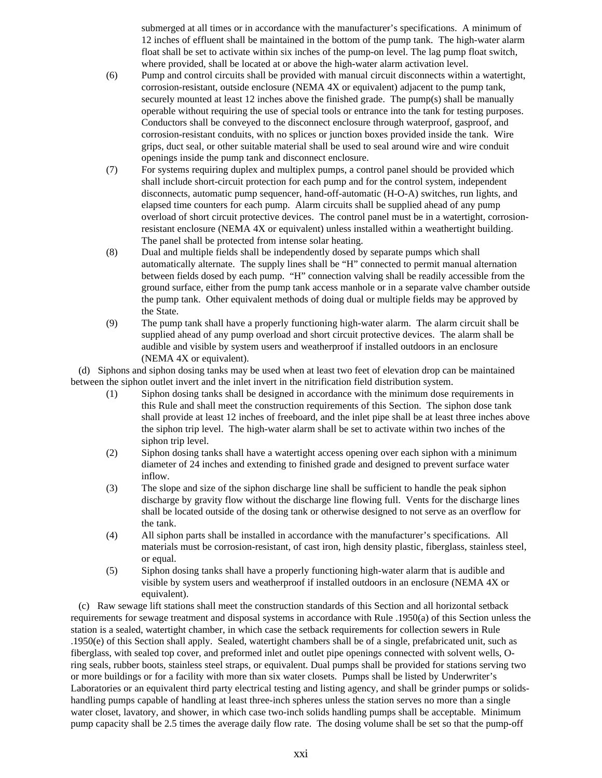submerged at all times or in accordance with the manufacturer's specifications. A minimum of 12 inches of effluent shall be maintained in the bottom of the pump tank. The high-water alarm float shall be set to activate within six inches of the pump-on level. The lag pump float switch, where provided, shall be located at or above the high-water alarm activation level.

- (6) Pump and control circuits shall be provided with manual circuit disconnects within a watertight, corrosion-resistant, outside enclosure (NEMA 4X or equivalent) adjacent to the pump tank, securely mounted at least 12 inches above the finished grade. The pump(s) shall be manually operable without requiring the use of special tools or entrance into the tank for testing purposes. Conductors shall be conveyed to the disconnect enclosure through waterproof, gasproof, and corrosion-resistant conduits, with no splices or junction boxes provided inside the tank. Wire grips, duct seal, or other suitable material shall be used to seal around wire and wire conduit openings inside the pump tank and disconnect enclosure.
- (7) For systems requiring duplex and multiplex pumps, a control panel should be provided which shall include short-circuit protection for each pump and for the control system, independent disconnects, automatic pump sequencer, hand-off-automatic (H-O-A) switches, run lights, and elapsed time counters for each pump. Alarm circuits shall be supplied ahead of any pump overload of short circuit protective devices. The control panel must be in a watertight, corrosionresistant enclosure (NEMA 4X or equivalent) unless installed within a weathertight building. The panel shall be protected from intense solar heating.
- (8) Dual and multiple fields shall be independently dosed by separate pumps which shall automatically alternate. The supply lines shall be "H" connected to permit manual alternation between fields dosed by each pump. "H" connection valving shall be readily accessible from the ground surface, either from the pump tank access manhole or in a separate valve chamber outside the pump tank. Other equivalent methods of doing dual or multiple fields may be approved by the State.
- (9) The pump tank shall have a properly functioning high-water alarm. The alarm circuit shall be supplied ahead of any pump overload and short circuit protective devices. The alarm shall be audible and visible by system users and weatherproof if installed outdoors in an enclosure (NEMA 4X or equivalent).

 (d) Siphons and siphon dosing tanks may be used when at least two feet of elevation drop can be maintained between the siphon outlet invert and the inlet invert in the nitrification field distribution system.

- (1) Siphon dosing tanks shall be designed in accordance with the minimum dose requirements in this Rule and shall meet the construction requirements of this Section. The siphon dose tank shall provide at least 12 inches of freeboard, and the inlet pipe shall be at least three inches above the siphon trip level. The high-water alarm shall be set to activate within two inches of the siphon trip level.
- (2) Siphon dosing tanks shall have a watertight access opening over each siphon with a minimum diameter of 24 inches and extending to finished grade and designed to prevent surface water inflow.
- (3) The slope and size of the siphon discharge line shall be sufficient to handle the peak siphon discharge by gravity flow without the discharge line flowing full. Vents for the discharge lines shall be located outside of the dosing tank or otherwise designed to not serve as an overflow for the tank.
- (4) All siphon parts shall be installed in accordance with the manufacturer's specifications. All materials must be corrosion-resistant, of cast iron, high density plastic, fiberglass, stainless steel, or equal.
- (5) Siphon dosing tanks shall have a properly functioning high-water alarm that is audible and visible by system users and weatherproof if installed outdoors in an enclosure (NEMA 4X or equivalent).

 (c) Raw sewage lift stations shall meet the construction standards of this Section and all horizontal setback requirements for sewage treatment and disposal systems in accordance with Rule .1950(a) of this Section unless the station is a sealed, watertight chamber, in which case the setback requirements for collection sewers in Rule .1950(e) of this Section shall apply. Sealed, watertight chambers shall be of a single, prefabricated unit, such as fiberglass, with sealed top cover, and preformed inlet and outlet pipe openings connected with solvent wells, Oring seals, rubber boots, stainless steel straps, or equivalent. Dual pumps shall be provided for stations serving two or more buildings or for a facility with more than six water closets. Pumps shall be listed by Underwriter's Laboratories or an equivalent third party electrical testing and listing agency, and shall be grinder pumps or solidshandling pumps capable of handling at least three-inch spheres unless the station serves no more than a single water closet, lavatory, and shower, in which case two-inch solids handling pumps shall be acceptable. Minimum pump capacity shall be 2.5 times the average daily flow rate. The dosing volume shall be set so that the pump-off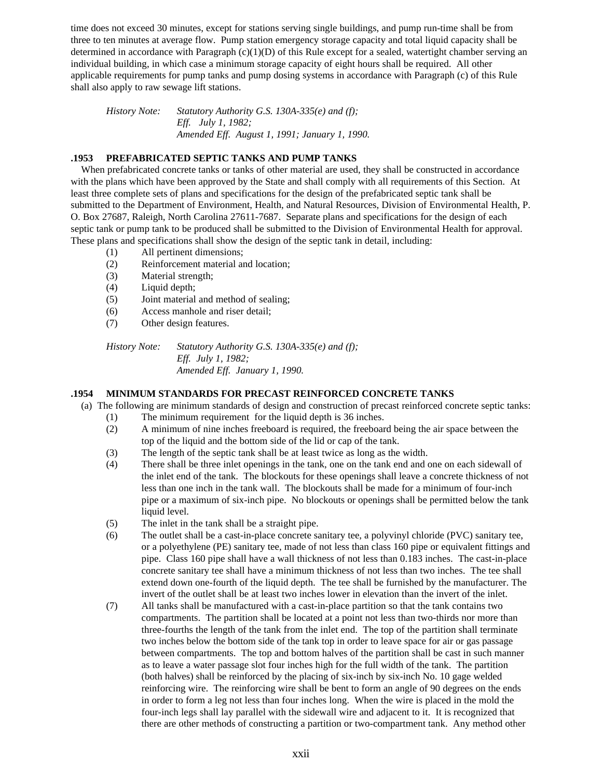time does not exceed 30 minutes, except for stations serving single buildings, and pump run-time shall be from three to ten minutes at average flow. Pump station emergency storage capacity and total liquid capacity shall be determined in accordance with Paragraph  $(c)(1)(D)$  of this Rule except for a sealed, watertight chamber serving an individual building, in which case a minimum storage capacity of eight hours shall be required. All other applicable requirements for pump tanks and pump dosing systems in accordance with Paragraph (c) of this Rule shall also apply to raw sewage lift stations.

*History Note: Statutory Authority G.S. 130A-335(e) and (f); Eff. July 1, 1982; Amended Eff. August 1, 1991; January 1, 1990.*

### **.1953 PREFABRICATED SEPTIC TANKS AND PUMP TANKS**

 When prefabricated concrete tanks or tanks of other material are used, they shall be constructed in accordance with the plans which have been approved by the State and shall comply with all requirements of this Section. At least three complete sets of plans and specifications for the design of the prefabricated septic tank shall be submitted to the Department of Environment, Health, and Natural Resources, Division of Environmental Health, P. O. Box 27687, Raleigh, North Carolina 27611-7687. Separate plans and specifications for the design of each septic tank or pump tank to be produced shall be submitted to the Division of Environmental Health for approval. These plans and specifications shall show the design of the septic tank in detail, including:

- (1) All pertinent dimensions;
- (2) Reinforcement material and location;
- (3) Material strength;
- (4) Liquid depth;
- (5) Joint material and method of sealing;
- (6) Access manhole and riser detail;
- (7) Other design features.

*History Note: Statutory Authority G.S. 130A-335(e) and (f); Eff. July 1, 1982; Amended Eff. January 1, 1990.*

### **.1954 MINIMUM STANDARDS FOR PRECAST REINFORCED CONCRETE TANKS**

- (a) The following are minimum standards of design and construction of precast reinforced concrete septic tanks:
	- (1) The minimum requirement for the liquid depth is 36 inches.
	- (2) A minimum of nine inches freeboard is required, the freeboard being the air space between the top of the liquid and the bottom side of the lid or cap of the tank.
	- (3) The length of the septic tank shall be at least twice as long as the width.
	- (4) There shall be three inlet openings in the tank, one on the tank end and one on each sidewall of the inlet end of the tank. The blockouts for these openings shall leave a concrete thickness of not less than one inch in the tank wall. The blockouts shall be made for a minimum of four-inch pipe or a maximum of six-inch pipe. No blockouts or openings shall be permitted below the tank liquid level.
	- (5) The inlet in the tank shall be a straight pipe.
	- (6) The outlet shall be a cast-in-place concrete sanitary tee, a polyvinyl chloride (PVC) sanitary tee, or a polyethylene (PE) sanitary tee, made of not less than class 160 pipe or equivalent fittings and pipe. Class 160 pipe shall have a wall thickness of not less than 0.183 inches. The cast-in-place concrete sanitary tee shall have a minimum thickness of not less than two inches. The tee shall extend down one-fourth of the liquid depth. The tee shall be furnished by the manufacturer. The invert of the outlet shall be at least two inches lower in elevation than the invert of the inlet.
	- (7) All tanks shall be manufactured with a cast-in-place partition so that the tank contains two compartments. The partition shall be located at a point not less than two-thirds nor more than three-fourths the length of the tank from the inlet end. The top of the partition shall terminate two inches below the bottom side of the tank top in order to leave space for air or gas passage between compartments. The top and bottom halves of the partition shall be cast in such manner as to leave a water passage slot four inches high for the full width of the tank. The partition (both halves) shall be reinforced by the placing of six-inch by six-inch No. 10 gage welded reinforcing wire. The reinforcing wire shall be bent to form an angle of 90 degrees on the ends in order to form a leg not less than four inches long. When the wire is placed in the mold the four-inch legs shall lay parallel with the sidewall wire and adjacent to it. It is recognized that there are other methods of constructing a partition or two-compartment tank. Any method other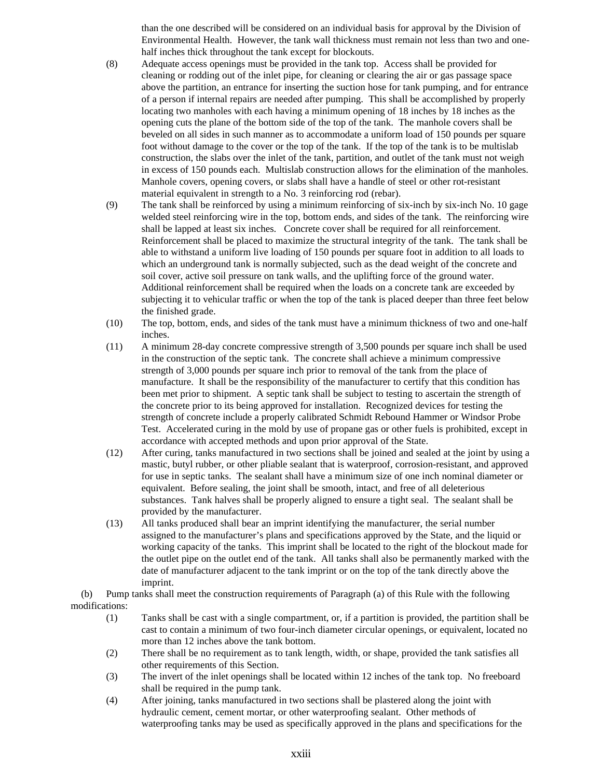than the one described will be considered on an individual basis for approval by the Division of Environmental Health. However, the tank wall thickness must remain not less than two and onehalf inches thick throughout the tank except for blockouts.

- (8) Adequate access openings must be provided in the tank top. Access shall be provided for cleaning or rodding out of the inlet pipe, for cleaning or clearing the air or gas passage space above the partition, an entrance for inserting the suction hose for tank pumping, and for entrance of a person if internal repairs are needed after pumping. This shall be accomplished by properly locating two manholes with each having a minimum opening of 18 inches by 18 inches as the opening cuts the plane of the bottom side of the top of the tank. The manhole covers shall be beveled on all sides in such manner as to accommodate a uniform load of 150 pounds per square foot without damage to the cover or the top of the tank. If the top of the tank is to be multislab construction, the slabs over the inlet of the tank, partition, and outlet of the tank must not weigh in excess of 150 pounds each. Multislab construction allows for the elimination of the manholes. Manhole covers, opening covers, or slabs shall have a handle of steel or other rot-resistant material equivalent in strength to a No. 3 reinforcing rod (rebar).
- (9) The tank shall be reinforced by using a minimum reinforcing of six-inch by six-inch No. 10 gage welded steel reinforcing wire in the top, bottom ends, and sides of the tank. The reinforcing wire shall be lapped at least six inches. Concrete cover shall be required for all reinforcement. Reinforcement shall be placed to maximize the structural integrity of the tank. The tank shall be able to withstand a uniform live loading of 150 pounds per square foot in addition to all loads to which an underground tank is normally subjected, such as the dead weight of the concrete and soil cover, active soil pressure on tank walls, and the uplifting force of the ground water. Additional reinforcement shall be required when the loads on a concrete tank are exceeded by subjecting it to vehicular traffic or when the top of the tank is placed deeper than three feet below the finished grade.
- (10) The top, bottom, ends, and sides of the tank must have a minimum thickness of two and one-half inches.
- (11) A minimum 28-day concrete compressive strength of 3,500 pounds per square inch shall be used in the construction of the septic tank. The concrete shall achieve a minimum compressive strength of 3,000 pounds per square inch prior to removal of the tank from the place of manufacture. It shall be the responsibility of the manufacturer to certify that this condition has been met prior to shipment. A septic tank shall be subject to testing to ascertain the strength of the concrete prior to its being approved for installation. Recognized devices for testing the strength of concrete include a properly calibrated Schmidt Rebound Hammer or Windsor Probe Test. Accelerated curing in the mold by use of propane gas or other fuels is prohibited, except in accordance with accepted methods and upon prior approval of the State.
- (12) After curing, tanks manufactured in two sections shall be joined and sealed at the joint by using a mastic, butyl rubber, or other pliable sealant that is waterproof, corrosion-resistant, and approved for use in septic tanks. The sealant shall have a minimum size of one inch nominal diameter or equivalent. Before sealing, the joint shall be smooth, intact, and free of all deleterious substances. Tank halves shall be properly aligned to ensure a tight seal. The sealant shall be provided by the manufacturer.
- (13) All tanks produced shall bear an imprint identifying the manufacturer, the serial number assigned to the manufacturer's plans and specifications approved by the State, and the liquid or working capacity of the tanks. This imprint shall be located to the right of the blockout made for the outlet pipe on the outlet end of the tank. All tanks shall also be permanently marked with the date of manufacturer adjacent to the tank imprint or on the top of the tank directly above the imprint.

 (b) Pump tanks shall meet the construction requirements of Paragraph (a) of this Rule with the following modifications:

- (1) Tanks shall be cast with a single compartment, or, if a partition is provided, the partition shall be cast to contain a minimum of two four-inch diameter circular openings, or equivalent, located no more than 12 inches above the tank bottom.
- (2) There shall be no requirement as to tank length, width, or shape, provided the tank satisfies all other requirements of this Section.
- (3) The invert of the inlet openings shall be located within 12 inches of the tank top. No freeboard shall be required in the pump tank.
- (4) After joining, tanks manufactured in two sections shall be plastered along the joint with hydraulic cement, cement mortar, or other waterproofing sealant. Other methods of waterproofing tanks may be used as specifically approved in the plans and specifications for the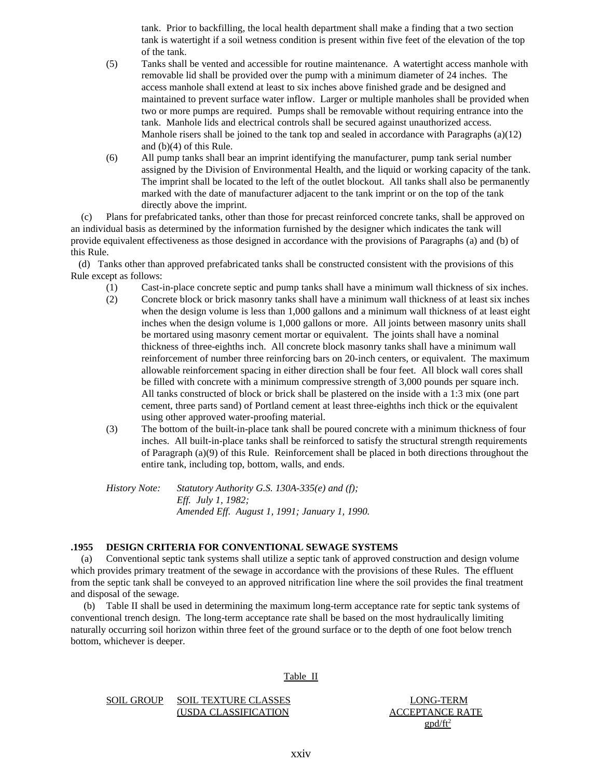tank. Prior to backfilling, the local health department shall make a finding that a two section tank is watertight if a soil wetness condition is present within five feet of the elevation of the top of the tank.

- (5) Tanks shall be vented and accessible for routine maintenance. A watertight access manhole with removable lid shall be provided over the pump with a minimum diameter of 24 inches. The access manhole shall extend at least to six inches above finished grade and be designed and maintained to prevent surface water inflow. Larger or multiple manholes shall be provided when two or more pumps are required. Pumps shall be removable without requiring entrance into the tank. Manhole lids and electrical controls shall be secured against unauthorized access. Manhole risers shall be joined to the tank top and sealed in accordance with Paragraphs (a)(12) and (b)(4) of this Rule.
- (6) All pump tanks shall bear an imprint identifying the manufacturer, pump tank serial number assigned by the Division of Environmental Health, and the liquid or working capacity of the tank. The imprint shall be located to the left of the outlet blockout. All tanks shall also be permanently marked with the date of manufacturer adjacent to the tank imprint or on the top of the tank directly above the imprint.

 (c) Plans for prefabricated tanks, other than those for precast reinforced concrete tanks, shall be approved on an individual basis as determined by the information furnished by the designer which indicates the tank will provide equivalent effectiveness as those designed in accordance with the provisions of Paragraphs (a) and (b) of this Rule.

 (d) Tanks other than approved prefabricated tanks shall be constructed consistent with the provisions of this Rule except as follows:

- (1) Cast-in-place concrete septic and pump tanks shall have a minimum wall thickness of six inches.
- (2) Concrete block or brick masonry tanks shall have a minimum wall thickness of at least six inches when the design volume is less than 1,000 gallons and a minimum wall thickness of at least eight inches when the design volume is 1,000 gallons or more. All joints between masonry units shall be mortared using masonry cement mortar or equivalent. The joints shall have a nominal thickness of three-eighths inch. All concrete block masonry tanks shall have a minimum wall reinforcement of number three reinforcing bars on 20-inch centers, or equivalent. The maximum allowable reinforcement spacing in either direction shall be four feet. All block wall cores shall be filled with concrete with a minimum compressive strength of 3,000 pounds per square inch. All tanks constructed of block or brick shall be plastered on the inside with a 1:3 mix (one part cement, three parts sand) of Portland cement at least three-eighths inch thick or the equivalent using other approved water-proofing material.
- (3) The bottom of the built-in-place tank shall be poured concrete with a minimum thickness of four inches. All built-in-place tanks shall be reinforced to satisfy the structural strength requirements of Paragraph (a)(9) of this Rule. Reinforcement shall be placed in both directions throughout the entire tank, including top, bottom, walls, and ends.

*History Note: Statutory Authority G.S. 130A-335(e) and (f); Eff. July 1, 1982; Amended Eff. August 1, 1991; January 1, 1990.*

### **.1955 DESIGN CRITERIA FOR CONVENTIONAL SEWAGE SYSTEMS**

 (a) Conventional septic tank systems shall utilize a septic tank of approved construction and design volume which provides primary treatment of the sewage in accordance with the provisions of these Rules. The effluent from the septic tank shall be conveyed to an approved nitrification line where the soil provides the final treatment and disposal of the sewage.

 (b) Table II shall be used in determining the maximum long-term acceptance rate for septic tank systems of conventional trench design. The long-term acceptance rate shall be based on the most hydraulically limiting naturally occurring soil horizon within three feet of the ground surface or to the depth of one foot below trench bottom, whichever is deeper.

Table II

### SOIL GROUP SOIL TEXTURE CLASSES LONG-TERM (USDA CLASSIFICATION ACCEPTANCE RATE

 $\text{gpd/ft}^2$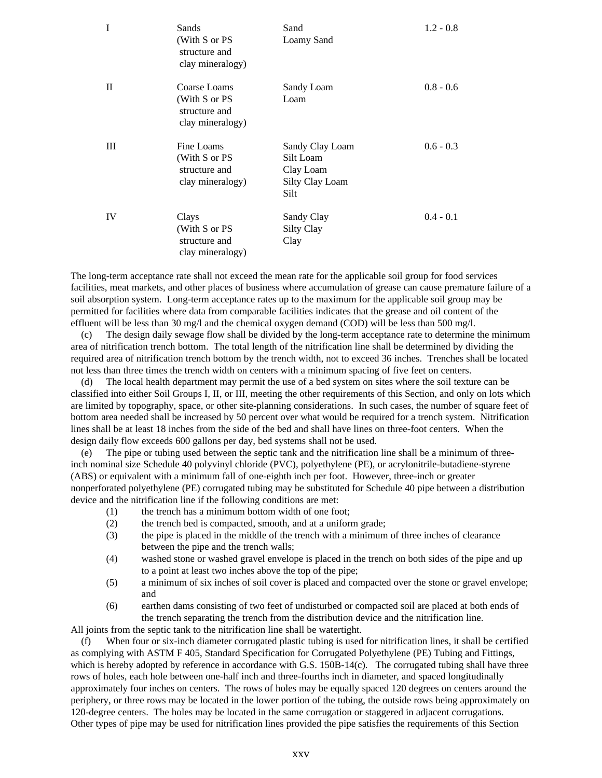| I  | Sands<br>(With S or PS<br>structure and<br>clay mineralogy)        | Sand<br>Loamy Sand                                                   | $1.2 - 0.8$ |
|----|--------------------------------------------------------------------|----------------------------------------------------------------------|-------------|
| П  | Coarse Loams<br>(With S or PS<br>structure and<br>clay mineralogy) | Sandy Loam<br>Loam                                                   | $0.8 - 0.6$ |
| Ш  | Fine Loams<br>(With S or PS<br>structure and<br>clay mineralogy)   | Sandy Clay Loam<br>Silt Loam<br>Clay Loam<br>Silty Clay Loam<br>Silt | $0.6 - 0.3$ |
| IV | Clays<br>(With S or PS<br>structure and<br>clay mineralogy)        | Sandy Clay<br><b>Silty Clay</b><br>Clay                              | $0.4 - 0.1$ |

The long-term acceptance rate shall not exceed the mean rate for the applicable soil group for food services facilities, meat markets, and other places of business where accumulation of grease can cause premature failure of a soil absorption system. Long-term acceptance rates up to the maximum for the applicable soil group may be permitted for facilities where data from comparable facilities indicates that the grease and oil content of the effluent will be less than 30 mg/l and the chemical oxygen demand (COD) will be less than 500 mg/l.

 (c) The design daily sewage flow shall be divided by the long-term acceptance rate to determine the minimum area of nitrification trench bottom. The total length of the nitrification line shall be determined by dividing the required area of nitrification trench bottom by the trench width, not to exceed 36 inches. Trenches shall be located not less than three times the trench width on centers with a minimum spacing of five feet on centers.

 (d) The local health department may permit the use of a bed system on sites where the soil texture can be classified into either Soil Groups I, II, or III, meeting the other requirements of this Section, and only on lots which are limited by topography, space, or other site-planning considerations. In such cases, the number of square feet of bottom area needed shall be increased by 50 percent over what would be required for a trench system. Nitrification lines shall be at least 18 inches from the side of the bed and shall have lines on three-foot centers. When the design daily flow exceeds 600 gallons per day, bed systems shall not be used.

 (e) The pipe or tubing used between the septic tank and the nitrification line shall be a minimum of threeinch nominal size Schedule 40 polyvinyl chloride (PVC), polyethylene (PE), or acrylonitrile-butadiene-styrene (ABS) or equivalent with a minimum fall of one-eighth inch per foot. However, three-inch or greater nonperforated polyethylene (PE) corrugated tubing may be substituted for Schedule 40 pipe between a distribution device and the nitrification line if the following conditions are met:

- (1) the trench has a minimum bottom width of one foot;
- (2) the trench bed is compacted, smooth, and at a uniform grade;
- (3) the pipe is placed in the middle of the trench with a minimum of three inches of clearance between the pipe and the trench walls;
- (4) washed stone or washed gravel envelope is placed in the trench on both sides of the pipe and up to a point at least two inches above the top of the pipe;
- (5) a minimum of six inches of soil cover is placed and compacted over the stone or gravel envelope; and
- (6) earthen dams consisting of two feet of undisturbed or compacted soil are placed at both ends of the trench separating the trench from the distribution device and the nitrification line.

All joints from the septic tank to the nitrification line shall be watertight.

 (f) When four or six-inch diameter corrugated plastic tubing is used for nitrification lines, it shall be certified as complying with ASTM F 405, Standard Specification for Corrugated Polyethylene (PE) Tubing and Fittings, which is hereby adopted by reference in accordance with G.S. 150B-14(c). The corrugated tubing shall have three rows of holes, each hole between one-half inch and three-fourths inch in diameter, and spaced longitudinally approximately four inches on centers. The rows of holes may be equally spaced 120 degrees on centers around the periphery, or three rows may be located in the lower portion of the tubing, the outside rows being approximately on 120-degree centers. The holes may be located in the same corrugation or staggered in adjacent corrugations. Other types of pipe may be used for nitrification lines provided the pipe satisfies the requirements of this Section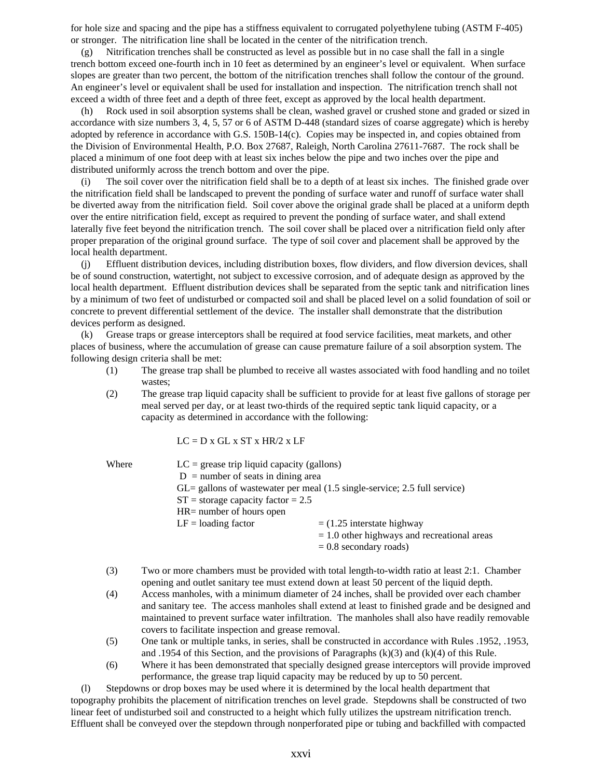for hole size and spacing and the pipe has a stiffness equivalent to corrugated polyethylene tubing (ASTM F-405) or stronger. The nitrification line shall be located in the center of the nitrification trench.

 (g) Nitrification trenches shall be constructed as level as possible but in no case shall the fall in a single trench bottom exceed one-fourth inch in 10 feet as determined by an engineer's level or equivalent. When surface slopes are greater than two percent, the bottom of the nitrification trenches shall follow the contour of the ground. An engineer's level or equivalent shall be used for installation and inspection. The nitrification trench shall not exceed a width of three feet and a depth of three feet, except as approved by the local health department.

 (h) Rock used in soil absorption systems shall be clean, washed gravel or crushed stone and graded or sized in accordance with size numbers 3, 4, 5, 57 or 6 of ASTM D-448 (standard sizes of coarse aggregate) which is hereby adopted by reference in accordance with G.S. 150B-14(c). Copies may be inspected in, and copies obtained from the Division of Environmental Health, P.O. Box 27687, Raleigh, North Carolina 27611-7687. The rock shall be placed a minimum of one foot deep with at least six inches below the pipe and two inches over the pipe and distributed uniformly across the trench bottom and over the pipe.

 (i) The soil cover over the nitrification field shall be to a depth of at least six inches. The finished grade over the nitrification field shall be landscaped to prevent the ponding of surface water and runoff of surface water shall be diverted away from the nitrification field. Soil cover above the original grade shall be placed at a uniform depth over the entire nitrification field, except as required to prevent the ponding of surface water, and shall extend laterally five feet beyond the nitrification trench. The soil cover shall be placed over a nitrification field only after proper preparation of the original ground surface. The type of soil cover and placement shall be approved by the local health department.

 (j) Effluent distribution devices, including distribution boxes, flow dividers, and flow diversion devices, shall be of sound construction, watertight, not subject to excessive corrosion, and of adequate design as approved by the local health department. Effluent distribution devices shall be separated from the septic tank and nitrification lines by a minimum of two feet of undisturbed or compacted soil and shall be placed level on a solid foundation of soil or concrete to prevent differential settlement of the device. The installer shall demonstrate that the distribution devices perform as designed.

 (k) Grease traps or grease interceptors shall be required at food service facilities, meat markets, and other places of business, where the accumulation of grease can cause premature failure of a soil absorption system. The following design criteria shall be met:

- (1) The grease trap shall be plumbed to receive all wastes associated with food handling and no toilet wastes;
- (2) The grease trap liquid capacity shall be sufficient to provide for at least five gallons of storage per meal served per day, or at least two-thirds of the required septic tank liquid capacity, or a capacity as determined in accordance with the following:

 $LC = D x GL x ST x HR/2 x LF$ 

- Where  $LC = \text{greatest trip liquid capacity (gallons)}$  $D =$  number of seats in dining area
	- GL= gallons of wastewater per meal (1.5 single-service; 2.5 full service)
	- $ST =$  storage capacity factor = 2.5
	- HR= number of hours open
	- $LF =$ loading factor  $= (1.25 \text{ interstate highway})$ 
		- = 1.0 other highways and recreational areas
		- $= 0.8$  secondary roads)
- (3) Two or more chambers must be provided with total length-to-width ratio at least 2:1. Chamber opening and outlet sanitary tee must extend down at least 50 percent of the liquid depth.
- (4) Access manholes, with a minimum diameter of 24 inches, shall be provided over each chamber and sanitary tee. The access manholes shall extend at least to finished grade and be designed and maintained to prevent surface water infiltration. The manholes shall also have readily removable covers to facilitate inspection and grease removal.
- (5) One tank or multiple tanks, in series, shall be constructed in accordance with Rules .1952, .1953, and .1954 of this Section, and the provisions of Paragraphs  $(k)(3)$  and  $(k)(4)$  of this Rule.
- (6) Where it has been demonstrated that specially designed grease interceptors will provide improved performance, the grease trap liquid capacity may be reduced by up to 50 percent.

 (l) Stepdowns or drop boxes may be used where it is determined by the local health department that topography prohibits the placement of nitrification trenches on level grade. Stepdowns shall be constructed of two linear feet of undisturbed soil and constructed to a height which fully utilizes the upstream nitrification trench. Effluent shall be conveyed over the stepdown through nonperforated pipe or tubing and backfilled with compacted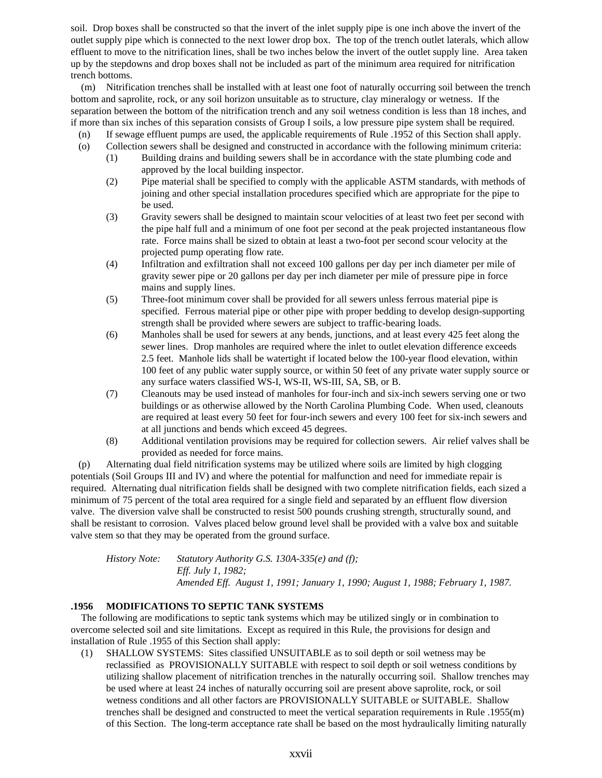soil. Drop boxes shall be constructed so that the invert of the inlet supply pipe is one inch above the invert of the outlet supply pipe which is connected to the next lower drop box. The top of the trench outlet laterals, which allow effluent to move to the nitrification lines, shall be two inches below the invert of the outlet supply line. Area taken up by the stepdowns and drop boxes shall not be included as part of the minimum area required for nitrification trench bottoms.

 (m) Nitrification trenches shall be installed with at least one foot of naturally occurring soil between the trench bottom and saprolite, rock, or any soil horizon unsuitable as to structure, clay mineralogy or wetness. If the separation between the bottom of the nitrification trench and any soil wetness condition is less than 18 inches, and if more than six inches of this separation consists of Group I soils, a low pressure pipe system shall be required.

- (n) If sewage effluent pumps are used, the applicable requirements of Rule .1952 of this Section shall apply.
- (o) Collection sewers shall be designed and constructed in accordance with the following minimum criteria:
	- (1) Building drains and building sewers shall be in accordance with the state plumbing code and approved by the local building inspector.
	- (2) Pipe material shall be specified to comply with the applicable ASTM standards, with methods of joining and other special installation procedures specified which are appropriate for the pipe to be used.
	- (3) Gravity sewers shall be designed to maintain scour velocities of at least two feet per second with the pipe half full and a minimum of one foot per second at the peak projected instantaneous flow rate. Force mains shall be sized to obtain at least a two-foot per second scour velocity at the projected pump operating flow rate.
	- (4) Infiltration and exfiltration shall not exceed 100 gallons per day per inch diameter per mile of gravity sewer pipe or 20 gallons per day per inch diameter per mile of pressure pipe in force mains and supply lines.
	- (5) Three-foot minimum cover shall be provided for all sewers unless ferrous material pipe is specified. Ferrous material pipe or other pipe with proper bedding to develop design-supporting strength shall be provided where sewers are subject to traffic-bearing loads.
	- (6) Manholes shall be used for sewers at any bends, junctions, and at least every 425 feet along the sewer lines. Drop manholes are required where the inlet to outlet elevation difference exceeds 2.5 feet. Manhole lids shall be watertight if located below the 100-year flood elevation, within 100 feet of any public water supply source, or within 50 feet of any private water supply source or any surface waters classified WS-I, WS-II, WS-III, SA, SB, or B.
	- (7) Cleanouts may be used instead of manholes for four-inch and six-inch sewers serving one or two buildings or as otherwise allowed by the North Carolina Plumbing Code. When used, cleanouts are required at least every 50 feet for four-inch sewers and every 100 feet for six-inch sewers and at all junctions and bends which exceed 45 degrees.
	- (8) Additional ventilation provisions may be required for collection sewers. Air relief valves shall be provided as needed for force mains.

 (p) Alternating dual field nitrification systems may be utilized where soils are limited by high clogging potentials (Soil Groups III and IV) and where the potential for malfunction and need for immediate repair is required. Alternating dual nitrification fields shall be designed with two complete nitrification fields, each sized a minimum of 75 percent of the total area required for a single field and separated by an effluent flow diversion valve. The diversion valve shall be constructed to resist 500 pounds crushing strength, structurally sound, and shall be resistant to corrosion. Valves placed below ground level shall be provided with a valve box and suitable valve stem so that they may be operated from the ground surface.

*History Note: Statutory Authority G.S. 130A-335(e) and (f); Eff. July 1, 1982; Amended Eff. August 1, 1991; January 1, 1990; August 1, 1988; February 1, 1987.*

# **.1956 MODIFICATIONS TO SEPTIC TANK SYSTEMS**

 The following are modifications to septic tank systems which may be utilized singly or in combination to overcome selected soil and site limitations. Except as required in this Rule, the provisions for design and installation of Rule .1955 of this Section shall apply:

 (1) SHALLOW SYSTEMS: Sites classified UNSUITABLE as to soil depth or soil wetness may be reclassified as PROVISIONALLY SUITABLE with respect to soil depth or soil wetness conditions by utilizing shallow placement of nitrification trenches in the naturally occurring soil. Shallow trenches may be used where at least 24 inches of naturally occurring soil are present above saprolite, rock, or soil wetness conditions and all other factors are PROVISIONALLY SUITABLE or SUITABLE. Shallow trenches shall be designed and constructed to meet the vertical separation requirements in Rule .1955(m) of this Section. The long-term acceptance rate shall be based on the most hydraulically limiting naturally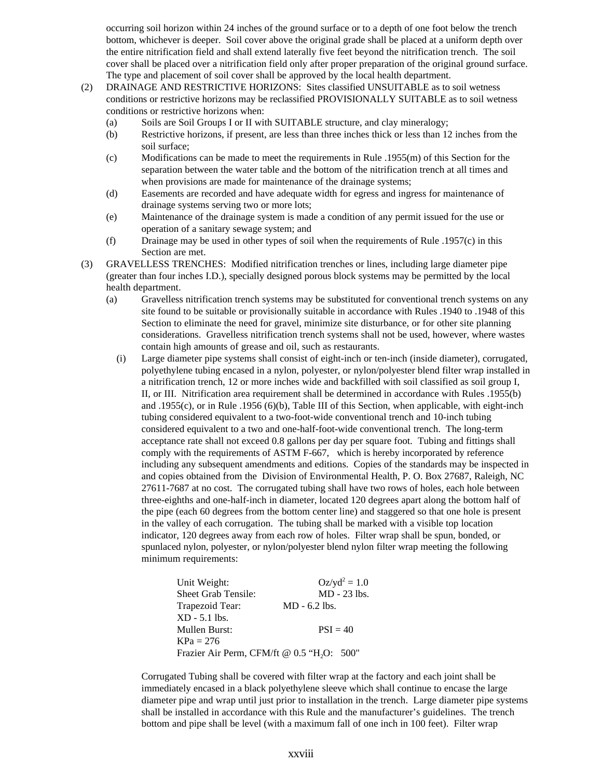occurring soil horizon within 24 inches of the ground surface or to a depth of one foot below the trench bottom, whichever is deeper. Soil cover above the original grade shall be placed at a uniform depth over the entire nitrification field and shall extend laterally five feet beyond the nitrification trench. The soil cover shall be placed over a nitrification field only after proper preparation of the original ground surface. The type and placement of soil cover shall be approved by the local health department.

- (2) DRAINAGE AND RESTRICTIVE HORIZONS: Sites classified UNSUITABLE as to soil wetness conditions or restrictive horizons may be reclassified PROVISIONALLY SUITABLE as to soil wetness conditions or restrictive horizons when:
	- (a) Soils are Soil Groups I or II with SUITABLE structure, and clay mineralogy;
	- (b) Restrictive horizons, if present, are less than three inches thick or less than 12 inches from the soil surface;
	- (c) Modifications can be made to meet the requirements in Rule .1955(m) of this Section for the separation between the water table and the bottom of the nitrification trench at all times and when provisions are made for maintenance of the drainage systems;
	- (d) Easements are recorded and have adequate width for egress and ingress for maintenance of drainage systems serving two or more lots;
	- (e) Maintenance of the drainage system is made a condition of any permit issued for the use or operation of a sanitary sewage system; and
	- (f) Drainage may be used in other types of soil when the requirements of Rule .1957(c) in this Section are met.
- (3) GRAVELLESS TRENCHES: Modified nitrification trenches or lines, including large diameter pipe (greater than four inches I.D.), specially designed porous block systems may be permitted by the local health department.
	- (a) Gravelless nitrification trench systems may be substituted for conventional trench systems on any site found to be suitable or provisionally suitable in accordance with Rules .1940 to .1948 of this Section to eliminate the need for gravel, minimize site disturbance, or for other site planning considerations. Gravelless nitrification trench systems shall not be used, however, where wastes contain high amounts of grease and oil, such as restaurants.
		- (i) Large diameter pipe systems shall consist of eight-inch or ten-inch (inside diameter), corrugated, polyethylene tubing encased in a nylon, polyester, or nylon/polyester blend filter wrap installed in a nitrification trench, 12 or more inches wide and backfilled with soil classified as soil group I, II, or III. Nitrification area requirement shall be determined in accordance with Rules .1955(b) and .1955(c), or in Rule .1956 (6)(b), Table III of this Section, when applicable, with eight-inch tubing considered equivalent to a two-foot-wide conventional trench and 10-inch tubing considered equivalent to a two and one-half-foot-wide conventional trench. The long-term acceptance rate shall not exceed 0.8 gallons per day per square foot. Tubing and fittings shall comply with the requirements of ASTM F-667, which is hereby incorporated by reference including any subsequent amendments and editions. Copies of the standards may be inspected in and copies obtained from the Division of Environmental Health, P. O. Box 27687, Raleigh, NC 27611-7687 at no cost. The corrugated tubing shall have two rows of holes, each hole between three-eighths and one-half-inch in diameter, located 120 degrees apart along the bottom half of the pipe (each 60 degrees from the bottom center line) and staggered so that one hole is present in the valley of each corrugation. The tubing shall be marked with a visible top location indicator, 120 degrees away from each row of holes. Filter wrap shall be spun, bonded, or spunlaced nylon, polyester, or nylon/polyester blend nylon filter wrap meeting the following minimum requirements:

| Unit Weight:                                           | $Oz/yd^2 = 1.0$ |
|--------------------------------------------------------|-----------------|
| <b>Sheet Grab Tensile:</b>                             | $MD - 23$ lbs.  |
| Trapezoid Tear:                                        | $MD - 6.2$ lbs. |
| $XD - 5.1$ lbs.                                        |                 |
| Mullen Burst:                                          | $PSI = 40$      |
| $KPa = 276$                                            |                 |
| Frazier Air Perm, CFM/ft @ 0.5 "H <sub>2</sub> O: 500" |                 |

Corrugated Tubing shall be covered with filter wrap at the factory and each joint shall be immediately encased in a black polyethylene sleeve which shall continue to encase the large diameter pipe and wrap until just prior to installation in the trench. Large diameter pipe systems shall be installed in accordance with this Rule and the manufacturer's guidelines. The trench bottom and pipe shall be level (with a maximum fall of one inch in 100 feet). Filter wrap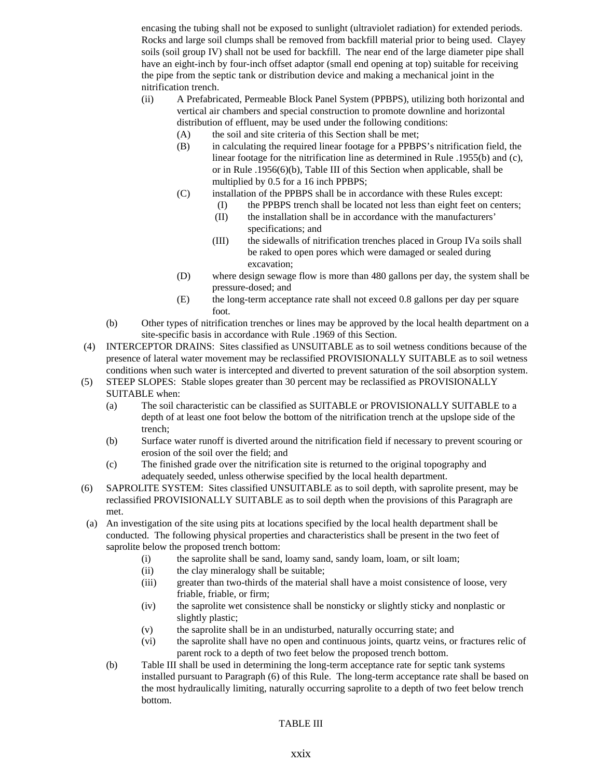encasing the tubing shall not be exposed to sunlight (ultraviolet radiation) for extended periods. Rocks and large soil clumps shall be removed from backfill material prior to being used. Clayey soils (soil group IV) shall not be used for backfill. The near end of the large diameter pipe shall have an eight-inch by four-inch offset adaptor (small end opening at top) suitable for receiving the pipe from the septic tank or distribution device and making a mechanical joint in the nitrification trench.

- (ii) A Prefabricated, Permeable Block Panel System (PPBPS), utilizing both horizontal and vertical air chambers and special construction to promote downline and horizontal distribution of effluent, may be used under the following conditions:
	- (A) the soil and site criteria of this Section shall be met;
	- (B) in calculating the required linear footage for a PPBPS's nitrification field, the linear footage for the nitrification line as determined in Rule .1955(b) and (c), or in Rule .1956(6)(b), Table III of this Section when applicable, shall be multiplied by 0.5 for a 16 inch PPBPS;
	- (C) installation of the PPBPS shall be in accordance with these Rules except:
		- (I) the PPBPS trench shall be located not less than eight feet on centers;
		- (II) the installation shall be in accordance with the manufacturers' specifications; and
		- (III) the sidewalls of nitrification trenches placed in Group IVa soils shall be raked to open pores which were damaged or sealed during excavation;
	- (D) where design sewage flow is more than 480 gallons per day, the system shall be pressure-dosed; and
	- (E) the long-term acceptance rate shall not exceed 0.8 gallons per day per square foot.
- (b) Other types of nitrification trenches or lines may be approved by the local health department on a site-specific basis in accordance with Rule .1969 of this Section.
- (4) INTERCEPTOR DRAINS: Sites classified as UNSUITABLE as to soil wetness conditions because of the presence of lateral water movement may be reclassified PROVISIONALLY SUITABLE as to soil wetness conditions when such water is intercepted and diverted to prevent saturation of the soil absorption system.
- (5) STEEP SLOPES: Stable slopes greater than 30 percent may be reclassified as PROVISIONALLY SUITABLE when:
	- (a) The soil characteristic can be classified as SUITABLE or PROVISIONALLY SUITABLE to a depth of at least one foot below the bottom of the nitrification trench at the upslope side of the trench;
	- (b) Surface water runoff is diverted around the nitrification field if necessary to prevent scouring or erosion of the soil over the field; and
	- (c) The finished grade over the nitrification site is returned to the original topography and adequately seeded, unless otherwise specified by the local health department.
- (6) SAPROLITE SYSTEM: Sites classified UNSUITABLE as to soil depth, with saprolite present, may be reclassified PROVISIONALLY SUITABLE as to soil depth when the provisions of this Paragraph are met.
- (a) An investigation of the site using pits at locations specified by the local health department shall be conducted. The following physical properties and characteristics shall be present in the two feet of saprolite below the proposed trench bottom:
	- (i) the saprolite shall be sand, loamy sand, sandy loam, loam, or silt loam;
	- (ii) the clay mineralogy shall be suitable;
	- (iii) greater than two-thirds of the material shall have a moist consistence of loose, very friable, friable, or firm;
	- (iv) the saprolite wet consistence shall be nonsticky or slightly sticky and nonplastic or slightly plastic;
	- (v) the saprolite shall be in an undisturbed, naturally occurring state; and
	- (vi) the saprolite shall have no open and continuous joints, quartz veins, or fractures relic of parent rock to a depth of two feet below the proposed trench bottom.
	- (b) Table III shall be used in determining the long-term acceptance rate for septic tank systems installed pursuant to Paragraph (6) of this Rule. The long-term acceptance rate shall be based on the most hydraulically limiting, naturally occurring saprolite to a depth of two feet below trench bottom.

TABLE III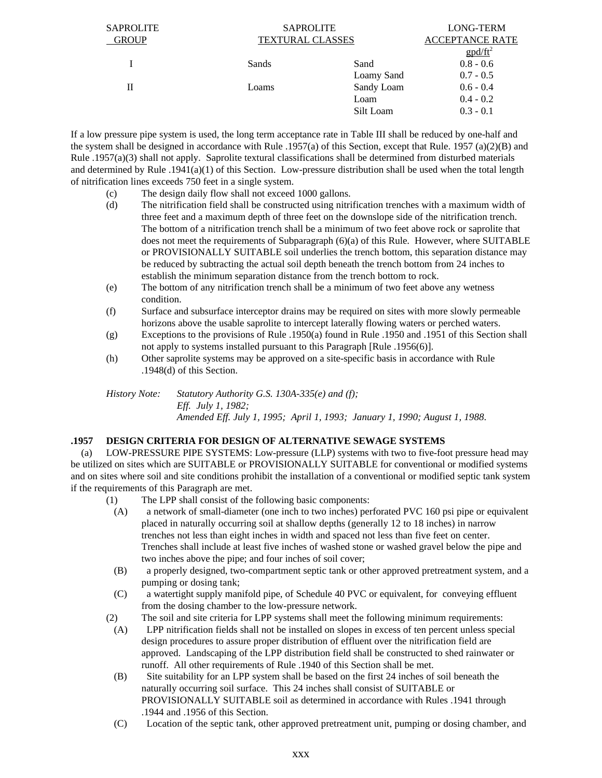| <b>SAPROLITE</b> | <b>SAPROLITE</b>        |            | LONG-TERM                                         |
|------------------|-------------------------|------------|---------------------------------------------------|
| <b>GROUP</b>     | <b>TEXTURAL CLASSES</b> |            | <b>ACCEPTANCE RATE</b>                            |
|                  |                         |            | $\frac{g \text{p} d / \text{ft}^2}{g \text{p} d}$ |
|                  | Sands                   | Sand       | $0.8 - 0.6$                                       |
|                  |                         | Loamy Sand | $0.7 - 0.5$                                       |
| П                | Loams                   | Sandy Loam | $0.6 - 0.4$                                       |
|                  |                         | Loam       | $0.4 - 0.2$                                       |
|                  |                         | Silt Loam  | $0.3 - 0.1$                                       |
|                  |                         |            |                                                   |

If a low pressure pipe system is used, the long term acceptance rate in Table III shall be reduced by one-half and the system shall be designed in accordance with Rule .1957(a) of this Section, except that Rule. 1957 (a)(2)(B) and Rule .1957(a)(3) shall not apply. Saprolite textural classifications shall be determined from disturbed materials and determined by Rule .1941(a)(1) of this Section. Low-pressure distribution shall be used when the total length of nitrification lines exceeds 750 feet in a single system.

- (c) The design daily flow shall not exceed 1000 gallons.
- (d) The nitrification field shall be constructed using nitrification trenches with a maximum width of three feet and a maximum depth of three feet on the downslope side of the nitrification trench. The bottom of a nitrification trench shall be a minimum of two feet above rock or saprolite that does not meet the requirements of Subparagraph (6)(a) of this Rule. However, where SUITABLE or PROVISIONALLY SUITABLE soil underlies the trench bottom, this separation distance may be reduced by subtracting the actual soil depth beneath the trench bottom from 24 inches to establish the minimum separation distance from the trench bottom to rock.
- (e) The bottom of any nitrification trench shall be a minimum of two feet above any wetness condition.
- (f) Surface and subsurface interceptor drains may be required on sites with more slowly permeable horizons above the usable saprolite to intercept laterally flowing waters or perched waters.
- (g) Exceptions to the provisions of Rule .1950(a) found in Rule .1950 and .1951 of this Section shall not apply to systems installed pursuant to this Paragraph [Rule .1956(6)].
- (h) Other saprolite systems may be approved on a site-specific basis in accordance with Rule .1948(d) of this Section.

*History Note: Statutory Authority G.S. 130A-335(e) and (f); Eff. July 1, 1982; Amended Eff. July 1, 1995; April 1, 1993; January 1, 1990; August 1, 1988*.

# **.1957 DESIGN CRITERIA FOR DESIGN OF ALTERNATIVE SEWAGE SYSTEMS**

 (a) LOW-PRESSURE PIPE SYSTEMS: Low-pressure (LLP) systems with two to five-foot pressure head may be utilized on sites which are SUITABLE or PROVISIONALLY SUITABLE for conventional or modified systems and on sites where soil and site conditions prohibit the installation of a conventional or modified septic tank system if the requirements of this Paragraph are met.

- (1) The LPP shall consist of the following basic components:
- (A) a network of small-diameter (one inch to two inches) perforated PVC 160 psi pipe or equivalent placed in naturally occurring soil at shallow depths (generally 12 to 18 inches) in narrow trenches not less than eight inches in width and spaced not less than five feet on center. Trenches shall include at least five inches of washed stone or washed gravel below the pipe and two inches above the pipe; and four inches of soil cover;
- (B) a properly designed, two-compartment septic tank or other approved pretreatment system, and a pumping or dosing tank;
- (C) a watertight supply manifold pipe, of Schedule 40 PVC or equivalent, for conveying effluent from the dosing chamber to the low-pressure network.
- (2) The soil and site criteria for LPP systems shall meet the following minimum requirements:
- (A) LPP nitrification fields shall not be installed on slopes in excess of ten percent unless special design procedures to assure proper distribution of effluent over the nitrification field are approved. Landscaping of the LPP distribution field shall be constructed to shed rainwater or runoff. All other requirements of Rule .1940 of this Section shall be met.
- (B) Site suitability for an LPP system shall be based on the first 24 inches of soil beneath the naturally occurring soil surface. This 24 inches shall consist of SUITABLE or PROVISIONALLY SUITABLE soil as determined in accordance with Rules .1941 through .1944 and .1956 of this Section.
- (C) Location of the septic tank, other approved pretreatment unit, pumping or dosing chamber, and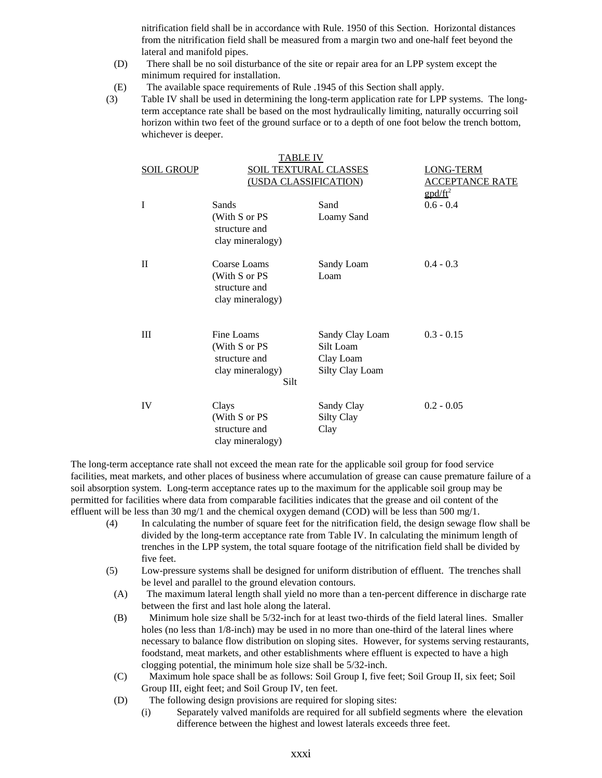nitrification field shall be in accordance with Rule. 1950 of this Section. Horizontal distances from the nitrification field shall be measured from a margin two and one-half feet beyond the lateral and manifold pipes.

- (D) There shall be no soil disturbance of the site or repair area for an LPP system except the minimum required for installation.
- (E) The available space requirements of Rule .1945 of this Section shall apply.
- (3) Table IV shall be used in determining the long-term application rate for LPP systems. The longterm acceptance rate shall be based on the most hydraulically limiting, naturally occurring soil horizon within two feet of the ground surface or to a depth of one foot below the trench bottom, whichever is deeper.

|                   | TABLE IV                                                                 |                                                              |                                                                     |
|-------------------|--------------------------------------------------------------------------|--------------------------------------------------------------|---------------------------------------------------------------------|
| <b>SOIL GROUP</b> | <b>SOIL TEXTURAL CLASSES</b><br>(USDA CLASSIFICATION)                    |                                                              | LONG-TERM<br><b>ACCEPTANCE RATE</b><br>$\frac{g \frac{d}{dt}^2}{2}$ |
| I                 | Sands<br>(With S or PS<br>structure and<br>clay mineralogy)              | Sand<br>Loamy Sand                                           | $0.6 - 0.4$                                                         |
| $\mathbf{I}$      | Coarse Loams<br>(With S or PS<br>structure and<br>clay mineralogy)       | Sandy Loam<br>Loam                                           | $0.4 - 0.3$                                                         |
| III               | Fine Loams<br>(With S or PS<br>structure and<br>clay mineralogy)<br>Silt | Sandy Clay Loam<br>Silt Loam<br>Clay Loam<br>Silty Clay Loam | $0.3 - 0.15$                                                        |
| IV                | Clays<br>(With S or PS<br>structure and<br>clay mineralogy)              | Sandy Clay<br><b>Silty Clay</b><br>Clay                      | $0.2 - 0.05$                                                        |

The long-term acceptance rate shall not exceed the mean rate for the applicable soil group for food service facilities, meat markets, and other places of business where accumulation of grease can cause premature failure of a soil absorption system. Long-term acceptance rates up to the maximum for the applicable soil group may be permitted for facilities where data from comparable facilities indicates that the grease and oil content of the effluent will be less than 30 mg/1 and the chemical oxygen demand (COD) will be less than 500 mg/1.

- (4) In calculating the number of square feet for the nitrification field, the design sewage flow shall be divided by the long-term acceptance rate from Table IV. In calculating the minimum length of trenches in the LPP system, the total square footage of the nitrification field shall be divided by five feet.
- (5) Low-pressure systems shall be designed for uniform distribution of effluent. The trenches shall be level and parallel to the ground elevation contours.
	- (A) The maximum lateral length shall yield no more than a ten-percent difference in discharge rate between the first and last hole along the lateral.
	- (B) Minimum hole size shall be 5/32-inch for at least two-thirds of the field lateral lines. Smaller holes (no less than  $1/8$ -inch) may be used in no more than one-third of the lateral lines where necessary to balance flow distribution on sloping sites. However, for systems serving restaurants, foodstand, meat markets, and other establishments where effluent is expected to have a high clogging potential, the minimum hole size shall be 5/32-inch.
	- (C) Maximum hole space shall be as follows: Soil Group I, five feet; Soil Group II, six feet; Soil Group III, eight feet; and Soil Group IV, ten feet.
	- (D) The following design provisions are required for sloping sites:
		- (i) Separately valved manifolds are required for all subfield segments where the elevation difference between the highest and lowest laterals exceeds three feet.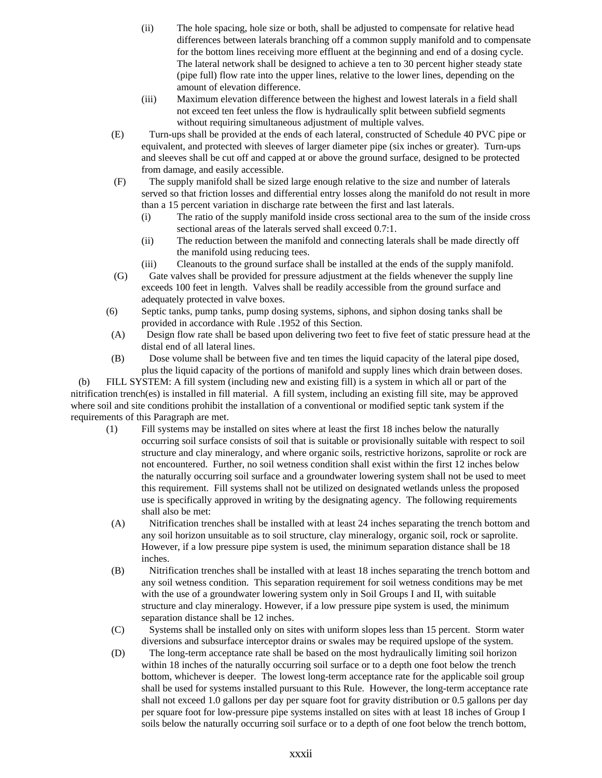- (ii) The hole spacing, hole size or both, shall be adjusted to compensate for relative head differences between laterals branching off a common supply manifold and to compensate for the bottom lines receiving more effluent at the beginning and end of a dosing cycle. The lateral network shall be designed to achieve a ten to 30 percent higher steady state (pipe full) flow rate into the upper lines, relative to the lower lines, depending on the amount of elevation difference.
- (iii) Maximum elevation difference between the highest and lowest laterals in a field shall not exceed ten feet unless the flow is hydraulically split between subfield segments without requiring simultaneous adjustment of multiple valves.
- (E) Turn-ups shall be provided at the ends of each lateral, constructed of Schedule 40 PVC pipe or equivalent, and protected with sleeves of larger diameter pipe (six inches or greater). Turn-ups and sleeves shall be cut off and capped at or above the ground surface, designed to be protected from damage, and easily accessible.
- (F) The supply manifold shall be sized large enough relative to the size and number of laterals served so that friction losses and differential entry losses along the manifold do not result in more than a 15 percent variation in discharge rate between the first and last laterals.
	- (i) The ratio of the supply manifold inside cross sectional area to the sum of the inside cross sectional areas of the laterals served shall exceed 0.7:1.
	- (ii) The reduction between the manifold and connecting laterals shall be made directly off the manifold using reducing tees.
	- (iii) Cleanouts to the ground surface shall be installed at the ends of the supply manifold.
- (G) Gate valves shall be provided for pressure adjustment at the fields whenever the supply line exceeds 100 feet in length. Valves shall be readily accessible from the ground surface and adequately protected in valve boxes.
- (6) Septic tanks, pump tanks, pump dosing systems, siphons, and siphon dosing tanks shall be provided in accordance with Rule .1952 of this Section.
- (A) Design flow rate shall be based upon delivering two feet to five feet of static pressure head at the distal end of all lateral lines.
- (B) Dose volume shall be between five and ten times the liquid capacity of the lateral pipe dosed, plus the liquid capacity of the portions of manifold and supply lines which drain between doses.

 (b) FILL SYSTEM: A fill system (including new and existing fill) is a system in which all or part of the nitrification trench(es) is installed in fill material. A fill system, including an existing fill site, may be approved where soil and site conditions prohibit the installation of a conventional or modified septic tank system if the requirements of this Paragraph are met.

- (1) Fill systems may be installed on sites where at least the first 18 inches below the naturally occurring soil surface consists of soil that is suitable or provisionally suitable with respect to soil structure and clay mineralogy, and where organic soils, restrictive horizons, saprolite or rock are not encountered. Further, no soil wetness condition shall exist within the first 12 inches below the naturally occurring soil surface and a groundwater lowering system shall not be used to meet this requirement. Fill systems shall not be utilized on designated wetlands unless the proposed use is specifically approved in writing by the designating agency. The following requirements shall also be met:
- (A) Nitrification trenches shall be installed with at least 24 inches separating the trench bottom and any soil horizon unsuitable as to soil structure, clay mineralogy, organic soil, rock or saprolite. However, if a low pressure pipe system is used, the minimum separation distance shall be 18 inches.
- (B) Nitrification trenches shall be installed with at least 18 inches separating the trench bottom and any soil wetness condition. This separation requirement for soil wetness conditions may be met with the use of a groundwater lowering system only in Soil Groups I and II, with suitable structure and clay mineralogy. However, if a low pressure pipe system is used, the minimum separation distance shall be 12 inches.
- (C) Systems shall be installed only on sites with uniform slopes less than 15 percent. Storm water diversions and subsurface interceptor drains or swales may be required upslope of the system.
- (D) The long-term acceptance rate shall be based on the most hydraulically limiting soil horizon within 18 inches of the naturally occurring soil surface or to a depth one foot below the trench bottom, whichever is deeper. The lowest long-term acceptance rate for the applicable soil group shall be used for systems installed pursuant to this Rule. However, the long-term acceptance rate shall not exceed 1.0 gallons per day per square foot for gravity distribution or 0.5 gallons per day per square foot for low-pressure pipe systems installed on sites with at least 18 inches of Group I soils below the naturally occurring soil surface or to a depth of one foot below the trench bottom,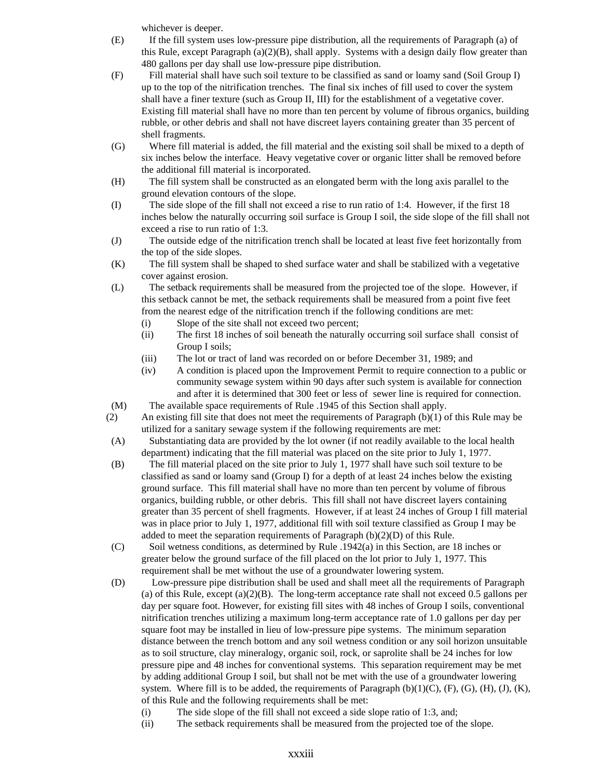whichever is deeper.

- (E) If the fill system uses low-pressure pipe distribution, all the requirements of Paragraph (a) of this Rule, except Paragraph  $(a)(2)(B)$ , shall apply. Systems with a design daily flow greater than 480 gallons per day shall use low-pressure pipe distribution.
- (F) Fill material shall have such soil texture to be classified as sand or loamy sand (Soil Group I) up to the top of the nitrification trenches. The final six inches of fill used to cover the system shall have a finer texture (such as Group II, III) for the establishment of a vegetative cover. Existing fill material shall have no more than ten percent by volume of fibrous organics, building rubble, or other debris and shall not have discreet layers containing greater than 35 percent of shell fragments.
- (G) Where fill material is added, the fill material and the existing soil shall be mixed to a depth of six inches below the interface. Heavy vegetative cover or organic litter shall be removed before the additional fill material is incorporated.
- (H) The fill system shall be constructed as an elongated berm with the long axis parallel to the ground elevation contours of the slope.
- (I) The side slope of the fill shall not exceed a rise to run ratio of 1:4. However, if the first 18 inches below the naturally occurring soil surface is Group I soil, the side slope of the fill shall not exceed a rise to run ratio of 1:3.
- (J) The outside edge of the nitrification trench shall be located at least five feet horizontally from the top of the side slopes.
- (K) The fill system shall be shaped to shed surface water and shall be stabilized with a vegetative cover against erosion.
- (L) The setback requirements shall be measured from the projected toe of the slope. However, if this setback cannot be met, the setback requirements shall be measured from a point five feet from the nearest edge of the nitrification trench if the following conditions are met:
	- (i) Slope of the site shall not exceed two percent;
	- (ii) The first 18 inches of soil beneath the naturally occurring soil surface shall consist of Group I soils;
	- (iii) The lot or tract of land was recorded on or before December 31, 1989; and
	- (iv) A condition is placed upon the Improvement Permit to require connection to a public or community sewage system within 90 days after such system is available for connection and after it is determined that 300 feet or less of sewer line is required for connection.
- (M) The available space requirements of Rule .1945 of this Section shall apply.
- (2) An existing fill site that does not meet the requirements of Paragraph (b)(1) of this Rule may be utilized for a sanitary sewage system if the following requirements are met:
- (A) Substantiating data are provided by the lot owner (if not readily available to the local health department) indicating that the fill material was placed on the site prior to July 1, 1977.
- (B) The fill material placed on the site prior to July 1, 1977 shall have such soil texture to be classified as sand or loamy sand (Group I) for a depth of at least 24 inches below the existing ground surface. This fill material shall have no more than ten percent by volume of fibrous organics, building rubble, or other debris. This fill shall not have discreet layers containing greater than 35 percent of shell fragments. However, if at least 24 inches of Group I fill material was in place prior to July 1, 1977, additional fill with soil texture classified as Group I may be added to meet the separation requirements of Paragraph (b)(2)(D) of this Rule.
- (C) Soil wetness conditions, as determined by Rule .1942(a) in this Section, are 18 inches or greater below the ground surface of the fill placed on the lot prior to July 1, 1977. This requirement shall be met without the use of a groundwater lowering system.
- (D) Low-pressure pipe distribution shall be used and shall meet all the requirements of Paragraph (a) of this Rule, except  $(a)(2)(B)$ . The long-term acceptance rate shall not exceed 0.5 gallons per day per square foot. However, for existing fill sites with 48 inches of Group I soils, conventional nitrification trenches utilizing a maximum long-term acceptance rate of 1.0 gallons per day per square foot may be installed in lieu of low-pressure pipe systems. The minimum separation distance between the trench bottom and any soil wetness condition or any soil horizon unsuitable as to soil structure, clay mineralogy, organic soil, rock, or saprolite shall be 24 inches for low pressure pipe and 48 inches for conventional systems. This separation requirement may be met by adding additional Group I soil, but shall not be met with the use of a groundwater lowering system. Where fill is to be added, the requirements of Paragraph  $(b)(1)(C)$ ,  $(F)$ ,  $(G)$ ,  $(H)$ ,  $(J)$ ,  $(K)$ , of this Rule and the following requirements shall be met:
	- (i) The side slope of the fill shall not exceed a side slope ratio of 1:3, and;
	- (ii) The setback requirements shall be measured from the projected toe of the slope.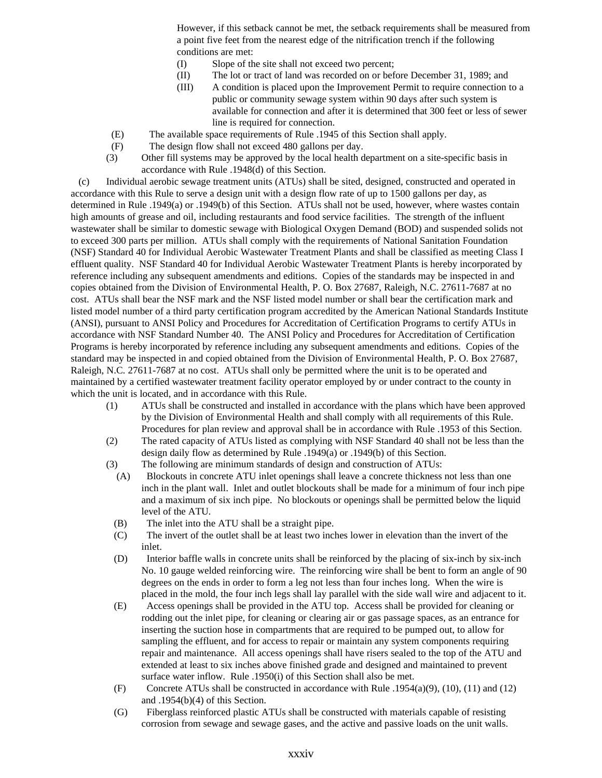However, if this setback cannot be met, the setback requirements shall be measured from a point five feet from the nearest edge of the nitrification trench if the following conditions are met:

- (I) Slope of the site shall not exceed two percent;
- (II) The lot or tract of land was recorded on or before December 31, 1989; and
- (III) A condition is placed upon the Improvement Permit to require connection to a public or community sewage system within 90 days after such system is available for connection and after it is determined that 300 feet or less of sewer line is required for connection.
- (E) The available space requirements of Rule .1945 of this Section shall apply.
- (F) The design flow shall not exceed 480 gallons per day.
- (3) Other fill systems may be approved by the local health department on a site-specific basis in accordance with Rule .1948(d) of this Section.

 (c) Individual aerobic sewage treatment units (ATUs) shall be sited, designed, constructed and operated in accordance with this Rule to serve a design unit with a design flow rate of up to 1500 gallons per day, as determined in Rule .1949(a) or .1949(b) of this Section. ATUs shall not be used, however, where wastes contain high amounts of grease and oil, including restaurants and food service facilities. The strength of the influent wastewater shall be similar to domestic sewage with Biological Oxygen Demand (BOD) and suspended solids not to exceed 300 parts per million. ATUs shall comply with the requirements of National Sanitation Foundation (NSF) Standard 40 for Individual Aerobic Wastewater Treatment Plants and shall be classified as meeting Class I effluent quality. NSF Standard 40 for Individual Aerobic Wastewater Treatment Plants is hereby incorporated by reference including any subsequent amendments and editions. Copies of the standards may be inspected in and copies obtained from the Division of Environmental Health, P. O. Box 27687, Raleigh, N.C. 27611-7687 at no cost. ATUs shall bear the NSF mark and the NSF listed model number or shall bear the certification mark and listed model number of a third party certification program accredited by the American National Standards Institute (ANSI), pursuant to ANSI Policy and Procedures for Accreditation of Certification Programs to certify ATUs in accordance with NSF Standard Number 40. The ANSI Policy and Procedures for Accreditation of Certification Programs is hereby incorporated by reference including any subsequent amendments and editions. Copies of the standard may be inspected in and copied obtained from the Division of Environmental Health, P. O. Box 27687, Raleigh, N.C. 27611-7687 at no cost. ATUs shall only be permitted where the unit is to be operated and maintained by a certified wastewater treatment facility operator employed by or under contract to the county in which the unit is located, and in accordance with this Rule.

- (1) ATUs shall be constructed and installed in accordance with the plans which have been approved by the Division of Environmental Health and shall comply with all requirements of this Rule. Procedures for plan review and approval shall be in accordance with Rule .1953 of this Section.
- (2) The rated capacity of ATUs listed as complying with NSF Standard 40 shall not be less than the design daily flow as determined by Rule .1949(a) or .1949(b) of this Section.
- (3) The following are minimum standards of design and construction of ATUs:
- (A) Blockouts in concrete ATU inlet openings shall leave a concrete thickness not less than one inch in the plant wall. Inlet and outlet blockouts shall be made for a minimum of four inch pipe and a maximum of six inch pipe. No blockouts or openings shall be permitted below the liquid level of the ATU.
- (B) The inlet into the ATU shall be a straight pipe.
- (C) The invert of the outlet shall be at least two inches lower in elevation than the invert of the inlet.
- (D) Interior baffle walls in concrete units shall be reinforced by the placing of six-inch by six-inch No. 10 gauge welded reinforcing wire. The reinforcing wire shall be bent to form an angle of 90 degrees on the ends in order to form a leg not less than four inches long. When the wire is placed in the mold, the four inch legs shall lay parallel with the side wall wire and adjacent to it.
- (E) Access openings shall be provided in the ATU top. Access shall be provided for cleaning or rodding out the inlet pipe, for cleaning or clearing air or gas passage spaces, as an entrance for inserting the suction hose in compartments that are required to be pumped out, to allow for sampling the effluent, and for access to repair or maintain any system components requiring repair and maintenance. All access openings shall have risers sealed to the top of the ATU and extended at least to six inches above finished grade and designed and maintained to prevent surface water inflow. Rule .1950(i) of this Section shall also be met.
- (F) Concrete ATUs shall be constructed in accordance with Rule .1954(a)(9), (10), (11) and (12) and .1954(b)(4) of this Section.
- (G) Fiberglass reinforced plastic ATUs shall be constructed with materials capable of resisting corrosion from sewage and sewage gases, and the active and passive loads on the unit walls.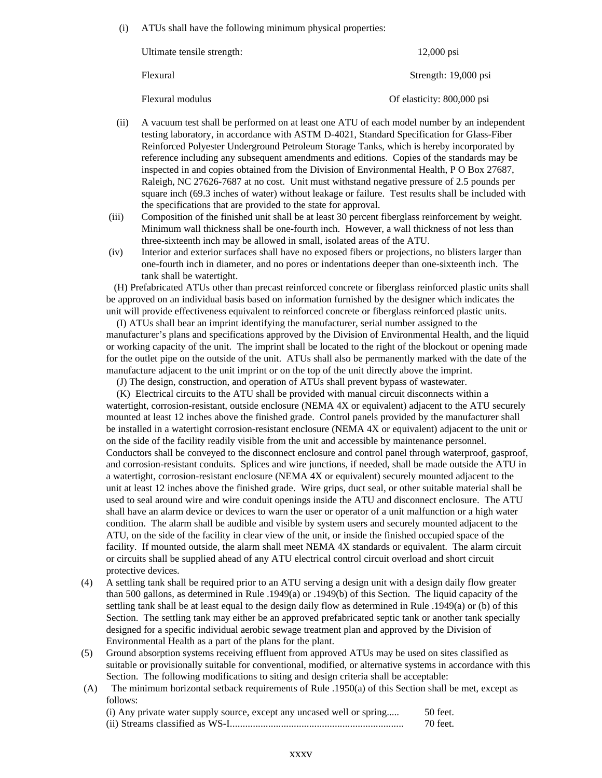(i) ATUs shall have the following minimum physical properties:

| Ultimate tensile strength: | $12,000$ psi               |
|----------------------------|----------------------------|
| Flexural                   | Strength: 19,000 psi       |
| Flexural modulus           | Of elasticity: 800,000 psi |

- (ii) A vacuum test shall be performed on at least one ATU of each model number by an independent testing laboratory, in accordance with ASTM D-4021, Standard Specification for Glass-Fiber Reinforced Polyester Underground Petroleum Storage Tanks, which is hereby incorporated by reference including any subsequent amendments and editions. Copies of the standards may be inspected in and copies obtained from the Division of Environmental Health, P O Box 27687, Raleigh, NC 27626-7687 at no cost. Unit must withstand negative pressure of 2.5 pounds per square inch (69.3 inches of water) without leakage or failure. Test results shall be included with the specifications that are provided to the state for approval.
- (iii) Composition of the finished unit shall be at least 30 percent fiberglass reinforcement by weight. Minimum wall thickness shall be one-fourth inch. However, a wall thickness of not less than three-sixteenth inch may be allowed in small, isolated areas of the ATU.
- (iv) Interior and exterior surfaces shall have no exposed fibers or projections, no blisters larger than one-fourth inch in diameter, and no pores or indentations deeper than one-sixteenth inch. The tank shall be watertight.

 (H) Prefabricated ATUs other than precast reinforced concrete or fiberglass reinforced plastic units shall be approved on an individual basis based on information furnished by the designer which indicates the unit will provide effectiveness equivalent to reinforced concrete or fiberglass reinforced plastic units.

 (I) ATUs shall bear an imprint identifying the manufacturer, serial number assigned to the manufacturer's plans and specifications approved by the Division of Environmental Health, and the liquid or working capacity of the unit. The imprint shall be located to the right of the blockout or opening made for the outlet pipe on the outside of the unit. ATUs shall also be permanently marked with the date of the manufacture adjacent to the unit imprint or on the top of the unit directly above the imprint.

(J) The design, construction, and operation of ATUs shall prevent bypass of wastewater.

 (K) Electrical circuits to the ATU shall be provided with manual circuit disconnects within a watertight, corrosion-resistant, outside enclosure (NEMA 4X or equivalent) adjacent to the ATU securely mounted at least 12 inches above the finished grade. Control panels provided by the manufacturer shall be installed in a watertight corrosion-resistant enclosure (NEMA 4X or equivalent) adjacent to the unit or on the side of the facility readily visible from the unit and accessible by maintenance personnel. Conductors shall be conveyed to the disconnect enclosure and control panel through waterproof, gasproof, and corrosion-resistant conduits. Splices and wire junctions, if needed, shall be made outside the ATU in a watertight, corrosion-resistant enclosure (NEMA 4X or equivalent) securely mounted adjacent to the unit at least 12 inches above the finished grade. Wire grips, duct seal, or other suitable material shall be used to seal around wire and wire conduit openings inside the ATU and disconnect enclosure. The ATU shall have an alarm device or devices to warn the user or operator of a unit malfunction or a high water condition. The alarm shall be audible and visible by system users and securely mounted adjacent to the ATU, on the side of the facility in clear view of the unit, or inside the finished occupied space of the facility. If mounted outside, the alarm shall meet NEMA 4X standards or equivalent. The alarm circuit or circuits shall be supplied ahead of any ATU electrical control circuit overload and short circuit protective devices.

- (4) A settling tank shall be required prior to an ATU serving a design unit with a design daily flow greater than 500 gallons, as determined in Rule .1949(a) or .1949(b) of this Section. The liquid capacity of the settling tank shall be at least equal to the design daily flow as determined in Rule .1949(a) or (b) of this Section. The settling tank may either be an approved prefabricated septic tank or another tank specially designed for a specific individual aerobic sewage treatment plan and approved by the Division of Environmental Health as a part of the plans for the plant.
- (5) Ground absorption systems receiving effluent from approved ATUs may be used on sites classified as suitable or provisionally suitable for conventional, modified, or alternative systems in accordance with this Section. The following modifications to siting and design criteria shall be acceptable:
- (A) The minimum horizontal setback requirements of Rule .1950(a) of this Section shall be met, except as follows:

| (i) Any private water supply source, except any uncased well or spring | 50 feet. |
|------------------------------------------------------------------------|----------|
|                                                                        | 70 feet. |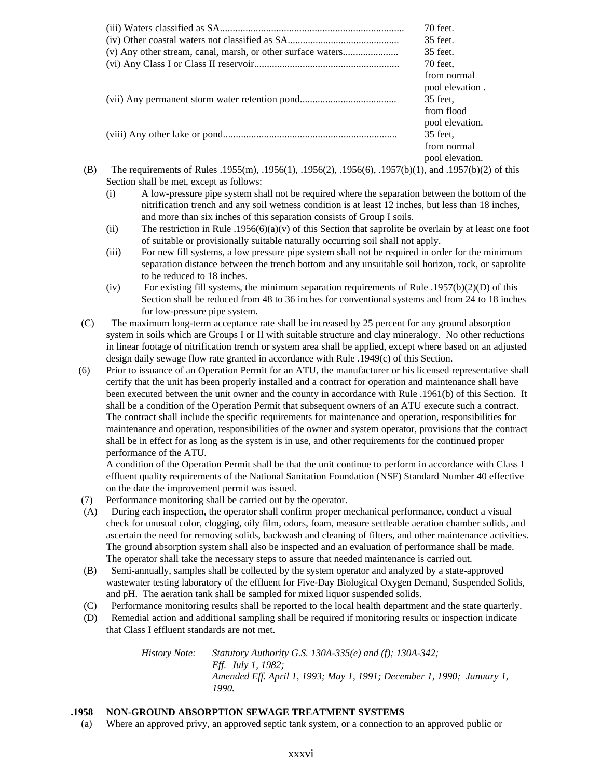|                                                                                                      | 70 feet.        |
|------------------------------------------------------------------------------------------------------|-----------------|
|                                                                                                      | 35 feet.        |
| (v) Any other stream, canal, marsh, or other surface waters                                          | 35 feet.        |
|                                                                                                      | 70 feet.        |
|                                                                                                      | from normal     |
|                                                                                                      | pool elevation. |
|                                                                                                      | 35 feet.        |
|                                                                                                      | from flood      |
|                                                                                                      | pool elevation. |
|                                                                                                      | 35 feet.        |
|                                                                                                      | from normal     |
|                                                                                                      | pool elevation. |
| The requirements of Rules .1955(m), .1956(1), .1956(2), .1956(6), .1957(b)(1), and .1957(b)(2) of th |                 |

- (B) The requirements of Rules .1955(m), .1956(1), .1956(2), .1956(6), .1957(b)(1), and .1957(b)(2) of this Section shall be met, except as follows:
	- (i) A low-pressure pipe system shall not be required where the separation between the bottom of the nitrification trench and any soil wetness condition is at least 12 inches, but less than 18 inches, and more than six inches of this separation consists of Group I soils.
	- (ii) The restriction in Rule .1956(6)(a)(v) of this Section that saprolite be overlain by at least one foot of suitable or provisionally suitable naturally occurring soil shall not apply.
	- (iii) For new fill systems, a low pressure pipe system shall not be required in order for the minimum separation distance between the trench bottom and any unsuitable soil horizon, rock, or saprolite to be reduced to 18 inches.
	- (iv) For existing fill systems, the minimum separation requirements of Rule .1957(b)(2)(D) of this Section shall be reduced from 48 to 36 inches for conventional systems and from 24 to 18 inches for low-pressure pipe system.
	- (C) The maximum long-term acceptance rate shall be increased by 25 percent for any ground absorption system in soils which are Groups I or II with suitable structure and clay mineralogy. No other reductions in linear footage of nitrification trench or system area shall be applied, except where based on an adjusted design daily sewage flow rate granted in accordance with Rule .1949(c) of this Section.
	- (6) Prior to issuance of an Operation Permit for an ATU, the manufacturer or his licensed representative shall certify that the unit has been properly installed and a contract for operation and maintenance shall have been executed between the unit owner and the county in accordance with Rule .1961(b) of this Section. It shall be a condition of the Operation Permit that subsequent owners of an ATU execute such a contract. The contract shall include the specific requirements for maintenance and operation, responsibilities for maintenance and operation, responsibilities of the owner and system operator, provisions that the contract shall be in effect for as long as the system is in use, and other requirements for the continued proper performance of the ATU.

A condition of the Operation Permit shall be that the unit continue to perform in accordance with Class I effluent quality requirements of the National Sanitation Foundation (NSF) Standard Number 40 effective on the date the improvement permit was issued.

- (7) Performance monitoring shall be carried out by the operator.
- (A) During each inspection, the operator shall confirm proper mechanical performance, conduct a visual check for unusual color, clogging, oily film, odors, foam, measure settleable aeration chamber solids, and ascertain the need for removing solids, backwash and cleaning of filters, and other maintenance activities. The ground absorption system shall also be inspected and an evaluation of performance shall be made. The operator shall take the necessary steps to assure that needed maintenance is carried out.
- (B) Semi-annually, samples shall be collected by the system operator and analyzed by a state-approved wastewater testing laboratory of the effluent for Five-Day Biological Oxygen Demand, Suspended Solids, and pH. The aeration tank shall be sampled for mixed liquor suspended solids.
- (C) Performance monitoring results shall be reported to the local health department and the state quarterly.
- (D) Remedial action and additional sampling shall be required if monitoring results or inspection indicate that Class I effluent standards are not met.

*History Note: Statutory Authority G.S. 130A-335(e) and (f); 130A-342; Eff. July 1, 1982; Amended Eff. April 1, 1993; May 1, 1991; December 1, 1990; January 1, 1990.*

# **.1958 NON-GROUND ABSORPTION SEWAGE TREATMENT SYSTEMS**

(a) Where an approved privy, an approved septic tank system, or a connection to an approved public or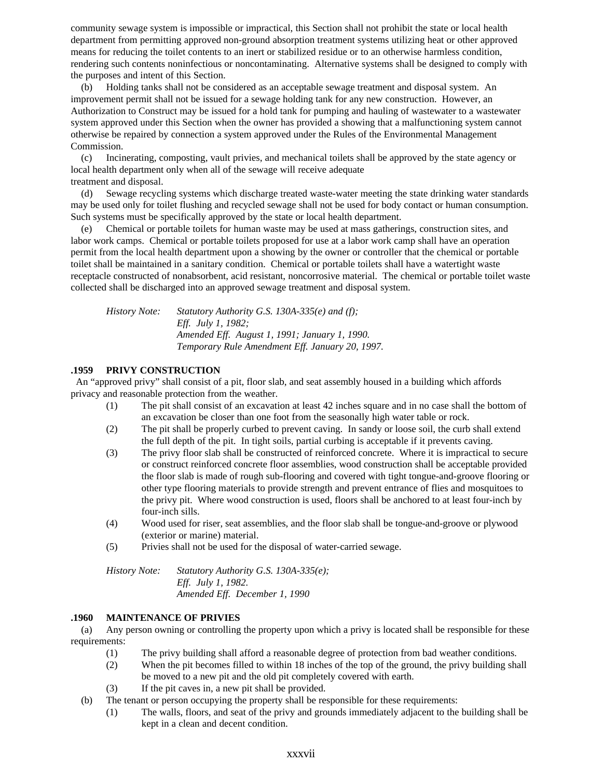community sewage system is impossible or impractical, this Section shall not prohibit the state or local health department from permitting approved non-ground absorption treatment systems utilizing heat or other approved means for reducing the toilet contents to an inert or stabilized residue or to an otherwise harmless condition, rendering such contents noninfectious or noncontaminating. Alternative systems shall be designed to comply with the purposes and intent of this Section.

 (b) Holding tanks shall not be considered as an acceptable sewage treatment and disposal system. An improvement permit shall not be issued for a sewage holding tank for any new construction. However, an Authorization to Construct may be issued for a hold tank for pumping and hauling of wastewater to a wastewater system approved under this Section when the owner has provided a showing that a malfunctioning system cannot otherwise be repaired by connection a system approved under the Rules of the Environmental Management Commission.

 (c) Incinerating, composting, vault privies, and mechanical toilets shall be approved by the state agency or local health department only when all of the sewage will receive adequate treatment and disposal.

 (d) Sewage recycling systems which discharge treated waste-water meeting the state drinking water standards may be used only for toilet flushing and recycled sewage shall not be used for body contact or human consumption. Such systems must be specifically approved by the state or local health department.

 (e) Chemical or portable toilets for human waste may be used at mass gatherings, construction sites, and labor work camps. Chemical or portable toilets proposed for use at a labor work camp shall have an operation permit from the local health department upon a showing by the owner or controller that the chemical or portable toilet shall be maintained in a sanitary condition. Chemical or portable toilets shall have a watertight waste receptacle constructed of nonabsorbent, acid resistant, noncorrosive material. The chemical or portable toilet waste collected shall be discharged into an approved sewage treatment and disposal system.

*History Note: Statutory Authority G.S. 130A-335(e) and (f); Eff. July 1, 1982; Amended Eff. August 1, 1991; January 1, 1990. Temporary Rule Amendment Eff. January 20, 1997.*

# **.1959 PRIVY CONSTRUCTION**

 An "approved privy" shall consist of a pit, floor slab, and seat assembly housed in a building which affords privacy and reasonable protection from the weather.

- (1) The pit shall consist of an excavation at least 42 inches square and in no case shall the bottom of an excavation be closer than one foot from the seasonally high water table or rock.
- (2) The pit shall be properly curbed to prevent caving. In sandy or loose soil, the curb shall extend the full depth of the pit. In tight soils, partial curbing is acceptable if it prevents caving.
- (3) The privy floor slab shall be constructed of reinforced concrete. Where it is impractical to secure or construct reinforced concrete floor assemblies, wood construction shall be acceptable provided the floor slab is made of rough sub-flooring and covered with tight tongue-and-groove flooring or other type flooring materials to provide strength and prevent entrance of flies and mosquitoes to the privy pit. Where wood construction is used, floors shall be anchored to at least four-inch by four-inch sills.
- (4) Wood used for riser, seat assemblies, and the floor slab shall be tongue-and-groove or plywood (exterior or marine) material.
- (5) Privies shall not be used for the disposal of water-carried sewage.

*History Note: Statutory Authority G.S. 130A-335(e); Eff. July 1, 1982. Amended Eff. December 1, 1990*

## **.1960 MAINTENANCE OF PRIVIES**

 (a) Any person owning or controlling the property upon which a privy is located shall be responsible for these requirements:

- (1) The privy building shall afford a reasonable degree of protection from bad weather conditions.
- (2) When the pit becomes filled to within 18 inches of the top of the ground, the privy building shall be moved to a new pit and the old pit completely covered with earth.
- (3) If the pit caves in, a new pit shall be provided.
- (b) The tenant or person occupying the property shall be responsible for these requirements:
	- (1) The walls, floors, and seat of the privy and grounds immediately adjacent to the building shall be kept in a clean and decent condition.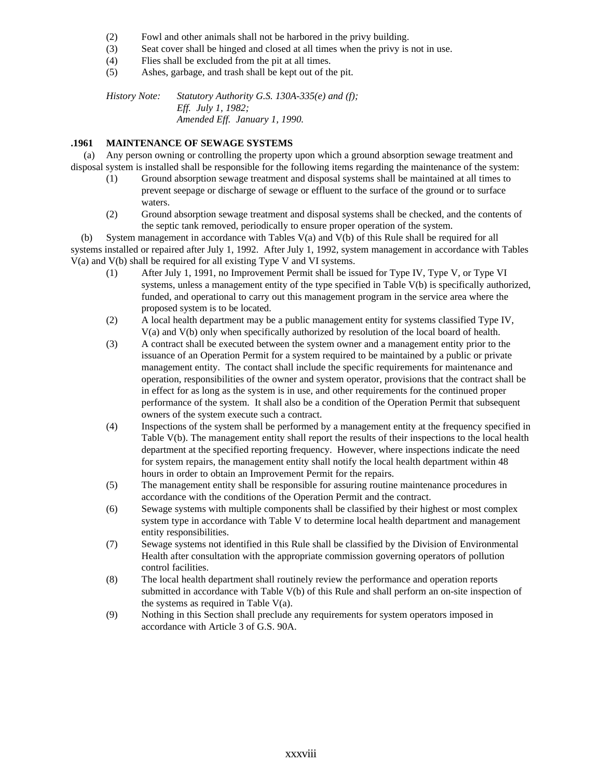- (2) Fowl and other animals shall not be harbored in the privy building.
- (3) Seat cover shall be hinged and closed at all times when the privy is not in use.
- (4) Flies shall be excluded from the pit at all times.
- (5) Ashes, garbage, and trash shall be kept out of the pit.

*History Note: Statutory Authority G.S. 130A-335(e) and (f); Eff. July 1, 1982; Amended Eff. January 1, 1990.*

### **.1961 MAINTENANCE OF SEWAGE SYSTEMS**

 (a) Any person owning or controlling the property upon which a ground absorption sewage treatment and disposal system is installed shall be responsible for the following items regarding the maintenance of the system:

- (1) Ground absorption sewage treatment and disposal systems shall be maintained at all times to prevent seepage or discharge of sewage or effluent to the surface of the ground or to surface waters.
- (2) Ground absorption sewage treatment and disposal systems shall be checked, and the contents of the septic tank removed, periodically to ensure proper operation of the system.

 (b) System management in accordance with Tables V(a) and V(b) of this Rule shall be required for all systems installed or repaired after July 1, 1992. After July 1, 1992, system management in accordance with Tables V(a) and V(b) shall be required for all existing Type V and VI systems.

- (1) After July 1, 1991, no Improvement Permit shall be issued for Type IV, Type V, or Type VI systems, unless a management entity of the type specified in Table V(b) is specifically authorized, funded, and operational to carry out this management program in the service area where the proposed system is to be located.
- (2) A local health department may be a public management entity for systems classified Type IV, V(a) and V(b) only when specifically authorized by resolution of the local board of health.
- (3) A contract shall be executed between the system owner and a management entity prior to the issuance of an Operation Permit for a system required to be maintained by a public or private management entity. The contact shall include the specific requirements for maintenance and operation, responsibilities of the owner and system operator, provisions that the contract shall be in effect for as long as the system is in use, and other requirements for the continued proper performance of the system. It shall also be a condition of the Operation Permit that subsequent owners of the system execute such a contract.
- (4) Inspections of the system shall be performed by a management entity at the frequency specified in Table V(b). The management entity shall report the results of their inspections to the local health department at the specified reporting frequency. However, where inspections indicate the need for system repairs, the management entity shall notify the local health department within 48 hours in order to obtain an Improvement Permit for the repairs.
- (5) The management entity shall be responsible for assuring routine maintenance procedures in accordance with the conditions of the Operation Permit and the contract.
- (6) Sewage systems with multiple components shall be classified by their highest or most complex system type in accordance with Table V to determine local health department and management entity responsibilities.
- (7) Sewage systems not identified in this Rule shall be classified by the Division of Environmental Health after consultation with the appropriate commission governing operators of pollution control facilities.
- (8) The local health department shall routinely review the performance and operation reports submitted in accordance with Table V(b) of this Rule and shall perform an on-site inspection of the systems as required in Table V(a).
- (9) Nothing in this Section shall preclude any requirements for system operators imposed in accordance with Article 3 of G.S. 90A.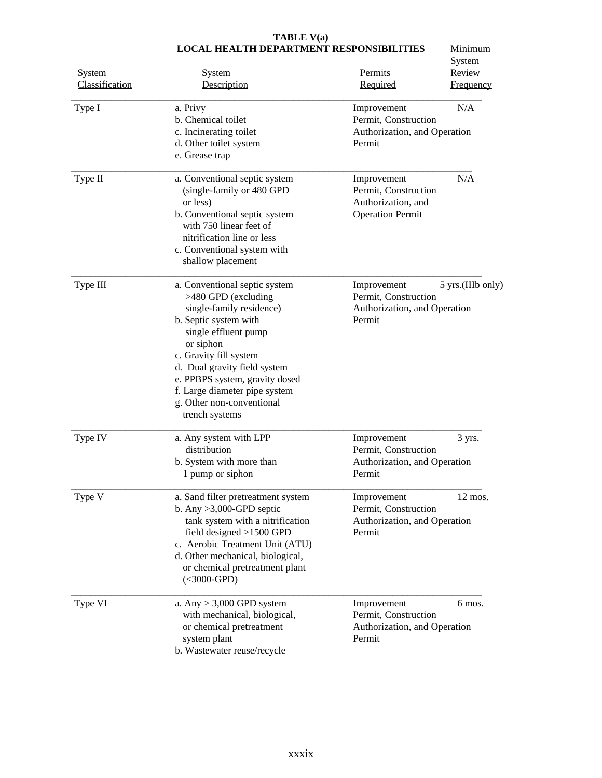| System<br>Classification<br>Type I | System<br>Description<br>a. Privy                                                                                                                                                                                                                                                                                          | System<br>Review<br>Permits<br>Required<br><b>Frequency</b><br>N/A<br>Improvement                  |
|------------------------------------|----------------------------------------------------------------------------------------------------------------------------------------------------------------------------------------------------------------------------------------------------------------------------------------------------------------------------|----------------------------------------------------------------------------------------------------|
|                                    | b. Chemical toilet<br>c. Incinerating toilet<br>d. Other toilet system<br>e. Grease trap                                                                                                                                                                                                                                   | Permit, Construction<br>Authorization, and Operation<br>Permit                                     |
| Type II                            | a. Conventional septic system<br>(single-family or 480 GPD<br>or less)<br>b. Conventional septic system<br>with 750 linear feet of<br>nitrification line or less<br>c. Conventional system with<br>shallow placement                                                                                                       | N/A<br>Improvement<br>Permit, Construction<br>Authorization, and<br><b>Operation Permit</b>        |
| Type III                           | a. Conventional septic system<br>>480 GPD (excluding<br>single-family residence)<br>b. Septic system with<br>single effluent pump<br>or siphon<br>c. Gravity fill system<br>d. Dual gravity field system<br>e. PPBPS system, gravity dosed<br>f. Large diameter pipe system<br>g. Other non-conventional<br>trench systems | 5 yrs.(IIIb only)<br>Improvement<br>Permit, Construction<br>Authorization, and Operation<br>Permit |
| Type IV                            | a. Any system with LPP<br>distribution<br>b. System with more than<br>1 pump or siphon                                                                                                                                                                                                                                     | Improvement<br>3 yrs.<br>Permit, Construction<br>Authorization, and Operation<br>Permit            |
| Type V                             | a. Sand filter pretreatment system<br>b. Any $>3,000$ -GPD septic<br>tank system with a nitrification<br>field designed $>1500$ GPD<br>c. Aerobic Treatment Unit (ATU)<br>d. Other mechanical, biological,<br>or chemical pretreatment plant<br>$(<$ 3000-GPD)                                                             | 12 mos.<br>Improvement<br>Permit, Construction<br>Authorization, and Operation<br>Permit           |
| Type VI                            | a. Any $> 3,000$ GPD system<br>with mechanical, biological,<br>or chemical pretreatment<br>system plant<br>b. Wastewater reuse/recycle                                                                                                                                                                                     | Improvement<br>6 mos.<br>Permit, Construction<br>Authorization, and Operation<br>Permit            |

### **TABLE V(a) LOCAL HEALTH DEPARTMENT RESPONSIBILITIES** Minimum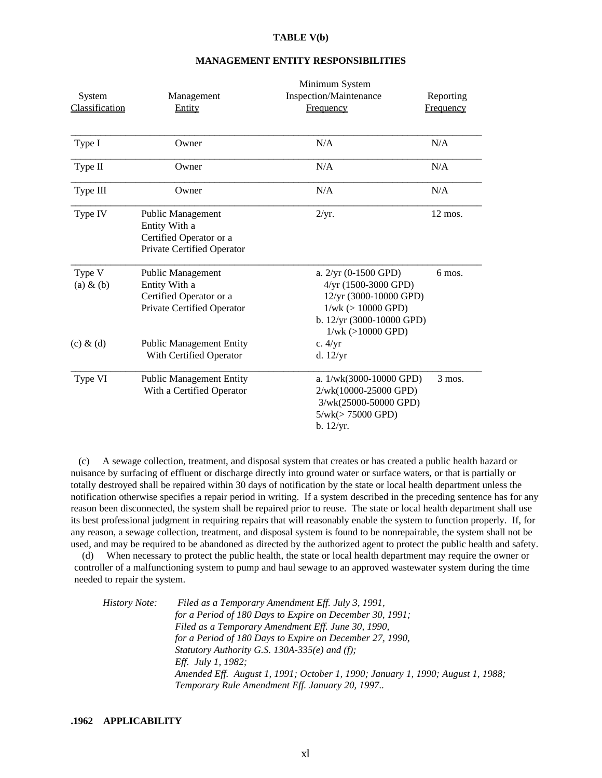### **TABLE V(b)**

| System                 | Management                                                                                         | Inspection/Maintenance                                                                                                                                    | Reporting         |
|------------------------|----------------------------------------------------------------------------------------------------|-----------------------------------------------------------------------------------------------------------------------------------------------------------|-------------------|
| Classification         | Entity                                                                                             | <b>Frequency</b>                                                                                                                                          | Frequency         |
| Type I                 | Owner                                                                                              | N/A                                                                                                                                                       | N/A               |
| Type II                | Owner                                                                                              | N/A                                                                                                                                                       | N/A               |
| Type III               | Owner                                                                                              | N/A                                                                                                                                                       | N/A               |
| Type IV                | <b>Public Management</b><br>Entity With a<br>Certified Operator or a<br>Private Certified Operator | 2/yr.                                                                                                                                                     | $12 \text{ mos.}$ |
| Type V<br>$(a) \& (b)$ | Public Management<br>Entity With a<br>Certified Operator or a<br>Private Certified Operator        | a. $2/yr$ (0-1500 GPD)<br>$4/yr$ (1500-3000 GPD)<br>12/yr (3000-10000 GPD)<br>$1/wk$ ( $> 10000$ GPD)<br>b. 12/yr (3000-10000 GPD)<br>$1/wk$ (>10000 GPD) | 6 mos.            |
| $(c)$ & $(d)$          | <b>Public Management Entity</b><br>With Certified Operator                                         | c. $4/yr$<br>d. $12/yr$                                                                                                                                   |                   |
| Type VI                | <b>Public Management Entity</b><br>With a Certified Operator                                       | a. $1/wk(3000-10000$ GPD)<br>2/wk(10000-25000 GPD)<br>3/wk(25000-50000 GPD)<br>$5/wk (> 75000$ GPD)<br>b. 12/yr.                                          | $3$ mos.          |

### **MANAGEMENT ENTITY RESPONSIBILITIES**

Minimum System

 (c) A sewage collection, treatment, and disposal system that creates or has created a public health hazard or nuisance by surfacing of effluent or discharge directly into ground water or surface waters, or that is partially or totally destroyed shall be repaired within 30 days of notification by the state or local health department unless the notification otherwise specifies a repair period in writing. If a system described in the preceding sentence has for any reason been disconnected, the system shall be repaired prior to reuse. The state or local health department shall use its best professional judgment in requiring repairs that will reasonably enable the system to function properly. If, for any reason, a sewage collection, treatment, and disposal system is found to be nonrepairable, the system shall not be used, and may be required to be abandoned as directed by the authorized agent to protect the public health and safety.

 (d) When necessary to protect the public health, the state or local health department may require the owner or controller of a malfunctioning system to pump and haul sewage to an approved wastewater system during the time needed to repair the system.

| <i>History Note:</i> | Filed as a Temporary Amendment Eff. July 3, 1991,                              |
|----------------------|--------------------------------------------------------------------------------|
|                      | for a Period of 180 Days to Expire on December 30, 1991;                       |
|                      | Filed as a Temporary Amendment Eff. June 30, 1990,                             |
|                      | for a Period of 180 Days to Expire on December 27, 1990,                       |
|                      | Statutory Authority G.S. 130A-335( $e$ ) and (f);                              |
|                      | <i>Eff. July 1, 1982:</i>                                                      |
|                      | Amended Eff. August 1, 1991; October 1, 1990; January 1, 1990; August 1, 1988; |
|                      | Temporary Rule Amendment Eff. January 20, 1997                                 |
|                      |                                                                                |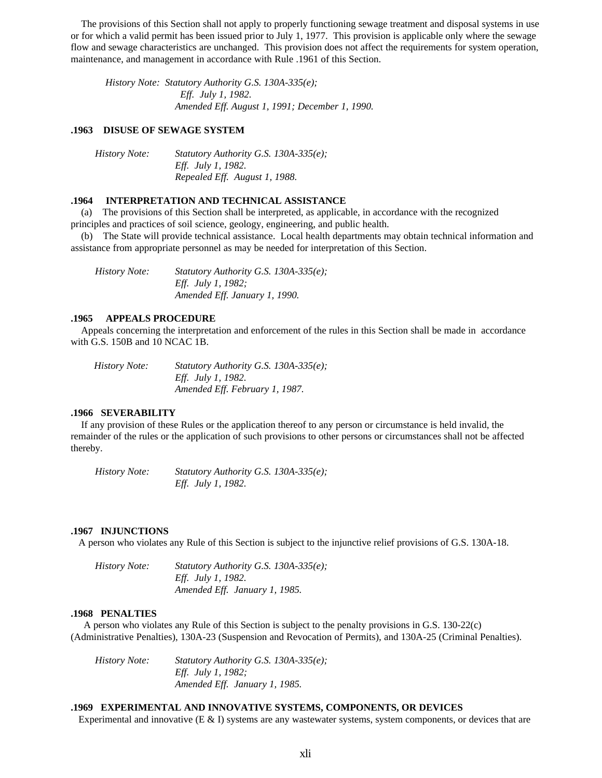The provisions of this Section shall not apply to properly functioning sewage treatment and disposal systems in use or for which a valid permit has been issued prior to July 1, 1977. This provision is applicable only where the sewage flow and sewage characteristics are unchanged. This provision does not affect the requirements for system operation, maintenance, and management in accordance with Rule .1961 of this Section.

 *History Note: Statutory Authority G.S. 130A-335(e); Eff. July 1, 1982. Amended Eff. August 1, 1991; December 1, 1990.*

### **.1963 DISUSE OF SEWAGE SYSTEM**

| <i>History Note:</i> | <i>Statutory Authority G.S. 130A-335(e):</i> |
|----------------------|----------------------------------------------|
|                      | <i>Eff. July 1, 1982.</i>                    |
|                      | Repealed Eff. August 1, 1988.                |

### **.1964 INTERPRETATION AND TECHNICAL ASSISTANCE**

 (a) The provisions of this Section shall be interpreted, as applicable, in accordance with the recognized principles and practices of soil science, geology, engineering, and public health.

 (b) The State will provide technical assistance. Local health departments may obtain technical information and assistance from appropriate personnel as may be needed for interpretation of this Section.

 *History Note: Statutory Authority G.S. 130A-335(e); Eff. July 1, 1982; Amended Eff. January 1, 1990.*

#### **.1965 APPEALS PROCEDURE**

 Appeals concerning the interpretation and enforcement of the rules in this Section shall be made in accordance with G.S. 150B and 10 NCAC 1B.

 *History Note: Statutory Authority G.S. 130A-335(e); Eff. July 1, 1982. Amended Eff. February 1, 1987.*

### **.1966 SEVERABILITY**

 If any provision of these Rules or the application thereof to any person or circumstance is held invalid, the remainder of the rules or the application of such provisions to other persons or circumstances shall not be affected thereby.

 *History Note: Statutory Authority G.S. 130A-335(e); Eff. July 1, 1982.*

#### **.1967 INJUNCTIONS**

A person who violates any Rule of this Section is subject to the injunctive relief provisions of G.S. 130A-18.

| <i>History Note:</i> | <i>Statutory Authority G.S. 130A-335(e):</i> |
|----------------------|----------------------------------------------|
|                      | <i>Eff. July 1, 1982.</i>                    |
|                      | Amended Eff. January 1, 1985.                |

#### **.1968 PENALTIES**

 A person who violates any Rule of this Section is subject to the penalty provisions in G.S. 130-22(c) (Administrative Penalties), 130A-23 (Suspension and Revocation of Permits), and 130A-25 (Criminal Penalties).

 *History Note: Statutory Authority G.S. 130A-335(e); Eff. July 1, 1982; Amended Eff. January 1, 1985.*

#### **.1969 EXPERIMENTAL AND INNOVATIVE SYSTEMS, COMPONENTS, OR DEVICES**

Experimental and innovative  $(E \& I)$  systems are any wastewater systems, system components, or devices that are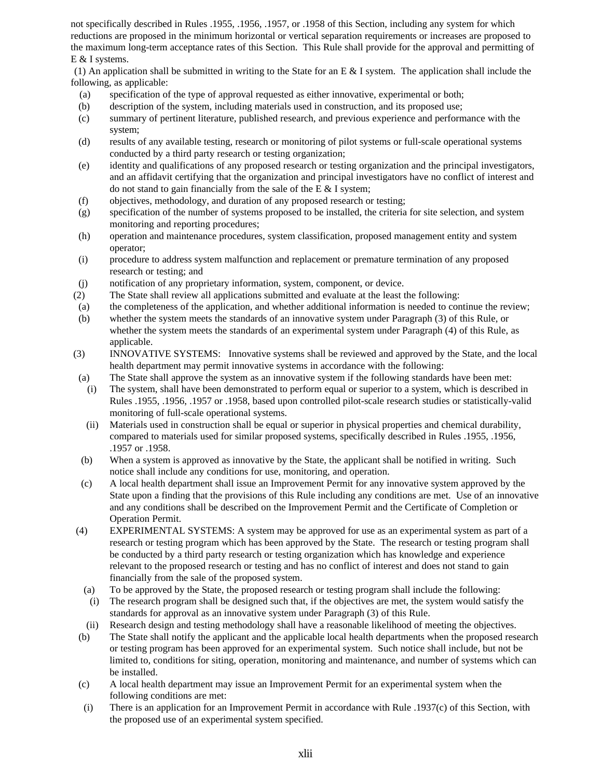not specifically described in Rules .1955, .1956, .1957, or .1958 of this Section, including any system for which reductions are proposed in the minimum horizontal or vertical separation requirements or increases are proposed to the maximum long-term acceptance rates of this Section. This Rule shall provide for the approval and permitting of E & I systems.

(1) An application shall be submitted in writing to the State for an E & I system. The application shall include the following, as applicable:

- (a) specification of the type of approval requested as either innovative, experimental or both;
- (b) description of the system, including materials used in construction, and its proposed use;
- (c) summary of pertinent literature, published research, and previous experience and performance with the system;
- (d) results of any available testing, research or monitoring of pilot systems or full-scale operational systems conducted by a third party research or testing organization;
- (e) identity and qualifications of any proposed research or testing organization and the principal investigators, and an affidavit certifying that the organization and principal investigators have no conflict of interest and do not stand to gain financially from the sale of the E  $&$  I system;
- (f) objectives, methodology, and duration of any proposed research or testing;
- (g) specification of the number of systems proposed to be installed, the criteria for site selection, and system monitoring and reporting procedures;
- (h) operation and maintenance procedures, system classification, proposed management entity and system operator;
- (i) procedure to address system malfunction and replacement or premature termination of any proposed research or testing; and
- (j) notification of any proprietary information, system, component, or device.
- (2) The State shall review all applications submitted and evaluate at the least the following:
- (a) the completeness of the application, and whether additional information is needed to continue the review;
- (b) whether the system meets the standards of an innovative system under Paragraph (3) of this Rule, or whether the system meets the standards of an experimental system under Paragraph (4) of this Rule, as applicable.
- (3) INNOVATIVE SYSTEMS: Innovative systems shall be reviewed and approved by the State, and the local health department may permit innovative systems in accordance with the following:
- (a) The State shall approve the system as an innovative system if the following standards have been met:
- (i) The system, shall have been demonstrated to perform equal or superior to a system, which is described in Rules .1955, .1956, .1957 or .1958, based upon controlled pilot-scale research studies or statistically-valid monitoring of full-scale operational systems.
- (ii) Materials used in construction shall be equal or superior in physical properties and chemical durability, compared to materials used for similar proposed systems, specifically described in Rules .1955, .1956, .1957 or .1958.
- (b) When a system is approved as innovative by the State, the applicant shall be notified in writing. Such notice shall include any conditions for use, monitoring, and operation.
- (c) A local health department shall issue an Improvement Permit for any innovative system approved by the State upon a finding that the provisions of this Rule including any conditions are met. Use of an innovative and any conditions shall be described on the Improvement Permit and the Certificate of Completion or Operation Permit.
- (4) EXPERIMENTAL SYSTEMS: A system may be approved for use as an experimental system as part of a research or testing program which has been approved by the State. The research or testing program shall be conducted by a third party research or testing organization which has knowledge and experience relevant to the proposed research or testing and has no conflict of interest and does not stand to gain financially from the sale of the proposed system.
	- (a) To be approved by the State, the proposed research or testing program shall include the following:
	- (i) The research program shall be designed such that, if the objectives are met, the system would satisfy the standards for approval as an innovative system under Paragraph (3) of this Rule.
	- (ii) Research design and testing methodology shall have a reasonable likelihood of meeting the objectives.
- (b) The State shall notify the applicant and the applicable local health departments when the proposed research or testing program has been approved for an experimental system. Such notice shall include, but not be limited to, conditions for siting, operation, monitoring and maintenance, and number of systems which can be installed.
- (c) A local health department may issue an Improvement Permit for an experimental system when the following conditions are met:
- (i) There is an application for an Improvement Permit in accordance with Rule .1937(c) of this Section, with the proposed use of an experimental system specified.